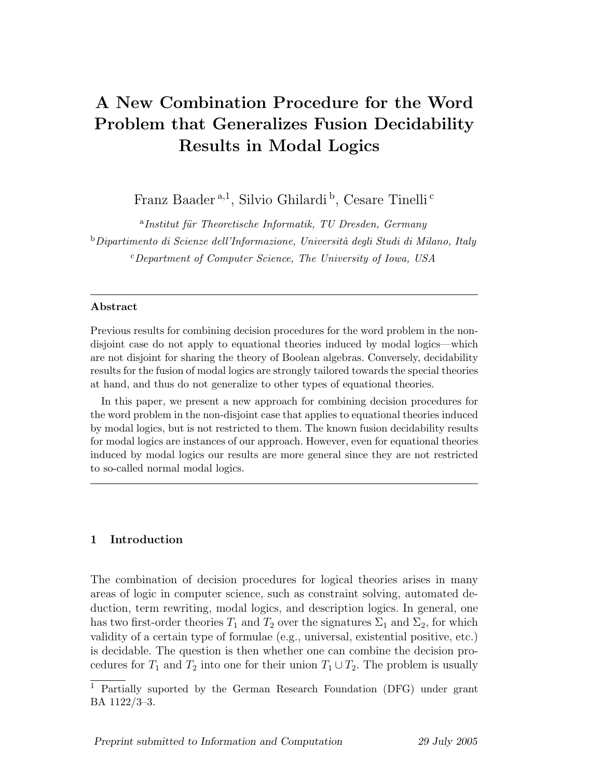# A New Combination Procedure for the Word Problem that Generalizes Fusion Decidability Results in Modal Logics

Franz Baader<sup>a,1</sup>, Silvio Ghilardi<sup>b</sup>, Cesare Tinelli<sup>c</sup>

<sup>a</sup>Institut für Theoretische Informatik, TU Dresden, Germany  $b$ Dipartimento di Scienze dell'Informazione, Università degli Studi di Milano, Italy  $c$ Department of Computer Science, The University of Iowa, USA

# Abstract

Previous results for combining decision procedures for the word problem in the nondisjoint case do not apply to equational theories induced by modal logics—which are not disjoint for sharing the theory of Boolean algebras. Conversely, decidability results for the fusion of modal logics are strongly tailored towards the special theories at hand, and thus do not generalize to other types of equational theories.

In this paper, we present a new approach for combining decision procedures for the word problem in the non-disjoint case that applies to equational theories induced by modal logics, but is not restricted to them. The known fusion decidability results for modal logics are instances of our approach. However, even for equational theories induced by modal logics our results are more general since they are not restricted to so-called normal modal logics.

# 1 Introduction

The combination of decision procedures for logical theories arises in many areas of logic in computer science, such as constraint solving, automated deduction, term rewriting, modal logics, and description logics. In general, one has two first-order theories  $T_1$  and  $T_2$  over the signatures  $\Sigma_1$  and  $\Sigma_2$ , for which validity of a certain type of formulae (e.g., universal, existential positive, etc.) is decidable. The question is then whether one can combine the decision procedures for  $T_1$  and  $T_2$  into one for their union  $T_1 \cup T_2$ . The problem is usually

 $\overline{1}$  Partially suported by the German Research Foundation (DFG) under grant BA 1122/3–3.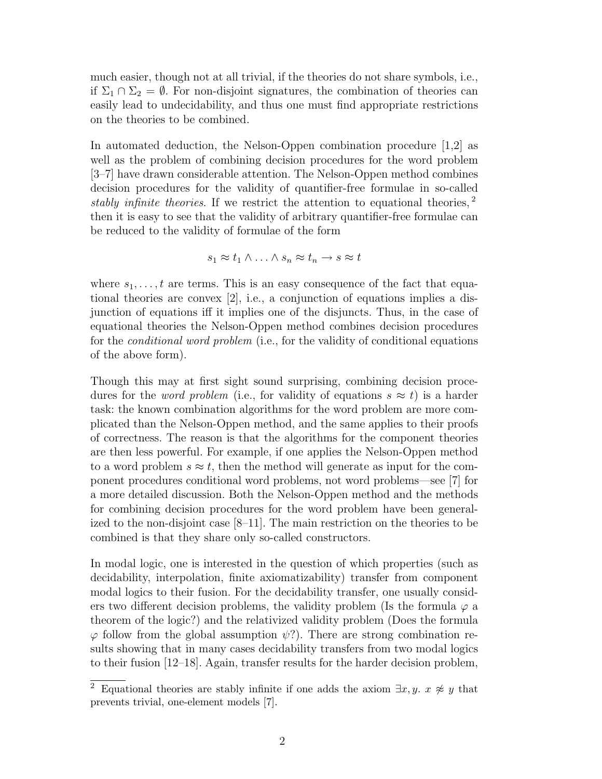much easier, though not at all trivial, if the theories do not share symbols, i.e., if  $\Sigma_1 \cap \Sigma_2 = \emptyset$ . For non-disjoint signatures, the combination of theories can easily lead to undecidability, and thus one must find appropriate restrictions on the theories to be combined.

In automated deduction, the Nelson-Oppen combination procedure [1,2] as well as the problem of combining decision procedures for the word problem [3–7] have drawn considerable attention. The Nelson-Oppen method combines decision procedures for the validity of quantifier-free formulae in so-called stably infinite theories. If we restrict the attention to equational theories,  $2^{\circ}$ then it is easy to see that the validity of arbitrary quantifier-free formulae can be reduced to the validity of formulae of the form

$$
s_1 \approx t_1 \wedge \ldots \wedge s_n \approx t_n \to s \approx t
$$

where  $s_1, \ldots, t$  are terms. This is an easy consequence of the fact that equational theories are convex [2], i.e., a conjunction of equations implies a disjunction of equations iff it implies one of the disjuncts. Thus, in the case of equational theories the Nelson-Oppen method combines decision procedures for the *conditional word problem* (i.e., for the validity of conditional equations of the above form).

Though this may at first sight sound surprising, combining decision procedures for the *word problem* (i.e., for validity of equations  $s \approx t$ ) is a harder task: the known combination algorithms for the word problem are more complicated than the Nelson-Oppen method, and the same applies to their proofs of correctness. The reason is that the algorithms for the component theories are then less powerful. For example, if one applies the Nelson-Oppen method to a word problem  $s \approx t$ , then the method will generate as input for the component procedures conditional word problems, not word problems—see [7] for a more detailed discussion. Both the Nelson-Oppen method and the methods for combining decision procedures for the word problem have been generalized to the non-disjoint case [8–11]. The main restriction on the theories to be combined is that they share only so-called constructors.

In modal logic, one is interested in the question of which properties (such as decidability, interpolation, finite axiomatizability) transfer from component modal logics to their fusion. For the decidability transfer, one usually considers two different decision problems, the validity problem (Is the formula  $\varphi$  a theorem of the logic?) and the relativized validity problem (Does the formula  $\varphi$  follow from the global assumption  $\psi$ ?). There are strong combination results showing that in many cases decidability transfers from two modal logics to their fusion [12–18]. Again, transfer results for the harder decision problem,

<sup>&</sup>lt;sup>2</sup> Equational theories are stably infinite if one adds the axiom  $\exists x, y$ .  $x \not\approx y$  that prevents trivial, one-element models [7].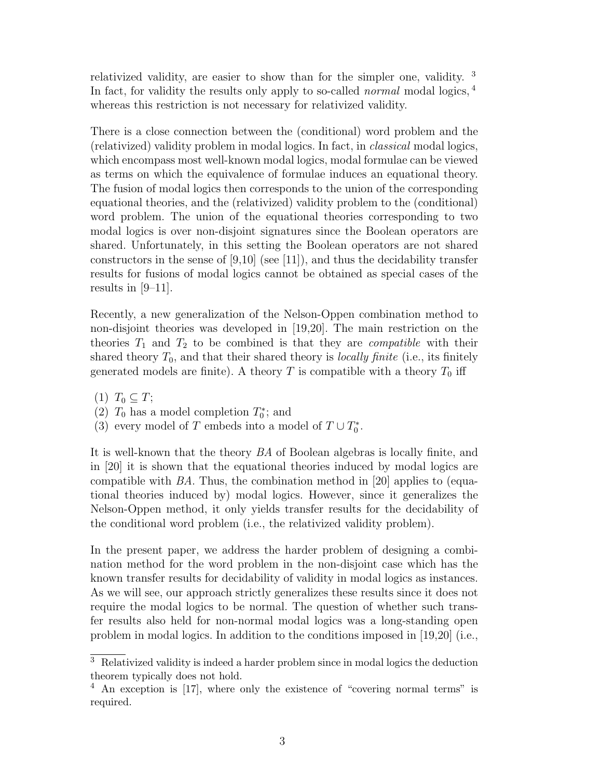relativized validity, are easier to show than for the simpler one, validity. <sup>3</sup> In fact, for validity the results only apply to so-called *normal* modal logics, <sup>4</sup> whereas this restriction is not necessary for relativized validity.

There is a close connection between the (conditional) word problem and the (relativized) validity problem in modal logics. In fact, in classical modal logics, which encompass most well-known modal logics, modal formulae can be viewed as terms on which the equivalence of formulae induces an equational theory. The fusion of modal logics then corresponds to the union of the corresponding equational theories, and the (relativized) validity problem to the (conditional) word problem. The union of the equational theories corresponding to two modal logics is over non-disjoint signatures since the Boolean operators are shared. Unfortunately, in this setting the Boolean operators are not shared constructors in the sense of  $[9,10]$  (see [11]), and thus the decidability transfer results for fusions of modal logics cannot be obtained as special cases of the results in [9–11].

Recently, a new generalization of the Nelson-Oppen combination method to non-disjoint theories was developed in [19,20]. The main restriction on the theories  $T_1$  and  $T_2$  to be combined is that they are *compatible* with their shared theory  $T_0$ , and that their shared theory is *locally finite* (i.e., its finitely generated models are finite). A theory T is compatible with a theory  $T_0$  iff

 $(1)$   $T_0 \subseteq T$ ;

(2)  $T_0$  has a model completion  $T_0^*$ ; and

(3) every model of  $T$  embeds into a model of  $T \cup T_0^*$ .

It is well-known that the theory BA of Boolean algebras is locally finite, and in [20] it is shown that the equational theories induced by modal logics are compatible with BA. Thus, the combination method in [20] applies to (equational theories induced by) modal logics. However, since it generalizes the Nelson-Oppen method, it only yields transfer results for the decidability of the conditional word problem (i.e., the relativized validity problem).

In the present paper, we address the harder problem of designing a combination method for the word problem in the non-disjoint case which has the known transfer results for decidability of validity in modal logics as instances. As we will see, our approach strictly generalizes these results since it does not require the modal logics to be normal. The question of whether such transfer results also held for non-normal modal logics was a long-standing open problem in modal logics. In addition to the conditions imposed in [19,20] (i.e.,

<sup>3</sup> Relativized validity is indeed a harder problem since in modal logics the deduction theorem typically does not hold.

<sup>4</sup> An exception is [17], where only the existence of "covering normal terms" is required.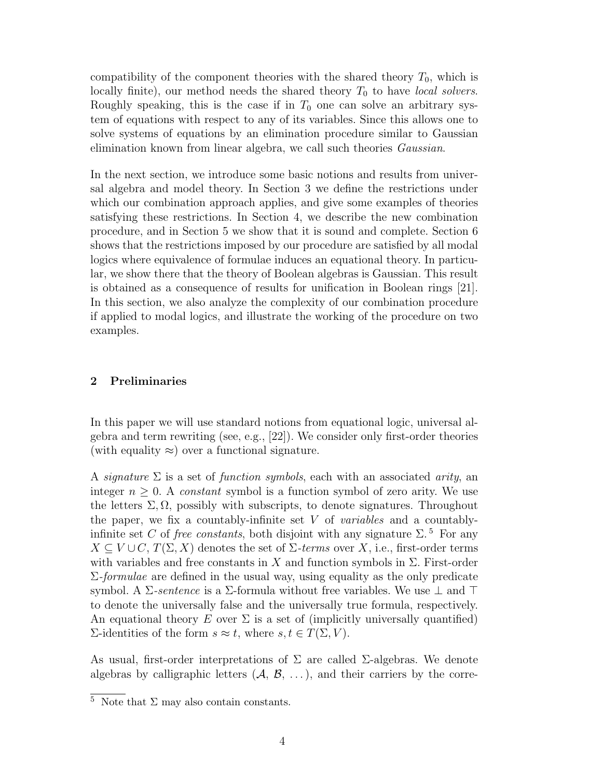compatibility of the component theories with the shared theory  $T_0$ , which is locally finite), our method needs the shared theory  $T_0$  to have local solvers. Roughly speaking, this is the case if in  $T_0$  one can solve an arbitrary system of equations with respect to any of its variables. Since this allows one to solve systems of equations by an elimination procedure similar to Gaussian elimination known from linear algebra, we call such theories Gaussian.

In the next section, we introduce some basic notions and results from universal algebra and model theory. In Section 3 we define the restrictions under which our combination approach applies, and give some examples of theories satisfying these restrictions. In Section 4, we describe the new combination procedure, and in Section 5 we show that it is sound and complete. Section 6 shows that the restrictions imposed by our procedure are satisfied by all modal logics where equivalence of formulae induces an equational theory. In particular, we show there that the theory of Boolean algebras is Gaussian. This result is obtained as a consequence of results for unification in Boolean rings [21]. In this section, we also analyze the complexity of our combination procedure if applied to modal logics, and illustrate the working of the procedure on two examples.

# 2 Preliminaries

In this paper we will use standard notions from equational logic, universal algebra and term rewriting (see, e.g., [22]). We consider only first-order theories (with equality  $\approx$ ) over a functional signature.

A signature  $\Sigma$  is a set of function symbols, each with an associated arity, an integer  $n \geq 0$ . A constant symbol is a function symbol of zero arity. We use the letters  $\Sigma, \Omega$ , possibly with subscripts, to denote signatures. Throughout the paper, we fix a countably-infinite set  $V$  of *variables* and a countablyinfinite set C of free constants, both disjoint with any signature  $\Sigma$ .<sup>5</sup> For any  $X \subseteq V \cup C$ ,  $T(\Sigma, X)$  denotes the set of  $\Sigma$ -terms over X, i.e., first-order terms with variables and free constants in X and function symbols in  $\Sigma$ . First-order  $\Sigma$ -*formulae* are defined in the usual way, using equality as the only predicate symbol. A  $\Sigma\text{-}sentence$  is a  $\Sigma\text{-}formula$  without free variables. We use  $\bot$  and  $\top$ to denote the universally false and the universally true formula, respectively. An equational theory E over  $\Sigma$  is a set of (implicitly universally quantified)  $\Sigma$ -identities of the form  $s \approx t$ , where  $s, t \in T(\Sigma, V)$ .

As usual, first-order interpretations of  $\Sigma$  are called  $\Sigma$ -algebras. We denote algebras by calligraphic letters  $(A, \mathcal{B}, \ldots)$ , and their carriers by the corre-

 $\overline{5}$  Note that  $\Sigma$  may also contain constants.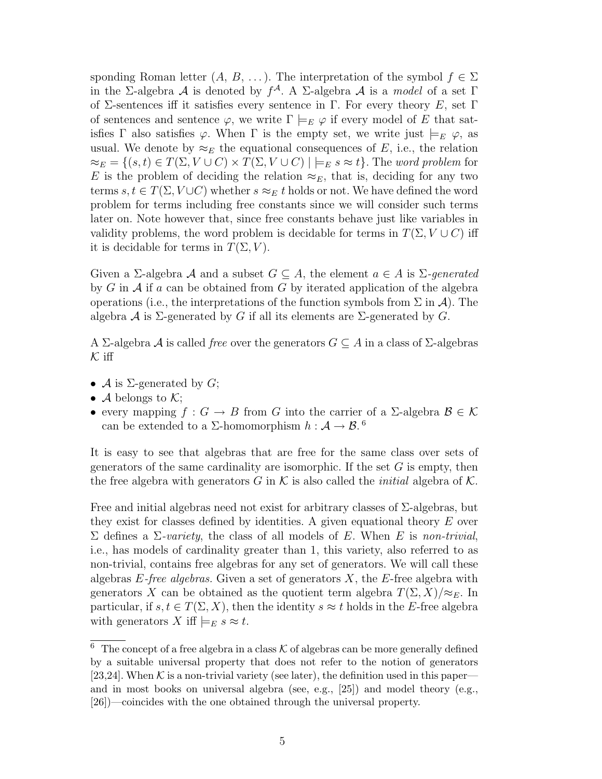sponding Roman letter  $(A, B, \ldots)$ . The interpretation of the symbol  $f \in \Sigma$ in the Σ-algebra A is denoted by  $f^{\mathcal{A}}$ . A Σ-algebra A is a model of a set  $\Gamma$ of  $\Sigma$ -sentences iff it satisfies every sentence in Γ. For every theory E, set Γ of sentences and sentence  $\varphi$ , we write  $\Gamma \models_E \varphi$  if every model of E that satisfies  $\Gamma$  also satisfies  $\varphi$ . When  $\Gamma$  is the empty set, we write just  $\models_E \varphi$ , as usual. We denote by  $\approx_E$  the equational consequences of E, i.e., the relation  $\approx_E = \{(s, t) \in T(\Sigma, V \cup C) \times T(\Sigma, V \cup C) \mid \models_E s \approx t\}.$  The word problem for E is the problem of deciding the relation  $\approx_E$ , that is, deciding for any two terms  $s, t \in T(\Sigma, V \cup C)$  whether  $s \approx_E t$  holds or not. We have defined the word problem for terms including free constants since we will consider such terms later on. Note however that, since free constants behave just like variables in validity problems, the word problem is decidable for terms in  $T(\Sigma, V \cup C)$  iff it is decidable for terms in  $T(\Sigma, V)$ .

Given a  $\Sigma$ -algebra A and a subset  $G \subseteq A$ , the element  $a \in A$  is  $\Sigma$ -generated by  $G$  in  $\mathcal A$  if a can be obtained from  $G$  by iterated application of the algebra operations (i.e., the interpretations of the function symbols from  $\Sigma$  in  $\mathcal{A}$ ). The algebra A is  $\Sigma$ -generated by G if all its elements are  $\Sigma$ -generated by G.

A Σ-algebra A is called *free* over the generators  $G \subseteq A$  in a class of Σ-algebras  $K$  iff

- $\mathcal A$  is  $\Sigma$ -generated by  $G$ ;
- A belongs to  $\mathcal{K}$ ;
- every mapping  $f: G \to B$  from G into the carrier of a  $\Sigma$ -algebra  $\mathcal{B} \in \mathcal{K}$ can be extended to a  $\Sigma$ -homomorphism  $h: \mathcal{A} \to \mathcal{B}$ .<sup>6</sup>

It is easy to see that algebras that are free for the same class over sets of generators of the same cardinality are isomorphic. If the set  $G$  is empty, then the free algebra with generators G in K is also called the *initial* algebra of K.

Free and initial algebras need not exist for arbitrary classes of  $\Sigma$ -algebras, but they exist for classes defined by identities. A given equational theory E over  $\Sigma$  defines a  $\Sigma$ -variety, the class of all models of E. When E is non-trivial, i.e., has models of cardinality greater than 1, this variety, also referred to as non-trivial, contains free algebras for any set of generators. We will call these algebras  $E$ -free algebras. Given a set of generators  $X$ , the  $E$ -free algebra with generators X can be obtained as the quotient term algebra  $T(\Sigma, X)/\approx_E$ . In particular, if  $s, t \in T(\Sigma, X)$ , then the identity  $s \approx t$  holds in the E-free algebra with generators X iff  $\models_E s \approx t$ .

<sup>&</sup>lt;sup>6</sup> The concept of a free algebra in a class  $K$  of algebras can be more generally defined by a suitable universal property that does not refer to the notion of generators [23,24]. When  $K$  is a non-trivial variety (see later), the definition used in this paper and in most books on universal algebra (see, e.g., [25]) and model theory (e.g., [26])—coincides with the one obtained through the universal property.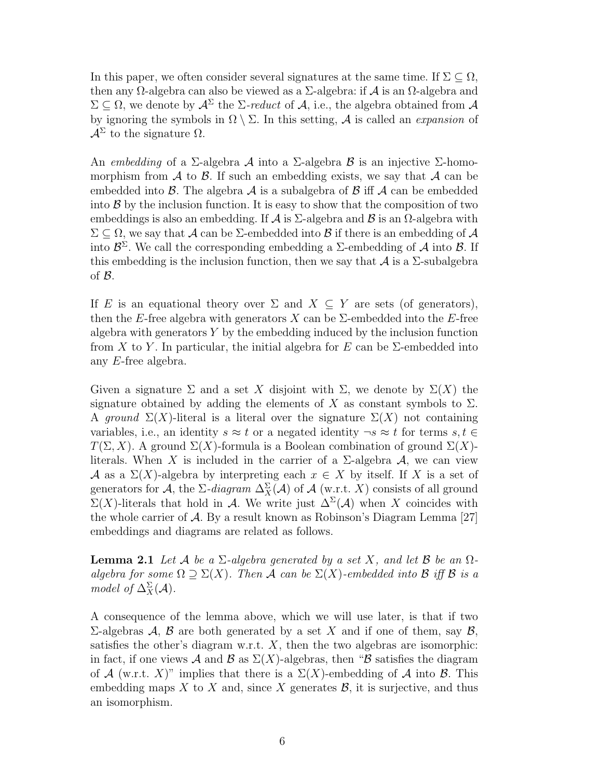In this paper, we often consider several signatures at the same time. If  $\Sigma \subseteq \Omega$ , then any  $\Omega$ -algebra can also be viewed as a  $\Sigma$ -algebra: if  $\mathcal A$  is an  $\Omega$ -algebra and  $\Sigma \subset \Omega$ , we denote by  $\mathcal{A}^{\Sigma}$  the  $\Sigma$ -reduct of  $\mathcal{A}$ , i.e., the algebra obtained from  $\mathcal{A}$ by ignoring the symbols in  $\Omega \setminus \Sigma$ . In this setting, A is called an *expansion* of  $A^{\Sigma}$  to the signature  $\Omega$ .

An embedding of a  $\Sigma$ -algebra A into a  $\Sigma$ -algebra B is an injective  $\Sigma$ -homomorphism from  $\mathcal A$  to  $\mathcal B$ . If such an embedding exists, we say that  $\mathcal A$  can be embedded into  $\beta$ . The algebra  $\mathcal A$  is a subalgebra of  $\beta$  iff  $\mathcal A$  can be embedded into  $\beta$  by the inclusion function. It is easy to show that the composition of two embeddings is also an embedding. If  $\mathcal A$  is  $\Sigma$ -algebra and  $\mathcal B$  is an  $\Omega$ -algebra with  $\Sigma \subseteq \Omega$ , we say that A can be  $\Sigma$ -embedded into B if there is an embedding of A into  $\mathcal{B}^{\Sigma}$ . We call the corresponding embedding a  $\Sigma$ -embedding of A into B. If this embedding is the inclusion function, then we say that  $\mathcal A$  is a  $\Sigma$ -subalgebra of B.

If E is an equational theory over  $\Sigma$  and  $X \subseteq Y$  are sets (of generators), then the E-free algebra with generators X can be  $\Sigma$ -embedded into the E-free algebra with generators  $Y$  by the embedding induced by the inclusion function from X to Y. In particular, the initial algebra for E can be  $\Sigma$ -embedded into any E-free algebra.

Given a signature  $\Sigma$  and a set X disjoint with  $\Sigma$ , we denote by  $\Sigma(X)$  the signature obtained by adding the elements of X as constant symbols to  $\Sigma$ . A ground  $\Sigma(X)$ -literal is a literal over the signature  $\Sigma(X)$  not containing variables, i.e., an identity  $s \approx t$  or a negated identity  $\neg s \approx t$  for terms  $s, t \in$  $T(\Sigma, X)$ . A ground  $\Sigma(X)$ -formula is a Boolean combination of ground  $\Sigma(X)$ literals. When X is included in the carrier of a  $\Sigma$ -algebra  $\mathcal{A}$ , we can view A as a  $\Sigma(X)$ -algebra by interpreting each  $x \in X$  by itself. If X is a set of generators for A, the  $\Sigma$ -diagram  $\Delta_X^{\Sigma}(\mathcal{A})$  of A (w.r.t. X) consists of all ground  $\Sigma(X)$ -literals that hold in A. We write just  $\Delta^{2}(\mathcal{A})$  when X coincides with the whole carrier of A. By a result known as Robinson's Diagram Lemma [27] embeddings and diagrams are related as follows.

**Lemma 2.1** Let A be a  $\Sigma$ -algebra generated by a set X, and let B be an  $\Omega$ algebra for some  $\Omega \supset \Sigma(X)$ . Then A can be  $\Sigma(X)$ -embedded into B iff B is a model of  $\Delta_X^{\Sigma}(\mathcal{A})$ .

A consequence of the lemma above, which we will use later, is that if two  $\Sigma$ -algebras A, B are both generated by a set X and if one of them, say B, satisfies the other's diagram w.r.t.  $X$ , then the two algebras are isomorphic: in fact, if one views A and B as  $\Sigma(X)$ -algebras, then "B satisfies the diagram of A (w.r.t. X)" implies that there is a  $\Sigma(X)$ -embedding of A into B. This embedding maps X to X and, since X generates  $\mathcal{B}$ , it is surjective, and thus an isomorphism.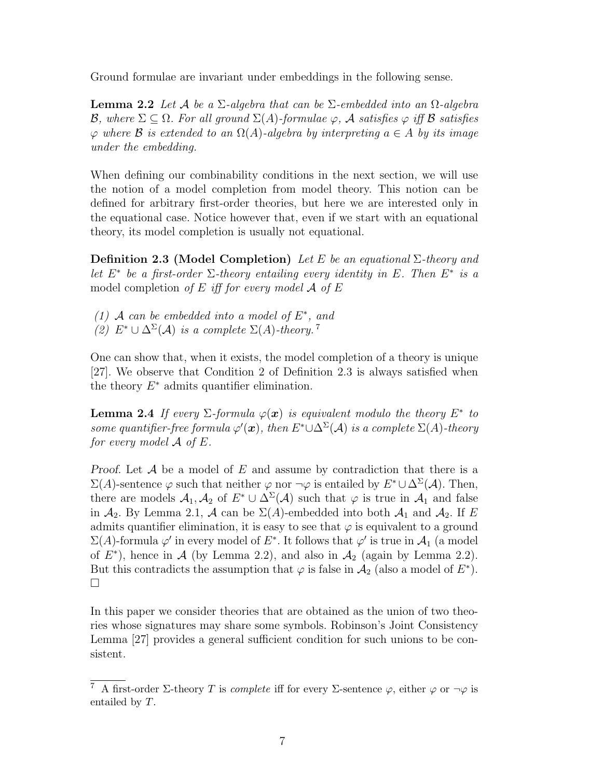Ground formulae are invariant under embeddings in the following sense.

**Lemma 2.2** Let A be a  $\Sigma$ -algebra that can be  $\Sigma$ -embedded into an  $\Omega$ -algebra B, where  $\Sigma \subseteq \Omega$ . For all ground  $\Sigma(A)$ -formulae  $\varphi$ , A satisfies  $\varphi$  iff B satisfies  $\varphi$  where **B** is extended to an  $\Omega(A)$ -algebra by interpreting  $a \in A$  by its image under the embedding.

When defining our combinability conditions in the next section, we will use the notion of a model completion from model theory. This notion can be defined for arbitrary first-order theories, but here we are interested only in the equational case. Notice however that, even if we start with an equational theory, its model completion is usually not equational.

Definition 2.3 (Model Completion) Let E be an equational  $\Sigma$ -theory and let  $E^*$  be a first-order  $\Sigma$ -theory entailing every identity in E. Then  $E^*$  is a model completion of  $E$  iff for every model  $A$  of  $E$ 

- (1) A can be embedded into a model of  $E^*$ , and
- (2)  $E^* \cup \Delta^{\Sigma}(\mathcal{A})$  is a complete  $\Sigma(A)$ -theory.<sup>7</sup>

One can show that, when it exists, the model completion of a theory is unique [27]. We observe that Condition 2 of Definition 2.3 is always satisfied when the theory  $E^*$  admits quantifier elimination.

**Lemma 2.4** If every  $\Sigma$ -formula  $\varphi(x)$  is equivalent modulo the theory  $E^*$  to some quantifier-free formula  $\varphi'(\bm{x})$ , then  $E^* \cup \Delta^{\Sigma}(\mathcal{A})$  is a complete  $\Sigma(A)$ -theory for every model  $\mathcal A$  of  $E$ .

Proof. Let  $A$  be a model of  $E$  and assume by contradiction that there is a  $\Sigma(A)$ -sentence  $\varphi$  such that neither  $\varphi$  nor  $\neg \varphi$  is entailed by  $E^* \cup \Delta^{\Sigma}(A)$ . Then, there are models  $A_1, A_2$  of  $E^* \cup \Delta^{\Sigma}(\mathcal{A})$  such that  $\varphi$  is true in  $\mathcal{A}_1$  and false in  $A_2$ . By Lemma 2.1, A can be  $\Sigma(A)$ -embedded into both  $A_1$  and  $A_2$ . If E admits quantifier elimination, it is easy to see that  $\varphi$  is equivalent to a ground  $\Sigma(A)$ -formula  $\varphi'$  in every model of  $E^*$ . It follows that  $\varphi'$  is true in  $\mathcal{A}_1$  (a model of  $E^*$ ), hence in A (by Lemma 2.2), and also in  $\mathcal{A}_2$  (again by Lemma 2.2). But this contradicts the assumption that  $\varphi$  is false in  $\mathcal{A}_2$  (also a model of  $E^*$ ).  $\Box$ 

In this paper we consider theories that are obtained as the union of two theories whose signatures may share some symbols. Robinson's Joint Consistency Lemma [27] provides a general sufficient condition for such unions to be consistent.

<sup>&</sup>lt;sup>7</sup> A first-order Σ-theory T is *complete* iff for every Σ-sentence  $\varphi$ , either  $\varphi$  or  $\neg \varphi$  is entailed by T.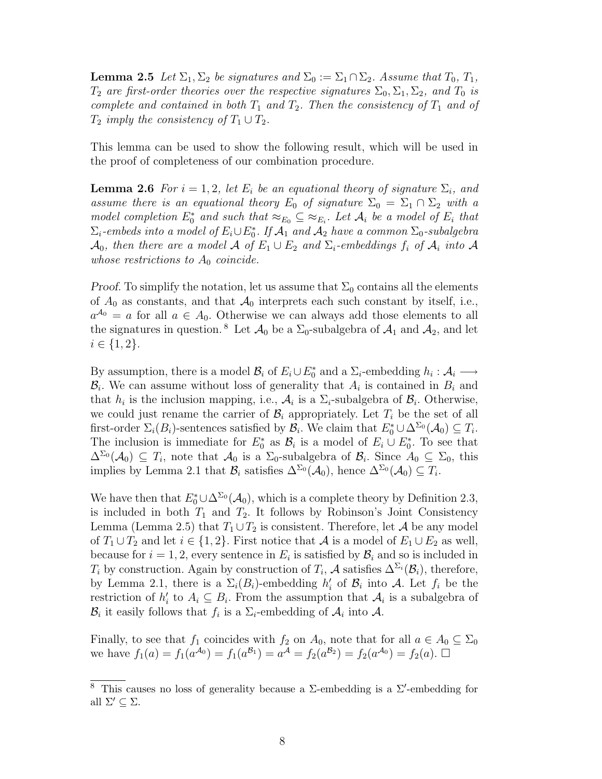**Lemma 2.5** Let  $\Sigma_1$ ,  $\Sigma_2$  be signatures and  $\Sigma_0 := \Sigma_1 \cap \Sigma_2$ . Assume that  $T_0$ ,  $T_1$ ,  $T_2$  are first-order theories over the respective signatures  $\Sigma_0, \Sigma_1, \Sigma_2$ , and  $T_0$  is complete and contained in both  $T_1$  and  $T_2$ . Then the consistency of  $T_1$  and of  $T_2$  imply the consistency of  $T_1 \cup T_2$ .

This lemma can be used to show the following result, which will be used in the proof of completeness of our combination procedure.

**Lemma 2.6** For  $i = 1, 2$ , let  $E_i$  be an equational theory of signature  $\Sigma_i$ , and assume there is an equational theory  $E_0$  of signature  $\Sigma_0 = \Sigma_1 \cap \Sigma_2$  with a model completion  $E_0^*$  and such that  $\approx_{E_0} \subseteq \approx_{E_i}$ . Let  $\mathcal{A}_i$  be a model of  $E_i$  that  $\Sigma_i$ -embeds into a model of  $E_i \cup E_0^*$ . If  $\mathcal{A}_1$  and  $\mathcal{A}_2$  have a common  $\Sigma_0$ -subalgebra  $\mathcal{A}_0$ , then there are a model  $\mathcal A$  of  $E_1\cup E_2$  and  $\Sigma_i$ -embeddings  $f_i$  of  $\mathcal A_i$  into  $\mathcal A$ whose restrictions to  $A_0$  coincide.

*Proof.* To simplify the notation, let us assume that  $\Sigma_0$  contains all the elements of  $A_0$  as constants, and that  $A_0$  interprets each such constant by itself, i.e.,  $a^{A_0} = a$  for all  $a \in A_0$ . Otherwise we can always add those elements to all the signatures in question. <sup>8</sup> Let  $\mathcal{A}_0$  be a  $\Sigma_0$ -subalgebra of  $\mathcal{A}_1$  and  $\mathcal{A}_2$ , and let  $i \in \{1, 2\}.$ 

By assumption, there is a model  $\mathcal{B}_i$  of  $E_i \cup E_0^*$  and a  $\Sigma_i$ -embedding  $h_i : \mathcal{A}_i \longrightarrow$  $\mathcal{B}_i$ . We can assume without loss of generality that  $A_i$  is contained in  $B_i$  and that  $h_i$  is the inclusion mapping, i.e.,  $A_i$  is a  $\Sigma_i$ -subalgebra of  $B_i$ . Otherwise, we could just rename the carrier of  $\mathcal{B}_i$  appropriately. Let  $T_i$  be the set of all first-order  $\Sigma_i(B_i)$ -sentences satisfied by  $\mathcal{B}_i$ . We claim that  $E_0^* \cup \Delta^{\Sigma_0}(\mathcal{A}_0) \subseteq T_i$ . The inclusion is immediate for  $E_0^*$  as  $\mathcal{B}_i$  is a model of  $E_i \cup E_0^*$ . To see that  $\Delta^{\Sigma_0}(\mathcal{A}_0) \subseteq T_i$ , note that  $\mathcal{A}_0$  is a  $\Sigma_0$ -subalgebra of  $\mathcal{B}_i$ . Since  $A_0 \subseteq \Sigma_0$ , this implies by Lemma 2.1 that  $\mathcal{B}_i$  satisfies  $\Delta^{\Sigma_0}(\mathcal{A}_0)$ , hence  $\Delta^{\Sigma_0}(\mathcal{A}_0) \subseteq T_i$ .

We have then that  $E_0^* \cup \Delta^{\Sigma_0}(\mathcal{A}_0)$ , which is a complete theory by Definition 2.3, is included in both  $T_1$  and  $T_2$ . It follows by Robinson's Joint Consistency Lemma (Lemma 2.5) that  $T_1 \cup T_2$  is consistent. Therefore, let A be any model of  $T_1 \cup T_2$  and let  $i \in \{1,2\}$ . First notice that A is a model of  $E_1 \cup E_2$  as well, because for  $i = 1, 2$ , every sentence in  $E_i$  is satisfied by  $\mathcal{B}_i$  and so is included in  $T_i$  by construction. Again by construction of  $T_i$ ,  $\mathcal A$  satisfies  $\Delta^{\Sigma_i}(\mathcal B_i)$ , therefore, by Lemma 2.1, there is a  $\Sigma_i(B_i)$ -embedding  $h'_i$  of  $B_i$  into A. Let  $f_i$  be the restriction of  $h'_i$  to  $A_i \subseteq B_i$ . From the assumption that  $A_i$  is a subalgebra of  $\mathcal{B}_i$  it easily follows that  $f_i$  is a  $\Sigma_i$ -embedding of  $\mathcal{A}_i$  into  $\mathcal{A}$ .

Finally, to see that  $f_1$  coincides with  $f_2$  on  $A_0$ , note that for all  $a \in A_0 \subseteq \Sigma_0$ we have  $f_1(a) = f_1(a^{A_0}) = f_1(a^{B_1}) = a^{\mathcal{A}} = f_2(a^{B_2}) = f_2(a^{\mathcal{A}_0}) = f_2(a)$ .  $\Box$ 

<sup>&</sup>lt;sup>8</sup> This causes no loss of generality because a  $\Sigma$ -embedding is a  $\Sigma'$ -embedding for all  $\Sigma' \subseteq \Sigma$ .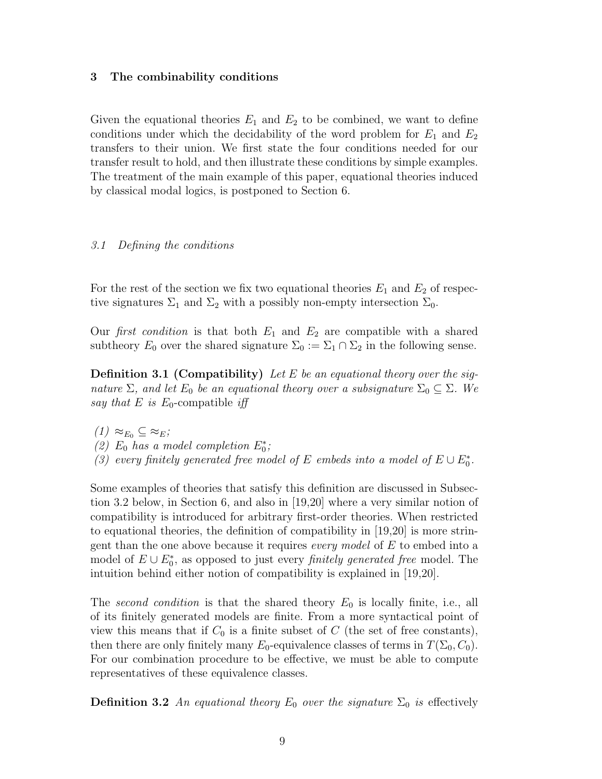# 3 The combinability conditions

Given the equational theories  $E_1$  and  $E_2$  to be combined, we want to define conditions under which the decidability of the word problem for  $E_1$  and  $E_2$ transfers to their union. We first state the four conditions needed for our transfer result to hold, and then illustrate these conditions by simple examples. The treatment of the main example of this paper, equational theories induced by classical modal logics, is postponed to Section 6.

# 3.1 Defining the conditions

For the rest of the section we fix two equational theories  $E_1$  and  $E_2$  of respective signatures  $\Sigma_1$  and  $\Sigma_2$  with a possibly non-empty intersection  $\Sigma_0$ .

Our first condition is that both  $E_1$  and  $E_2$  are compatible with a shared subtheory  $E_0$  over the shared signature  $\Sigma_0 := \Sigma_1 \cap \Sigma_2$  in the following sense.

**Definition 3.1 (Compatibility)** Let E be an equational theory over the signature  $\Sigma$ , and let  $E_0$  be an equational theory over a subsignature  $\Sigma_0 \subseteq \Sigma$ . We say that E is  $E_0$ -compatible iff

- $(1) \approx_{E_0} \subseteq \approx_E;$
- (2)  $E_0$  has a model completion  $E_0^*$ ;
- (3) every finitely generated free model of E embeds into a model of  $E \cup E_0^*$ .

Some examples of theories that satisfy this definition are discussed in Subsection 3.2 below, in Section 6, and also in [19,20] where a very similar notion of compatibility is introduced for arbitrary first-order theories. When restricted to equational theories, the definition of compatibility in [19,20] is more stringent than the one above because it requires *every model* of  $E$  to embed into a model of  $E \cup E_0^*$ , as opposed to just every *finitely generated free* model. The intuition behind either notion of compatibility is explained in [19,20].

The second condition is that the shared theory  $E_0$  is locally finite, i.e., all of its finitely generated models are finite. From a more syntactical point of view this means that if  $C_0$  is a finite subset of C (the set of free constants), then there are only finitely many  $E_0$ -equivalence classes of terms in  $T(\Sigma_0, C_0)$ . For our combination procedure to be effective, we must be able to compute representatives of these equivalence classes.

**Definition 3.2** An equational theory  $E_0$  over the signature  $\Sigma_0$  is effectively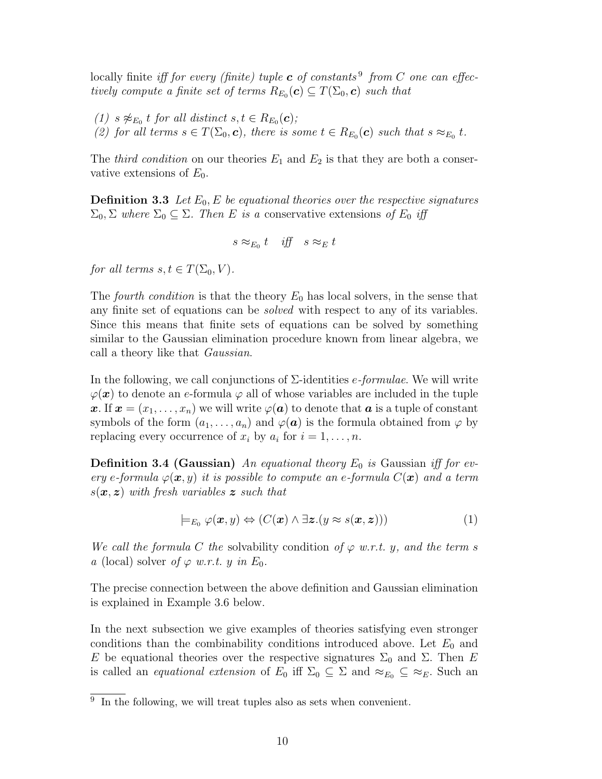locally finite *iff for every (finite) tuple* **c** of constants<sup>9</sup> from C one can effectively compute a finite set of terms  $R_{E_0}(\boldsymbol{c}) \subseteq T(\Sigma_0, \boldsymbol{c})$  such that

(1)  $s \not\approx_{E_0} t$  for all distinct  $s, t \in R_{E_0}(\mathbf{c});$ (2) for all terms  $s \in T(\Sigma_0, c)$ , there is some  $t \in R_{E_0}(c)$  such that  $s \approx_{E_0} t$ .

The *third condition* on our theories  $E_1$  and  $E_2$  is that they are both a conservative extensions of  $E_0$ .

**Definition 3.3** Let  $E_0$ , E be equational theories over the respective signatures  $\Sigma_0$ ,  $\Sigma$  where  $\Sigma_0 \subseteq \Sigma$ . Then E is a conservative extensions of  $E_0$  iff

$$
s \approx_{E_0} t \quad \text{iff} \quad s \approx_E t
$$

for all terms  $s, t \in T(\Sigma_0, V)$ .

The fourth condition is that the theory  $E_0$  has local solvers, in the sense that any finite set of equations can be solved with respect to any of its variables. Since this means that finite sets of equations can be solved by something similar to the Gaussian elimination procedure known from linear algebra, we call a theory like that Gaussian.

In the following, we call conjunctions of  $\Sigma$ -identities *e-formulae*. We will write  $\varphi(\boldsymbol{x})$  to denote an e-formula  $\varphi$  all of whose variables are included in the tuple x. If  $x = (x_1, \ldots, x_n)$  we will write  $\varphi(a)$  to denote that a is a tuple of constant symbols of the form  $(a_1, \ldots, a_n)$  and  $\varphi(\mathbf{a})$  is the formula obtained from  $\varphi$  by replacing every occurrence of  $x_i$  by  $a_i$  for  $i = 1, \ldots, n$ .

**Definition 3.4 (Gaussian)** An equational theory  $E_0$  is Gaussian iff for every e-formula  $\varphi(\bm{x}, y)$  it is possible to compute an e-formula  $C(\bm{x})$  and a term  $s(x, z)$  with fresh variables z such that

$$
\models_{E_0} \varphi(\mathbf{x}, y) \Leftrightarrow (C(\mathbf{x}) \land \exists \mathbf{z}.(y \approx s(\mathbf{x}, \mathbf{z}))) \tag{1}
$$

We call the formula C the solvability condition of  $\varphi$  w.r.t. y, and the term s a (local) solver of  $\varphi$  w.r.t. y in  $E_0$ .

The precise connection between the above definition and Gaussian elimination is explained in Example 3.6 below.

In the next subsection we give examples of theories satisfying even stronger conditions than the combinability conditions introduced above. Let  $E_0$  and E be equational theories over the respective signatures  $\Sigma_0$  and  $\Sigma$ . Then E is called an *equational extension* of  $E_0$  iff  $\Sigma_0 \subseteq \Sigma$  and  $\approx_{E_0} \subseteq \approx_E$ . Such an

<sup>&</sup>lt;sup>9</sup> In the following, we will treat tuples also as sets when convenient.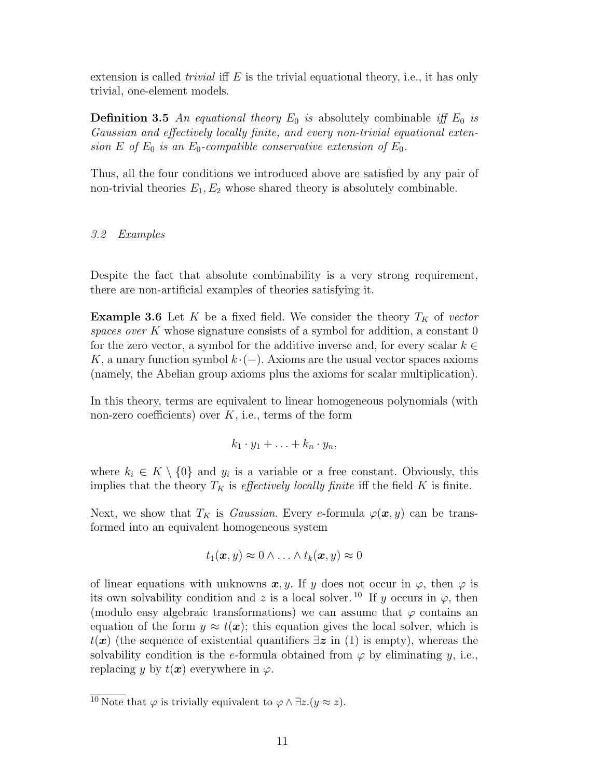extension is called *trivial* iff  $E$  is the trivial equational theory, i.e., it has only trivial, one-element models.

**Definition 3.5** An equational theory  $E_0$  is absolutely combinable iff  $E_0$  is Gaussian and effectively locally finite, and every non-trivial equational extension E of  $E_0$  is an  $E_0$ -compatible conservative extension of  $E_0$ .

Thus, all the four conditions we introduced above are satisfied by any pair of non-trivial theories  $E_1, E_2$  whose shared theory is absolutely combinable.

# 3.2 Examples

Despite the fact that absolute combinability is a very strong requirement, there are non-artificial examples of theories satisfying it.

**Example 3.6** Let K be a fixed field. We consider the theory  $T_K$  of vector spaces over K whose signature consists of a symbol for addition, a constant  $0$ for the zero vector, a symbol for the additive inverse and, for every scalar  $k \in$ K, a unary function symbol  $k \cdot (-)$ . Axioms are the usual vector spaces axioms (namely, the Abelian group axioms plus the axioms for scalar multiplication).

In this theory, terms are equivalent to linear homogeneous polynomials (with non-zero coefficients) over  $K$ , i.e., terms of the form

$$
k_1 \cdot y_1 + \ldots + k_n \cdot y_n,
$$

where  $k_i \in K \setminus \{0\}$  and  $y_i$  is a variable or a free constant. Obviously, this implies that the theory  $T_K$  is *effectively locally finite* iff the field K is finite.

Next, we show that  $T_K$  is *Gaussian*. Every e-formula  $\varphi(\boldsymbol{x}, y)$  can be transformed into an equivalent homogeneous system

$$
t_1(\boldsymbol{x},y) \approx 0 \wedge \ldots \wedge t_k(\boldsymbol{x},y) \approx 0
$$

of linear equations with unknowns  $x, y$ . If y does not occur in  $\varphi$ , then  $\varphi$  is its own solvability condition and z is a local solver.<sup>10</sup> If y occurs in  $\varphi$ , then (modulo easy algebraic transformations) we can assume that  $\varphi$  contains an equation of the form  $y \approx t(x)$ ; this equation gives the local solver, which is  $t(x)$  (the sequence of existential quantifiers  $\exists z$  in (1) is empty), whereas the solvability condition is the e-formula obtained from  $\varphi$  by eliminating y, i.e., replacing y by  $t(x)$  everywhere in  $\varphi$ .

 $\overline{^{10} \text{ Note}}$  that  $\varphi$  is trivially equivalent to  $\varphi \wedge \exists z.(y \approx z)$ .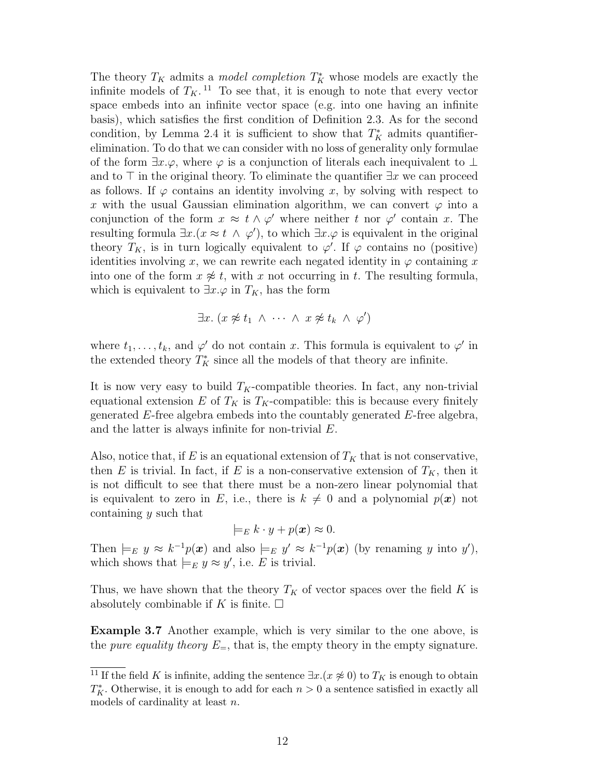The theory  $T_K$  admits a *model completion*  $T_K^*$  whose models are exactly the infinite models of  $T_K$ .<sup>11</sup> To see that, it is enough to note that every vector space embeds into an infinite vector space (e.g. into one having an infinite basis), which satisfies the first condition of Definition 2.3. As for the second condition, by Lemma 2.4 it is sufficient to show that  $T_K^*$  admits quantifierelimination. To do that we can consider with no loss of generality only formulae of the form  $\exists x.\varphi$ , where  $\varphi$  is a conjunction of literals each inequivalent to  $\bot$ and to  $\top$  in the original theory. To eliminate the quantifier  $\exists x$  we can proceed as follows. If  $\varphi$  contains an identity involving x, by solving with respect to x with the usual Gaussian elimination algorithm, we can convert  $\varphi$  into a conjunction of the form  $x \approx t \wedge \varphi'$  where neither t nor  $\varphi'$  contain x. The resulting formula  $\exists x.(x \approx t \land \varphi')$ , to which  $\exists x.\varphi$  is equivalent in the original theory  $T_K$ , is in turn logically equivalent to  $\varphi'$ . If  $\varphi$  contains no (positive) identities involving x, we can rewrite each negated identity in  $\varphi$  containing x into one of the form  $x \not\approx t$ , with x not occurring in t. The resulting formula, which is equivalent to  $\exists x.\varphi$  in  $T_K$ , has the form

$$
\exists x. (x \not\approx t_1 \land \cdots \land x \not\approx t_k \land \varphi')
$$

where  $t_1, \ldots, t_k$ , and  $\varphi'$  do not contain x. This formula is equivalent to  $\varphi'$  in the extended theory  $T_K^*$  since all the models of that theory are infinite.

It is now very easy to build  $T_K$ -compatible theories. In fact, any non-trivial equational extension E of  $T_K$  is  $T_K$ -compatible: this is because every finitely generated E-free algebra embeds into the countably generated E-free algebra, and the latter is always infinite for non-trivial E.

Also, notice that, if E is an equational extension of  $T_K$  that is not conservative, then E is trivial. In fact, if E is a non-conservative extension of  $T_K$ , then it is not difficult to see that there must be a non-zero linear polynomial that is equivalent to zero in E, i.e., there is  $k \neq 0$  and a polynomial  $p(x)$  not containing y such that

$$
\models_E k \cdot y + p(\boldsymbol{x}) \approx 0.
$$

Then  $\models_E y \approx k^{-1}p(x)$  and also  $\models_E y' \approx k^{-1}p(x)$  (by renaming y into y'), which shows that  $\models_E y \approx y'$ , i.e. E is trivial.

Thus, we have shown that the theory  $T_K$  of vector spaces over the field K is absolutely combinable if K is finite.  $\square$ 

Example 3.7 Another example, which is very similar to the one above, is the *pure equality theory*  $E_{=}$ , that is, the empty theory in the empty signature.

<sup>&</sup>lt;sup>11</sup> If the field K is infinite, adding the sentence  $\exists x.(x \not\approx 0)$  to  $T_K$  is enough to obtain  $T_K^*$ . Otherwise, it is enough to add for each  $n > 0$  a sentence satisfied in exactly all models of cardinality at least n.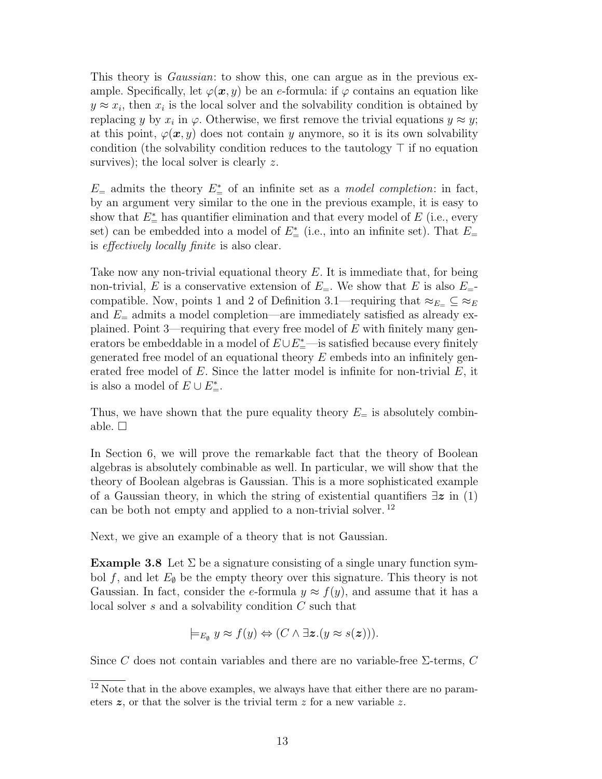This theory is *Gaussian*: to show this, one can argue as in the previous example. Specifically, let  $\varphi(\mathbf{x}, y)$  be an e-formula: if  $\varphi$  contains an equation like  $y \approx x_i$ , then  $x_i$  is the local solver and the solvability condition is obtained by replacing y by  $x_i$  in  $\varphi$ . Otherwise, we first remove the trivial equations  $y \approx y$ ; at this point,  $\varphi(\mathbf{x}, y)$  does not contain y anymore, so it is its own solvability condition (the solvability condition reduces to the tautology  $\top$  if no equation survives); the local solver is clearly z.

 $E_{\pm}$  admits the theory  $E_{\pm}^*$  of an infinite set as a *model completion*: in fact, by an argument very similar to the one in the previous example, it is easy to show that  $E^*$  has quantifier elimination and that every model of E (i.e., every set) can be embedded into a model of  $E^*_{=}$  (i.e., into an infinite set). That  $E=$ is effectively locally finite is also clear.

Take now any non-trivial equational theory  $E$ . It is immediate that, for being non-trivial, E is a conservative extension of  $E_{=}$ . We show that E is also  $E_{=}$ compatible. Now, points 1 and 2 of Definition 3.1—requiring that  $\approx_{E=} \subseteq \approx_E$ and  $E_{\pm}$  admits a model completion—are immediately satisfied as already explained. Point 3—requiring that every free model of  $E$  with finitely many generators be embeddable in a model of  $E \cup E^*_{=}$ —is satisfied because every finitely generated free model of an equational theory  $E$  embeds into an infinitely generated free model of  $E$ . Since the latter model is infinite for non-trivial  $E$ , it is also a model of  $E \cup E^*_{=}$ .

Thus, we have shown that the pure equality theory  $E_{\pm}$  is absolutely combinable.  $\square$ 

In Section 6, we will prove the remarkable fact that the theory of Boolean algebras is absolutely combinable as well. In particular, we will show that the theory of Boolean algebras is Gaussian. This is a more sophisticated example of a Gaussian theory, in which the string of existential quantifiers  $\exists z$  in (1) can be both not empty and applied to a non-trivial solver. <sup>12</sup>

Next, we give an example of a theory that is not Gaussian.

**Example 3.8** Let  $\Sigma$  be a signature consisting of a single unary function symbol f, and let  $E_{\emptyset}$  be the empty theory over this signature. This theory is not Gaussian. In fact, consider the e-formula  $y \approx f(y)$ , and assume that it has a local solver s and a solvability condition C such that

$$
\models_{E_\emptyset} y \approx f(y) \Leftrightarrow (C \land \exists z. (y \approx s(z))).
$$

Since C does not contain variables and there are no variable-free  $\Sigma$ -terms, C

 $12$  Note that in the above examples, we always have that either there are no parameters  $z$ , or that the solver is the trivial term  $z$  for a new variable  $z$ .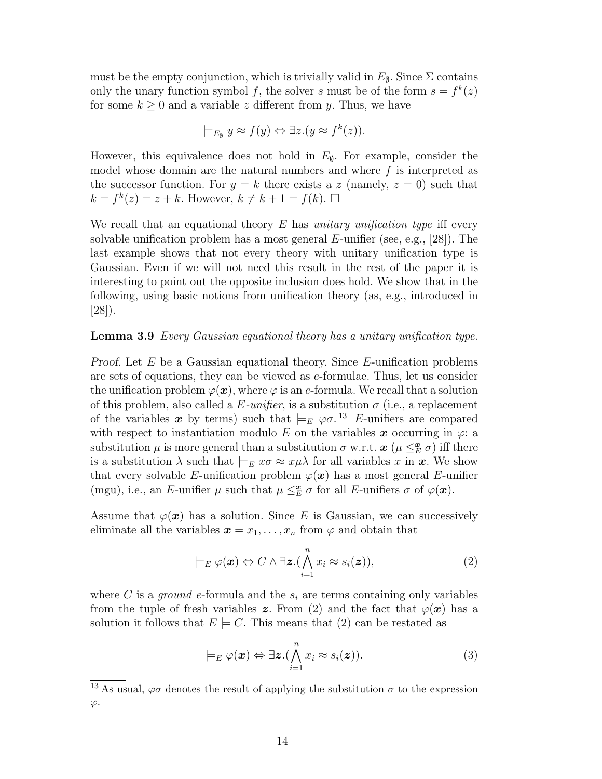must be the empty conjunction, which is trivially valid in  $E_{\phi}$ . Since  $\Sigma$  contains only the unary function symbol f, the solver s must be of the form  $s = f^k(z)$ for some  $k \geq 0$  and a variable z different from y. Thus, we have

$$
\models_{E_{\emptyset}} y \approx f(y) \Leftrightarrow \exists z.(y \approx f^k(z)).
$$

However, this equivalence does not hold in  $E_{\emptyset}$ . For example, consider the model whose domain are the natural numbers and where  $f$  is interpreted as the successor function. For  $y = k$  there exists a z (namely,  $z = 0$ ) such that  $k = f^k(z) = z + k$ . However,  $k \neq k + 1 = f(k)$ .  $\Box$ 

We recall that an equational theory  $E$  has unitary unification type iff every solvable unification problem has a most general  $E$ -unifier (see, e.g., [28]). The last example shows that not every theory with unitary unification type is Gaussian. Even if we will not need this result in the rest of the paper it is interesting to point out the opposite inclusion does hold. We show that in the following, using basic notions from unification theory (as, e.g., introduced in [28]).

# Lemma 3.9 Every Gaussian equational theory has a unitary unification type.

Proof. Let  $E$  be a Gaussian equational theory. Since  $E$ -unification problems are sets of equations, they can be viewed as e-formulae. Thus, let us consider the unification problem  $\varphi(\mathbf{x})$ , where  $\varphi$  is an e-formula. We recall that a solution of this problem, also called a E-unifier, is a substitution  $\sigma$  (i.e., a replacement of the variables x by terms) such that  $\models_E \varphi \sigma$ .<sup>13</sup> E-unifiers are compared with respect to instantiation modulo E on the variables  $x$  occurring in  $\varphi$ : a substitution  $\mu$  is more general than a substitution  $\sigma$  w.r.t.  $\boldsymbol{x}$  ( $\mu \leq^{\boldsymbol{x}}_{E} \sigma$ ) iff there is a substitution  $\lambda$  such that  $\models_E x\sigma \approx x\mu\lambda$  for all variables x in x. We show that every solvable E-unification problem  $\varphi(\boldsymbol{x})$  has a most general E-unifier (mgu), i.e., an E-unifier  $\mu$  such that  $\mu \leq_E^{\mathbf{z}} \sigma$  for all E-unifiers  $\sigma$  of  $\varphi(\mathbf{x})$ .

Assume that  $\varphi(x)$  has a solution. Since E is Gaussian, we can successively eliminate all the variables  $\mathbf{x} = x_1, \ldots, x_n$  from  $\varphi$  and obtain that

$$
\models_E \varphi(\boldsymbol{x}) \Leftrightarrow C \land \exists \boldsymbol{z}. (\bigwedge_{i=1}^n x_i \approx s_i(\boldsymbol{z})), \qquad (2)
$$

where C is a *ground e*-formula and the  $s_i$  are terms containing only variables from the tuple of fresh variables z. From (2) and the fact that  $\varphi(\bm{x})$  has a solution it follows that  $E \models C$ . This means that (2) can be restated as

$$
\models_E \varphi(\boldsymbol{x}) \Leftrightarrow \exists \boldsymbol{z}. (\bigwedge_{i=1}^n x_i \approx s_i(\boldsymbol{z})). \tag{3}
$$

 $\frac{13}{13}$  As usual,  $\varphi\sigma$  denotes the result of applying the substitution  $\sigma$  to the expression  $\varphi.$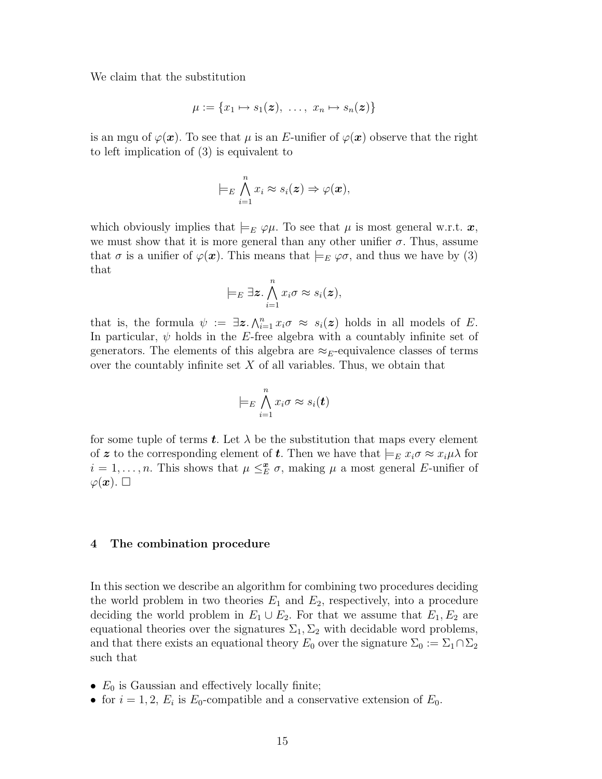We claim that the substitution

$$
\mu := \{x_1 \mapsto s_1(\boldsymbol{z}), \ \ldots, \ x_n \mapsto s_n(\boldsymbol{z})\}
$$

is an mgu of  $\varphi(\mathbf{x})$ . To see that  $\mu$  is an E-unifier of  $\varphi(\mathbf{x})$  observe that the right to left implication of (3) is equivalent to

$$
\models_E \bigwedge_{i=1}^n x_i \approx s_i(\boldsymbol{z}) \Rightarrow \varphi(\boldsymbol{x}),
$$

which obviously implies that  $\models_E \varphi \mu$ . To see that  $\mu$  is most general w.r.t.  $\bm{x}$ , we must show that it is more general than any other unifier  $\sigma$ . Thus, assume that  $\sigma$  is a unifier of  $\varphi(\mathbf{x})$ . This means that  $\models_E \varphi\sigma$ , and thus we have by (3) that

$$
\models_E \exists z \cdot \bigwedge_{i=1}^n x_i \sigma \approx s_i(z),
$$

that is, the formula  $\psi := \exists z \, \Lambda_{i=1}^n x_i \sigma \approx s_i(z)$  holds in all models of E. In particular,  $\psi$  holds in the E-free algebra with a countably infinite set of generators. The elements of this algebra are  $\approx_E$ -equivalence classes of terms over the countably infinite set  $X$  of all variables. Thus, we obtain that

$$
\models_E \bigwedge_{i=1}^n x_i \sigma \approx s_i(\boldsymbol{t})
$$

for some tuple of terms t. Let  $\lambda$  be the substitution that maps every element of z to the corresponding element of t. Then we have that  $\models_E x_i \sigma \approx x_i \mu \lambda$  for  $i = 1, \ldots, n$ . This shows that  $\mu \leq_E^{\mathbf{z}} \sigma$ , making  $\mu$  a most general E-unifier of  $\varphi(\boldsymbol{x})$ .  $\square$ 

#### 4 The combination procedure

In this section we describe an algorithm for combining two procedures deciding the world problem in two theories  $E_1$  and  $E_2$ , respectively, into a procedure deciding the world problem in  $E_1 \cup E_2$ . For that we assume that  $E_1, E_2$  are equational theories over the signatures  $\Sigma_1, \Sigma_2$  with decidable word problems, and that there exists an equational theory  $E_0$  over the signature  $\Sigma_0 := \Sigma_1 \cap \Sigma_2$ such that

- $E_0$  is Gaussian and effectively locally finite;
- for  $i = 1, 2, E_i$  is  $E_0$ -compatible and a conservative extension of  $E_0$ .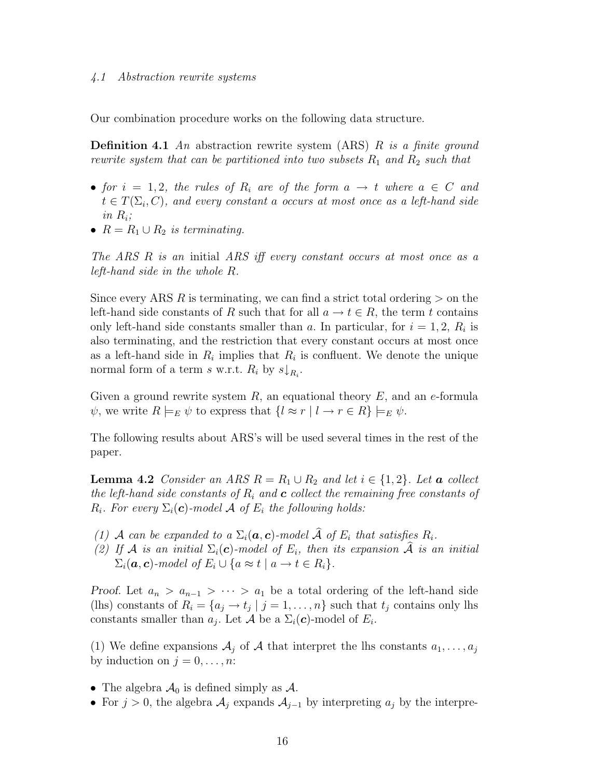#### 4.1 Abstraction rewrite systems

Our combination procedure works on the following data structure.

**Definition 4.1** An abstraction rewrite system (ARS) R is a finite ground rewrite system that can be partitioned into two subsets  $R_1$  and  $R_2$  such that

- for  $i = 1, 2$ , the rules of  $R_i$  are of the form  $a \rightarrow t$  where  $a \in C$  and  $t \in T(\Sigma_i, C)$ , and every constant a occurs at most once as a left-hand side in  $R_i$ ;
- $R = R_1 \cup R_2$  is terminating.

The ARS R is an initial ARS iff every constant occurs at most once as a left-hand side in the whole R.

Since every ARS R is terminating, we can find a strict total ordering  $>$  on the left-hand side constants of R such that for all  $a \to t \in R$ , the term t contains only left-hand side constants smaller than a. In particular, for  $i = 1, 2, R_i$  is also terminating, and the restriction that every constant occurs at most once as a left-hand side in  $R_i$  implies that  $R_i$  is confluent. We denote the unique normal form of a term s w.r.t.  $R_i$  by  $s\downarrow_{R_i}$ .

Given a ground rewrite system  $R$ , an equational theory  $E$ , and an e-formula  $\psi$ , we write  $R \models_E \psi$  to express that  $\{l \approx r \mid l \to r \in R\} \models_E \psi$ .

The following results about ARS's will be used several times in the rest of the paper.

**Lemma 4.2** Consider an ARS  $R = R_1 \cup R_2$  and let  $i \in \{1,2\}$ . Let **a** collect the left-hand side constants of  $R_i$  and  $\boldsymbol{c}$  collect the remaining free constants of  $R_i$ . For every  $\Sigma_i(c)$ -model A of  $E_i$  the following holds:

- (1) A can be expanded to a  $\Sigma_i(\mathbf{a}, \mathbf{c})$ -model  $\widehat{A}$  of  $E_i$  that satisfies  $R_i$ .
- (2) If A is an initial  $\Sigma_i(c)$ -model of  $E_i$ , then its expansion  $\hat{A}$  is an initial  $\Sigma_i(\mathbf{a}, \mathbf{c})$ -model of  $E_i \cup \{a \approx t \mid a \rightarrow t \in R_i\}.$

Proof. Let  $a_n > a_{n-1} > \cdots > a_1$  be a total ordering of the left-hand side (lhs) constants of  $R_i = \{a_j \rightarrow t_j \mid j = 1, \ldots, n\}$  such that  $t_j$  contains only lhs constants smaller than  $a_j$ . Let A be a  $\Sigma_i(c)$ -model of  $E_i$ .

(1) We define expansions  $\mathcal{A}_j$  of  $\mathcal A$  that interpret the lhs constants  $a_1, \ldots, a_j$ by induction on  $j = 0, \ldots, n$ :

- The algebra  $\mathcal{A}_0$  is defined simply as  $\mathcal{A}$ .
- For  $j > 0$ , the algebra  $\mathcal{A}_j$  expands  $\mathcal{A}_{j-1}$  by interpreting  $a_j$  by the interpre-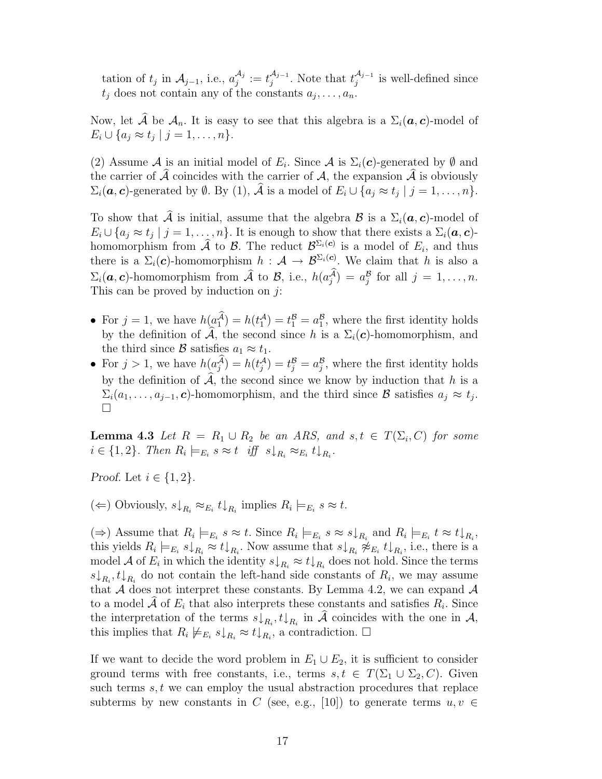tation of  $t_j$  in  $\mathcal{A}_{j-1}$ , i.e.,  $a_j^{\mathcal{A}_j}$  $\frac{\mathcal{A}_j}{j}:=t_j^{\mathcal{A}_{j-1}}$  $\mathcal{A}_{j-1}$ . Note that  $t_j^{\mathcal{A}_{j-1}}$  $j_j^{\mathcal{A}_{j-1}}$  is well-defined since  $t_j$  does not contain any of the constants  $a_j, \ldots, a_n$ .

Now, let  $\mathcal A$  be  $\mathcal A_n$ . It is easy to see that this algebra is a  $\Sigma_i(\boldsymbol a, \boldsymbol c)$ -model of  $E_i \cup \{a_j \approx t_j \mid j = 1, \ldots, n\}.$ 

(2) Assume A is an initial model of  $E_i$ . Since A is  $\Sigma_i(c)$ -generated by  $\emptyset$  and the carrier of  $\tilde{\mathcal{A}}$  coincides with the carrier of  $\mathcal{A}$ , the expansion  $\tilde{\mathcal{A}}$  is obviously  $\Sigma_i(\boldsymbol{a}, \boldsymbol{c})$ -generated by  $\emptyset$ . By (1),  $\mathcal A$  is a model of  $E_i \cup \{a_j \approx t_j \mid j = 1, \ldots, n\}$ .

To show that  $\hat{\mathcal{A}}$  is initial, assume that the algebra  $\mathcal{B}$  is a  $\Sigma_i(\boldsymbol{a}, \boldsymbol{c})$ -model of  $E_i \cup \{a_j \approx t_j \mid j = 1, \ldots, n\}$ . It is enough to show that there exists a  $\Sigma_i(\boldsymbol{a}, \boldsymbol{c})$ homomorphism from  $\hat{\mathcal{A}}$  to  $\mathcal{B}$ . The reduct  $\mathcal{B}_{\Sigma_i}(c)$  is a model of  $E_i$ , and thus there is a  $\Sigma_i(c)$ -homomorphism  $h: \mathcal{A} \to \mathcal{B}^{\Sigma_i(c)}$ . We claim that h is also a  $\Sigma_i(\boldsymbol{a}, \boldsymbol{c})$ -homomorphism from  $\widehat{\mathcal{A}}$  to  $\mathcal{B}$ , i.e.,  $h(a_j^{\mathcal{A}}) = a_j^{\mathcal{B}}$  for all  $j = 1, \ldots, n$ . This can be proved by induction on  $j$ :

- For  $j = 1$ , we have  $h(a_1^{\mathcal{A}}) = h(t_1^{\mathcal{A}}) = t_1^{\mathcal{B}} = a_1^{\mathcal{B}}$ , where the first identity holds by the definition of  $\mathcal{A}$ , the second since h is a  $\Sigma_i(\mathbf{c})$ -homomorphism, and the third since B satisfies  $a_1 \approx t_1$ .
- For  $j > 1$ , we have  $h(a_j^{\mathcal{A}}) = h(t_j^{\mathcal{A}}) = t_j^{\mathcal{B}} = a_j^{\mathcal{B}}$ , where the first identity holds by the definition of  $\mathcal{A}$ , the second since we know by induction that h is a  $\Sigma_i(a_1,\ldots,a_{j-1},c)$ -homomorphism, and the third since  $\mathcal B$  satisfies  $a_j \approx t_j$ . П

**Lemma 4.3** Let  $R = R_1 \cup R_2$  be an ARS, and  $s,t \in T(\Sigma_i, C)$  for some  $i \in \{1,2\}$ . Then  $R_i \models_{E_i} s \approx t$  iff  $s \downarrow_{R_i} \approx_{E_i} t \downarrow_{R_i}$ .

Proof. Let  $i \in \{1,2\}$ .

( $\Leftarrow$ ) Obviously,  $s\downarrow_{R_i} \approx_{E_i} t\downarrow_{R_i}$  implies  $R_i \models_{E_i} s \approx t$ .

 $(\Rightarrow)$  Assume that  $R_i \models_{E_i} s \approx t$ . Since  $R_i \models_{E_i} s \approx s \downarrow_{R_i}$  and  $R_i \models_{E_i} t \approx t \downarrow_{R_i}$ , this yields  $R_i \models_{E_i} s\downarrow_{R_i} \approx t\downarrow_{R_i}$ . Now assume that  $s\downarrow_{R_i} \not\approx_{E_i} t\downarrow_{R_i}$ , i.e., there is a model A of  $E_i$  in which the identity  $s \downarrow_{R_i} \approx t \downarrow_{R_i}$  does not hold. Since the terms  $s\downarrow_{R_i}, t\downarrow_{R_i}$  do not contain the left-hand side constants of  $R_i$ , we may assume that  $A$  does not interpret these constants. By Lemma 4.2, we can expand  $A$ to a model A of  $E_i$  that also interprets these constants and satisfies  $R_i$ . Since the interpretation of the terms  $s\downarrow_{R_i}, t\downarrow_{R_i}$  in  $\mathcal A$  coincides with the one in  $\mathcal A$ , this implies that  $R_i \not\models_{E_i} s\downarrow_{R_i} \approx t\downarrow_{R_i}$ , a contradiction.  $\Box$ 

If we want to decide the word problem in  $E_1 \cup E_2$ , it is sufficient to consider ground terms with free constants, i.e., terms  $s, t \in T(\Sigma_1 \cup \Sigma_2, C)$ . Given such terms  $s, t$  we can employ the usual abstraction procedures that replace subterms by new constants in C (see, e.g., [10]) to generate terms  $u, v \in$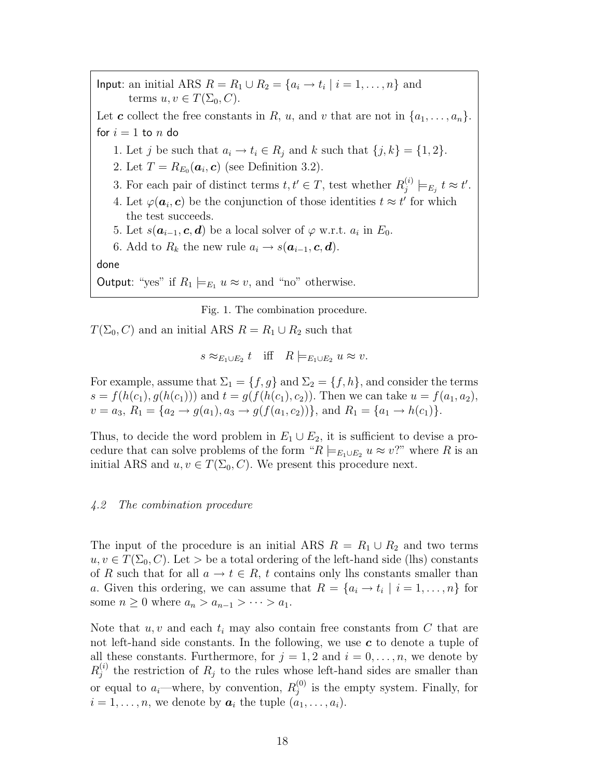Input: an initial ARS  $R = R_1 \cup R_2 = \{a_i \rightarrow t_i \mid i = 1, \ldots, n\}$  and terms  $u, v \in T(\Sigma_0, C)$ . Let **c** collect the free constants in R, u, and v that are not in  $\{a_1, \ldots, a_n\}$ . for  $i = 1$  to n do 1. Let j be such that  $a_i \rightarrow t_i \in R_j$  and k such that  $\{j,k\} = \{1,2\}.$ 2. Let  $T = R_{E_0}(\boldsymbol{a}_i, \boldsymbol{c})$  (see Definition 3.2). 3. For each pair of distinct terms  $t, t' \in T$ , test whether  $R_i^{(i)}$  $\big\langle \begin{smallmatrix} i\ \ \, \\ j\end{smallmatrix}\big\rangle \models_{E_j} t \approx t'.$ 4. Let  $\varphi(\mathbf{a}_i, \mathbf{c})$  be the conjunction of those identities  $t \approx t'$  for which the test succeeds. 5. Let  $s(\boldsymbol{a}_{i-1}, \boldsymbol{c}, \boldsymbol{d})$  be a local solver of  $\varphi$  w.r.t.  $a_i$  in  $E_0$ . 6. Add to  $R_k$  the new rule  $a_i \rightarrow s(\boldsymbol{a}_{i-1}, \boldsymbol{c}, \boldsymbol{d})$ .

done

Output: "yes" if  $R_1 \models_{E_1} u \approx v$ , and "no" otherwise.

Fig. 1. The combination procedure.

 $T(\Sigma_0, C)$  and an initial ARS  $R = R_1 \cup R_2$  such that

 $s \approx_{E_1 \cup E_2} t$  iff  $R \models_{E_1 \cup E_2} u \approx v$ .

For example, assume that  $\Sigma_1 = \{f, g\}$  and  $\Sigma_2 = \{f, h\}$ , and consider the terms  $s = f(h(c_1), g(h(c_1)))$  and  $t = g(f(h(c_1), c_2))$ . Then we can take  $u = f(a_1, a_2)$ ,  $v = a_3, R_1 = \{a_2 \to g(a_1), a_3 \to g(f(a_1, c_2))\}$ , and  $R_1 = \{a_1 \to h(c_1)\}.$ 

Thus, to decide the word problem in  $E_1 \cup E_2$ , it is sufficient to devise a procedure that can solve problems of the form " $R \models_{E_1 \cup E_2} u \approx v$ ?" where R is an initial ARS and  $u, v \in T(\Sigma_0, C)$ . We present this procedure next.

#### 4.2 The combination procedure

The input of the procedure is an initial ARS  $R = R_1 \cup R_2$  and two terms  $u, v \in T(\Sigma_0, C)$ . Let  $\gt$  be a total ordering of the left-hand side (lhs) constants of R such that for all  $a \to t \in R$ , t contains only lhs constants smaller than a. Given this ordering, we can assume that  $R = \{a_i \rightarrow t_i \mid i = 1, \ldots, n\}$  for some  $n \geq 0$  where  $a_n > a_{n-1} > \cdots > a_1$ .

Note that  $u, v$  and each  $t_i$  may also contain free constants from C that are not left-hand side constants. In the following, we use  $c$  to denote a tuple of all these constants. Furthermore, for  $j = 1, 2$  and  $i = 0, \ldots, n$ , we denote by  $R_i^{(i)}$  $j_j^{(t)}$  the restriction of  $R_j$  to the rules whose left-hand sides are smaller than or equal to  $a_i$ —where, by convention,  $R_i^{(0)}$  $j^{(0)}$  is the empty system. Finally, for  $i = 1, \ldots, n$ , we denote by  $a_i$  the tuple  $(a_1, \ldots, a_i)$ .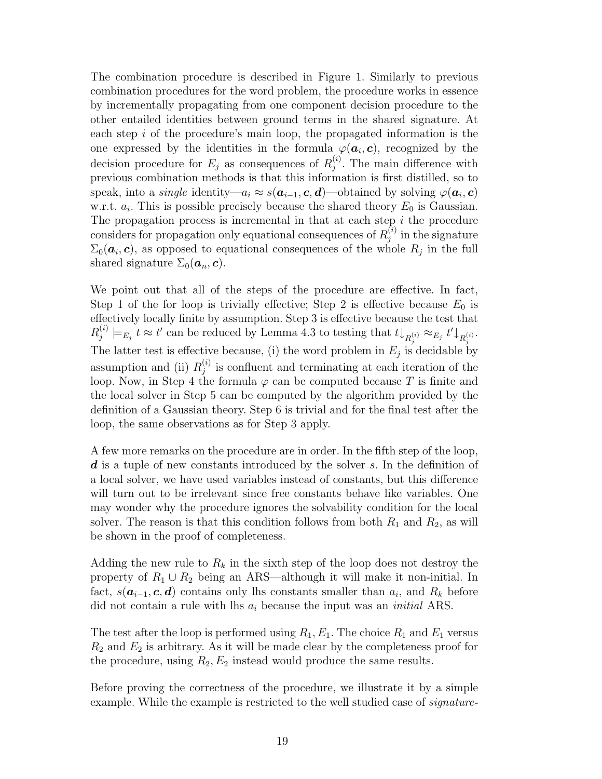The combination procedure is described in Figure 1. Similarly to previous combination procedures for the word problem, the procedure works in essence by incrementally propagating from one component decision procedure to the other entailed identities between ground terms in the shared signature. At each step  $i$  of the procedure's main loop, the propagated information is the one expressed by the identities in the formula  $\varphi(\boldsymbol{a}_i,\boldsymbol{c})$ , recognized by the decision procedure for  $E_j$  as consequences of  $R_j^{(i)}$  $j^{(i)}$ . The main difference with previous combination methods is that this information is first distilled, so to speak, into a *single* identity— $a_i \approx s(\boldsymbol{a}_{i-1}, \boldsymbol{c}, \boldsymbol{d})$ —obtained by solving  $\varphi(\boldsymbol{a}_i, \boldsymbol{c})$ w.r.t.  $a_i$ . This is possible precisely because the shared theory  $E_0$  is Gaussian. The propagation process is incremental in that at each step  $i$  the procedure considers for propagation only equational consequences of  $R_i^{(i)}$  $j_j^{(i)}$  in the signature  $\Sigma_0(\boldsymbol{a}_i, \boldsymbol{c})$ , as opposed to equational consequences of the whole  $R_j$  in the full shared signature  $\Sigma_0(\boldsymbol{a}_n, \boldsymbol{c})$ .

We point out that all of the steps of the procedure are effective. In fact, Step 1 of the for loop is trivially effective; Step 2 is effective because  $E_0$  is effectively locally finite by assumption. Step 3 is effective because the test that  $R_i^{(i)}$  $j^{(i)} \models_{E_j} t \approx t'$  can be reduced by Lemma 4.3 to testing that  $t \downarrow_{R_j^{(i)}} \approx_{E_j} t' \downarrow_{R_j^{(i)}}$ . The latter test is effective because, (i) the word problem in  $E_j$  is decidable by assumption and (ii)  $R_i^{(i)}$  $j^{(i)}$  is confluent and terminating at each iteration of the loop. Now, in Step 4 the formula  $\varphi$  can be computed because T is finite and the local solver in Step 5 can be computed by the algorithm provided by the definition of a Gaussian theory. Step 6 is trivial and for the final test after the loop, the same observations as for Step 3 apply.

A few more remarks on the procedure are in order. In the fifth step of the loop,  $d$  is a tuple of new constants introduced by the solver  $s$ . In the definition of a local solver, we have used variables instead of constants, but this difference will turn out to be irrelevant since free constants behave like variables. One may wonder why the procedure ignores the solvability condition for the local solver. The reason is that this condition follows from both  $R_1$  and  $R_2$ , as will be shown in the proof of completeness.

Adding the new rule to  $R_k$  in the sixth step of the loop does not destroy the property of  $R_1 \cup R_2$  being an ARS—although it will make it non-initial. In fact,  $s(a_{i-1}, c, d)$  contains only lhs constants smaller than  $a_i$ , and  $R_k$  before did not contain a rule with lhs  $a_i$  because the input was an *initial* ARS.

The test after the loop is performed using  $R_1, E_1$ . The choice  $R_1$  and  $E_1$  versus  $R_2$  and  $E_2$  is arbitrary. As it will be made clear by the completeness proof for the procedure, using  $R_2, E_2$  instead would produce the same results.

Before proving the correctness of the procedure, we illustrate it by a simple example. While the example is restricted to the well studied case of *signature*-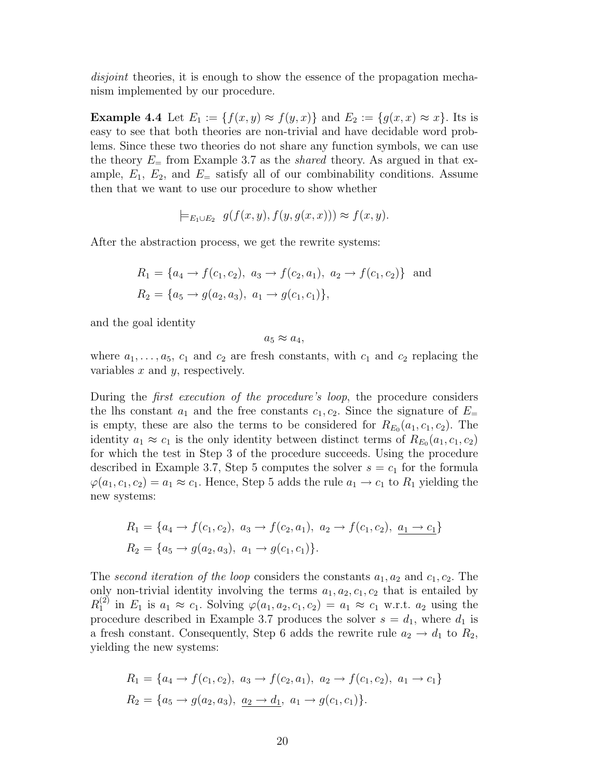disjoint theories, it is enough to show the essence of the propagation mechanism implemented by our procedure.

**Example 4.4** Let  $E_1 := \{f(x, y) \approx f(y, x)\}\$ and  $E_2 := \{g(x, x) \approx x\}$ . Its is easy to see that both theories are non-trivial and have decidable word problems. Since these two theories do not share any function symbols, we can use the theory  $E_{\rm{m}}$  from Example 3.7 as the *shared* theory. As argued in that example,  $E_1$ ,  $E_2$ , and  $E_$  satisfy all of our combinability conditions. Assume then that we want to use our procedure to show whether

$$
\models_{E_1 \cup E_2} g(f(x, y), f(y, g(x, x))) \approx f(x, y).
$$

After the abstraction process, we get the rewrite systems:

$$
R_1 = \{a_4 \to f(c_1, c_2), a_3 \to f(c_2, a_1), a_2 \to f(c_1, c_2)\} \text{ and}
$$
  

$$
R_2 = \{a_5 \to g(a_2, a_3), a_1 \to g(c_1, c_1)\},
$$

and the goal identity

 $a_5 \approx a_4$ 

where  $a_1, \ldots, a_5, c_1$  and  $c_2$  are fresh constants, with  $c_1$  and  $c_2$  replacing the variables  $x$  and  $y$ , respectively.

During the *first execution of the procedure's loop*, the procedure considers the lhs constant  $a_1$  and the free constants  $c_1, c_2$ . Since the signature of  $E_{=}$ is empty, these are also the terms to be considered for  $R_{E_0}(a_1, c_1, c_2)$ . The identity  $a_1 \approx c_1$  is the only identity between distinct terms of  $R_{E_0}(a_1, c_1, c_2)$ for which the test in Step 3 of the procedure succeeds. Using the procedure described in Example 3.7, Step 5 computes the solver  $s = c_1$  for the formula  $\varphi(a_1, c_1, c_2) = a_1 \approx c_1$ . Hence, Step 5 adds the rule  $a_1 \to c_1$  to  $R_1$  yielding the new systems:

$$
R_1 = \{a_4 \to f(c_1, c_2), a_3 \to f(c_2, a_1), a_2 \to f(c_1, c_2), \underline{a_1 \to c_1}\}
$$
  

$$
R_2 = \{a_5 \to g(a_2, a_3), a_1 \to g(c_1, c_1)\}.
$$

The second iteration of the loop considers the constants  $a_1, a_2$  and  $c_1, c_2$ . The only non-trivial identity involving the terms  $a_1, a_2, c_1, c_2$  that is entailed by  $R_1^{(2)}$  $\chi_1^{(2)}$  in  $E_1$  is  $a_1 \approx c_1$ . Solving  $\varphi(a_1, a_2, c_1, c_2) = a_1 \approx c_1$  w.r.t.  $a_2$  using the procedure described in Example 3.7 produces the solver  $s = d_1$ , where  $d_1$  is a fresh constant. Consequently, Step 6 adds the rewrite rule  $a_2 \rightarrow d_1$  to  $R_2$ , yielding the new systems:

$$
R_1 = \{a_4 \to f(c_1, c_2), a_3 \to f(c_2, a_1), a_2 \to f(c_1, c_2), a_1 \to c_1\}
$$
  

$$
R_2 = \{a_5 \to g(a_2, a_3), a_2 \to d_1, a_1 \to g(c_1, c_1)\}.
$$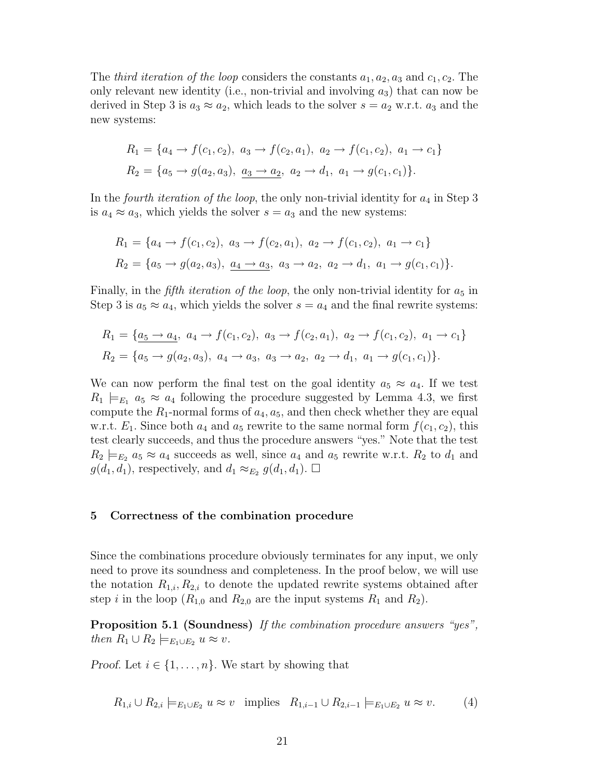The *third iteration of the loop* considers the constants  $a_1, a_2, a_3$  and  $c_1, c_2$ . The only relevant new identity (i.e., non-trivial and involving  $a_3$ ) that can now be derived in Step 3 is  $a_3 \approx a_2$ , which leads to the solver  $s = a_2$  w.r.t.  $a_3$  and the new systems:

$$
R_1 = \{a_4 \to f(c_1, c_2), a_3 \to f(c_2, a_1), a_2 \to f(c_1, c_2), a_1 \to c_1\}
$$
  

$$
R_2 = \{a_5 \to g(a_2, a_3), a_3 \to a_2, a_2 \to d_1, a_1 \to g(c_1, c_1)\}.
$$

In the fourth iteration of the loop, the only non-trivial identity for  $a_4$  in Step 3 is  $a_4 \approx a_3$ , which yields the solver  $s = a_3$  and the new systems:

$$
R_1 = \{a_4 \to f(c_1, c_2), a_3 \to f(c_2, a_1), a_2 \to f(c_1, c_2), a_1 \to c_1\}
$$
  

$$
R_2 = \{a_5 \to g(a_2, a_3), \underline{a_4 \to a_3}, a_3 \to a_2, a_2 \to d_1, a_1 \to g(c_1, c_1)\}.
$$

Finally, in the *fifth iteration of the loop*, the only non-trivial identity for  $a_5$  in Step 3 is  $a_5 \approx a_4$ , which yields the solver  $s = a_4$  and the final rewrite systems:

$$
R_1 = \{ \underline{a_5 \rightarrow a_4}, \ a_4 \rightarrow f(c_1, c_2), \ a_3 \rightarrow f(c_2, a_1), \ a_2 \rightarrow f(c_1, c_2), \ a_1 \rightarrow c_1 \}
$$
  

$$
R_2 = \{ a_5 \rightarrow g(a_2, a_3), \ a_4 \rightarrow a_3, \ a_3 \rightarrow a_2, \ a_2 \rightarrow d_1, \ a_1 \rightarrow g(c_1, c_1) \}.
$$

We can now perform the final test on the goal identity  $a_5 \approx a_4$ . If we test  $R_1 \models_{E_1} a_5 \approx a_4$  following the procedure suggested by Lemma 4.3, we first compute the  $R_1$ -normal forms of  $a_4$ ,  $a_5$ , and then check whether they are equal w.r.t.  $E_1$ . Since both  $a_4$  and  $a_5$  rewrite to the same normal form  $f(c_1, c_2)$ , this test clearly succeeds, and thus the procedure answers "yes." Note that the test  $R_2 \models_{E_2} a_5 \approx a_4$  succeeds as well, since  $a_4$  and  $a_5$  rewrite w.r.t.  $R_2$  to  $d_1$  and  $g(d_1, d_1)$ , respectively, and  $d_1 \approx_{E_2} g(d_1, d_1)$ .  $\Box$ 

#### 5 Correctness of the combination procedure

Since the combinations procedure obviously terminates for any input, we only need to prove its soundness and completeness. In the proof below, we will use the notation  $R_{1,i}, R_{2,i}$  to denote the updated rewrite systems obtained after step i in the loop  $(R_{1,0}$  and  $R_{2,0}$  are the input systems  $R_1$  and  $R_2$ ).

Proposition 5.1 (Soundness) If the combination procedure answers "yes", then  $R_1 \cup R_2 \models_{E_1 \cup E_2} u \approx v$ .

*Proof.* Let  $i \in \{1, \ldots, n\}$ . We start by showing that

$$
R_{1,i} \cup R_{2,i} \models_{E_1 \cup E_2} u \approx v \text{ implies } R_{1,i-1} \cup R_{2,i-1} \models_{E_1 \cup E_2} u \approx v.
$$
 (4)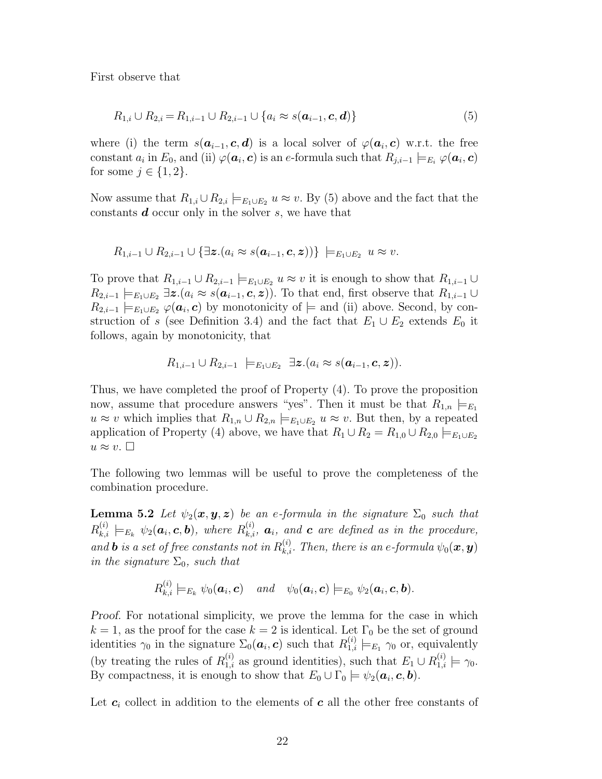First observe that

$$
R_{1,i} \cup R_{2,i} = R_{1,i-1} \cup R_{2,i-1} \cup \{a_i \approx s(\mathbf{a}_{i-1}, \mathbf{c}, \mathbf{d})\}
$$
(5)

where (i) the term  $s(a_{i-1}, c, d)$  is a local solver of  $\varphi(a_i, c)$  w.r.t. the free  $\text{constant } a_i \text{ in } E_0 \text{, and (ii) } \varphi(\bm{a}_i, \bm{c}) \text{ is an } e \text{-formula such that } R_{j,i-1} \models_{E_i} \varphi(\bm{a}_i, \bm{c})$ for some  $j \in \{1, 2\}$ .

Now assume that  $R_{1,i} \cup R_{2,i} \models_{E_1 \cup E_2} u \approx v$ . By (5) above and the fact that the constants  $d$  occur only in the solver  $s$ , we have that

$$
R_{1,i-1}\cup R_{2,i-1}\cup \{\exists \boldsymbol{z}.(a_i\approx s(\boldsymbol{a}_{i-1},\boldsymbol{c},\boldsymbol{z}))\}\ \models_{E_1\cup E_2}\ u\approx v.
$$

To prove that  $R_{1,i-1} \cup R_{2,i-1} \models_{E_1 \cup E_2} u \approx v$  it is enough to show that  $R_{1,i-1} \cup R_{2,i-1} \models_{E_1 \cup E_2} u \approx v$  $R_{2,i-1} \models_{E_1 \cup E_2} \exists z \ (a_i \approx s(\boldsymbol{a}_{i-1}, \boldsymbol{c}, z))$ . To that end, first observe that  $R_{1,i-1} \cup R_{2,i-1} \models_{E_1 \cup E_2} \exists z \ (a_i \approx s(\boldsymbol{a}_{i-1}, \boldsymbol{c}, z))$ .  $R_{2,i-1} \models_{E_1 \cup E_2} \varphi(\boldsymbol{a}_i, \boldsymbol{c})$  by monotonicity of  $\models$  and (ii) above. Second, by construction of s (see Definition 3.4) and the fact that  $E_1 \cup E_2$  extends  $E_0$  it follows, again by monotonicity, that

$$
R_{1,i-1}\cup R_{2,i-1}\ \models_{E_1\cup E_2}\ \exists \boldsymbol{z}.(a_i\approx s(\boldsymbol{a}_{i-1},\boldsymbol{c},\boldsymbol{z})).
$$

Thus, we have completed the proof of Property (4). To prove the proposition now, assume that procedure answers "yes". Then it must be that  $R_{1,n} \models_{E_1}$  $u \approx v$  which implies that  $R_{1,n} \cup R_{2,n} \models_{E_1 \cup E_2} u \approx v$ . But then, by a repeated application of Property (4) above, we have that  $R_1 \cup R_2 = R_{1,0} \cup R_{2,0} \models_{E_1 \cup E_2}$  $u \approx v$ .

The following two lemmas will be useful to prove the completeness of the combination procedure.

**Lemma 5.2** Let  $\psi_2(x, y, z)$  be an e-formula in the signature  $\Sigma_0$  such that  $R_{k,i}^{(i)} \models_{E_k} \psi_2(a_i, c, b)$ , where  $R_{k,i}^{(i)}$ ,  $a_i$ , and c are defined as in the procedure, and **b** is a set of free constants not in  $R_{k,i}^{(i)}$ . Then, there is an e-formula  $\psi_0(\bm{x}, \bm{y})$ in the signature  $\Sigma_0$ , such that

$$
R_{k,i}^{(i)} \models_{E_k} \psi_0(\boldsymbol{a}_i, \boldsymbol{c}) \quad and \quad \psi_0(\boldsymbol{a}_i, \boldsymbol{c}) \models_{E_0} \psi_2(\boldsymbol{a}_i, \boldsymbol{c}, \boldsymbol{b}).
$$

Proof. For notational simplicity, we prove the lemma for the case in which  $k = 1$ , as the proof for the case  $k = 2$  is identical. Let  $\Gamma_0$  be the set of ground identities  $\gamma_0$  in the signature  $\Sigma_0(a_i, c)$  such that  $R_{1,i}^{(i)} \models_{E_1} \gamma_0$  or, equivalently (by treating the rules of  $R_{1,i}^{(i)}$  as ground identities), such that  $E_1 \cup R_{1,i}^{(i)} \models \gamma_0$ . By compactness, it is enough to show that  $E_0 \cup \Gamma_0 \models \psi_2(a_i, c, b)$ .

Let  $c_i$  collect in addition to the elements of c all the other free constants of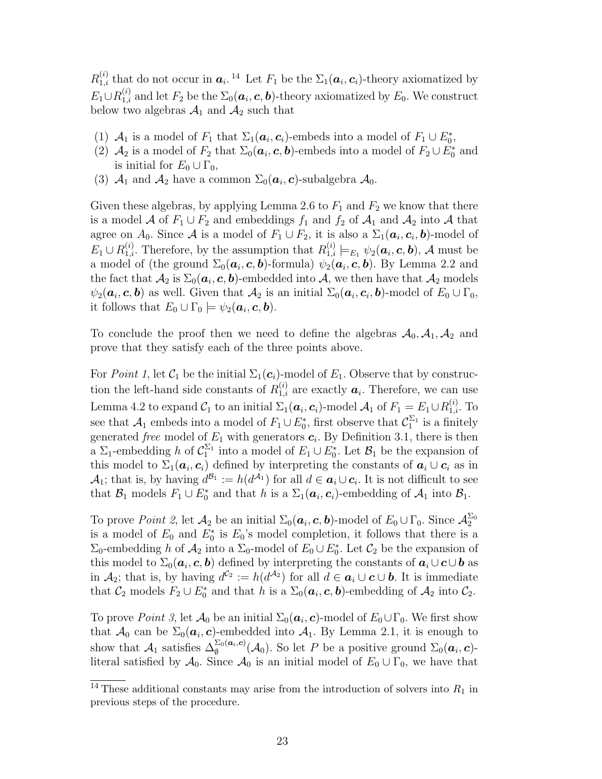$R_{1,i}^{(i)}$  that do not occur in  $a_i$ .<sup>14</sup> Let  $F_1$  be the  $\Sigma_1(a_i, c_i)$ -theory axiomatized by  $E_1 \cup R_{1,i}^{(i)}$  and let  $F_2$  be the  $\Sigma_0(a_i, c, b)$ -theory axiomatized by  $E_0$ . We construct below two algebras  $A_1$  and  $A_2$  such that

- (1)  $\mathcal{A}_1$  is a model of  $F_1$  that  $\Sigma_1(\boldsymbol{a}_i, \boldsymbol{c}_i)$ -embeds into a model of  $F_1 \cup E_0^*$ ,
- (2)  $\mathcal{A}_2$  is a model of  $F_2$  that  $\Sigma_0(\boldsymbol{a}_i, \boldsymbol{c}, \boldsymbol{b})$ -embeds into a model of  $F_2 \cup F_0^*$  and is initial for  $E_0 \cup \Gamma_0$ ,
- (3)  $A_1$  and  $A_2$  have a common  $\Sigma_0(\boldsymbol{a}_i, \boldsymbol{c})$ -subalgebra  $A_0$ .

Given these algebras, by applying Lemma 2.6 to  $F_1$  and  $F_2$  we know that there is a model A of  $F_1 \cup F_2$  and embeddings  $f_1$  and  $f_2$  of  $\mathcal{A}_1$  and  $\mathcal{A}_2$  into A that agree on  $A_0$ . Since A is a model of  $F_1 \cup F_2$ , it is also a  $\Sigma_1(a_i, c_i, b)$ -model of  $E_1 \cup R_{1,i}^{(i)}$ . Therefore, by the assumption that  $R_{1,i}^{(i)} \models_{E_1} \psi_2(a_i, c, b)$ , A must be a model of (the ground  $\Sigma_0(a_i, c, b)$ -formula)  $\psi_2(a_i, c, b)$ . By Lemma 2.2 and the fact that  $\mathcal{A}_2$  is  $\Sigma_0(\bm{a}_i, \bm{c}, \bm{b})$ -embedded into  $\mathcal{A}$ , we then have that  $\mathcal{A}_2$  models  $\psi_2(a_i, c, b)$  as well. Given that  $\mathcal{A}_2$  is an initial  $\Sigma_0(a_i, c_i, b)$ -model of  $E_0 \cup \Gamma_0$ , it follows that  $E_0 \cup \Gamma_0 \models \psi_2(a_i, c, b)$ .

To conclude the proof then we need to define the algebras  $\mathcal{A}_0$ ,  $\mathcal{A}_1$ ,  $\mathcal{A}_2$  and prove that they satisfy each of the three points above.

For *Point 1*, let  $C_1$  be the initial  $\Sigma_1(c_i)$ -model of  $E_1$ . Observe that by construction the left-hand side constants of  $R_{1,i}^{(i)}$  are exactly  $a_i$ . Therefore, we can use Lemma 4.2 to expand  $\mathcal{C}_1$  to an initial  $\Sigma_1(\bm{a}_i, \bm{c}_i)$ -model  $\mathcal{A}_1$  of  $F_1 = E_1 \cup R_{1,i}^{(i)}$ . To see that  $\mathcal{A}_1$  embeds into a model of  $F_1 \cup E_0^*$ , first observe that  $\mathcal{C}_1^{\Sigma_1}$  is a finitely generated *free* model of  $E_1$  with generators  $c_i$ . By Definition 3.1, there is then a  $\Sigma_1$ -embedding h of  $C_1^{\Sigma_1}$  into a model of  $E_1 \cup E_0^*$ . Let  $\mathcal{B}_1$  be the expansion of this model to  $\Sigma_1(a_i, c_i)$  defined by interpreting the constants of  $a_i \cup c_i$  as in  $\mathcal{A}_1$ ; that is, by having  $d^{\mathcal{B}_1} := h(d^{\mathcal{A}_1})$  for all  $d \in \mathbf{a}_i \cup \mathbf{c}_i$ . It is not difficult to see that  $\mathcal{B}_1$  models  $F_1 \cup E_0^*$  and that h is a  $\Sigma_1(a_i, c_i)$ -embedding of  $\mathcal{A}_1$  into  $\mathcal{B}_1$ .

To prove *Point 2*, let  $\mathcal{A}_2$  be an initial  $\Sigma_0(\boldsymbol{a}_i, \boldsymbol{c}, \boldsymbol{b})$ -model of  $E_0 \cup \Gamma_0$ . Since  $\mathcal{A}_2^{\Sigma_0}$ is a model of  $E_0$  and  $E_0^*$  is  $E_0$ 's model completion, it follows that there is a  $\Sigma_0$ -embedding h of  $\mathcal{A}_2$  into a  $\Sigma_0$ -model of  $E_0 \cup E_0^*$ . Let  $\mathcal{C}_2$  be the expansion of this model to  $\Sigma_0(a_i, c, b)$  defined by interpreting the constants of  $a_i \cup c \cup b$  as in  $\mathcal{A}_2$ ; that is, by having  $d^{c_2} := h(d^{\mathcal{A}_2})$  for all  $d \in \mathbf{a}_i \cup \mathbf{c} \cup \mathbf{b}$ . It is immediate that  $\mathcal{C}_2$  models  $F_2 \cup E_0^*$  and that h is a  $\Sigma_0(\boldsymbol{a}_i, \boldsymbol{c}, \boldsymbol{b})$ -embedding of  $\mathcal{A}_2$  into  $\mathcal{C}_2$ .

To prove *Point 3*, let  $\mathcal{A}_0$  be an initial  $\Sigma_0(\boldsymbol{a}_i, \boldsymbol{c})$ -model of  $E_0 \cup \Gamma_0$ . We first show that  $\mathcal{A}_0$  can be  $\Sigma_0(\boldsymbol{a}_i, \boldsymbol{c})$ -embedded into  $\mathcal{A}_1$ . By Lemma 2.1, it is enough to show that  $\mathcal{A}_1$  satisfies  $\Delta_{\emptyset}^{\Sigma_0(a_i,c)}(\mathcal{A}_0)$ . So let P be a positive ground  $\Sigma_0(a_i,c)$ literal satisfied by  $\mathcal{A}_0$ . Since  $\mathcal{A}_0$  is an initial model of  $E_0 \cup \Gamma_0$ , we have that

 $\frac{14 \text{ These}}{14 \text{ These}}$  additional constants may arise from the introduction of solvers into  $R_1$  in previous steps of the procedure.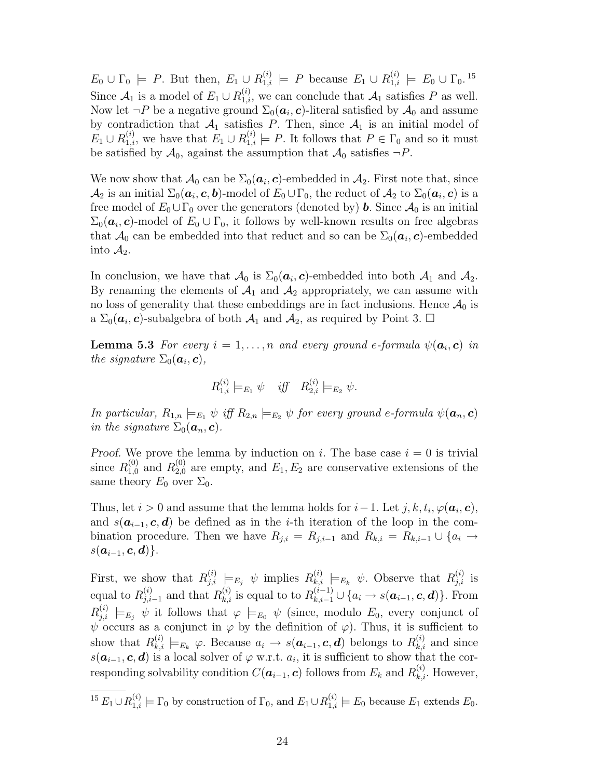$E_0 \cup \Gamma_0 \models P$ . But then,  $E_1 \cup R_{1,i}^{(i)} \models P$  because  $E_1 \cup R_{1,i}^{(i)} \models E_0 \cup \Gamma_0$ .<sup>15</sup> Since  $\mathcal{A}_1$  is a model of  $E_1 \cup R_{1,i}^{(i)}$ , we can conclude that  $\mathcal{A}_1$  satisfies P as well. Now let  $\neg P$  be a negative ground  $\Sigma_0(\boldsymbol{a}_i,\boldsymbol{c})$ -literal satisfied by  $\mathcal{A}_0$  and assume by contradiction that  $A_1$  satisfies P. Then, since  $A_1$  is an initial model of  $E_1 \cup R_{1,i}^{(i)}$ , we have that  $E_1 \cup R_{1,i}^{(i)} \models P$ . It follows that  $P \in \Gamma_0$  and so it must be satisfied by  $\mathcal{A}_0$ , against the assumption that  $\mathcal{A}_0$  satisfies  $\neg P$ .

We now show that  $\mathcal{A}_0$  can be  $\Sigma_0(\boldsymbol{a}_i, \boldsymbol{c})$ -embedded in  $\mathcal{A}_2$ . First note that, since  $\mathcal{A}_2$  is an initial  $\Sigma_0(\bm{a}_i,\bm{c},\bm{b})$ -model of  $E_0\cup\Gamma_0,$  the reduct of  $\mathcal{A}_2$  to  $\Sigma_0(\bm{a}_i,\bm{c})$  is a free model of  $E_0 \cup \Gamma_0$  over the generators (denoted by) **b**. Since  $\mathcal{A}_0$  is an initial  $\Sigma_0(\boldsymbol{a}_i, \boldsymbol{c})$ -model of  $E_0 \cup \Gamma_0$ , it follows by well-known results on free algebras that  $\mathcal{A}_0$  can be embedded into that reduct and so can be  $\Sigma_0(\boldsymbol{a}_i, \boldsymbol{c})$ -embedded into  $\mathcal{A}_2$ .

In conclusion, we have that  $\mathcal{A}_0$  is  $\Sigma_0(a_i, c)$ -embedded into both  $\mathcal{A}_1$  and  $\mathcal{A}_2$ . By renaming the elements of  $A_1$  and  $A_2$  appropriately, we can assume with no loss of generality that these embeddings are in fact inclusions. Hence  $\mathcal{A}_0$  is a  $\Sigma_0(\boldsymbol{a}_i, \boldsymbol{c})$ -subalgebra of both  $\mathcal{A}_1$  and  $\mathcal{A}_2$ , as required by Point 3.  $\Box$ 

**Lemma 5.3** For every  $i = 1, ..., n$  and every ground e-formula  $\psi(a_i, c)$  in the signature  $\Sigma_0(\boldsymbol{a}_i, \boldsymbol{c}),$ 

$$
R_{1,i}^{(i)} \models_{E_1} \psi \quad if \quad R_{2,i}^{(i)} \models_{E_2} \psi.
$$

In particular,  $R_{1,n} \models_{E_1} \psi$  iff  $R_{2,n} \models_{E_2} \psi$  for every ground e-formula  $\psi(a_n, c)$ in the signature  $\Sigma_0(\boldsymbol{a}_n, \boldsymbol{c})$ .

Proof. We prove the lemma by induction on i. The base case  $i = 0$  is trivial since  $R_{1,0}^{(0)}$  and  $R_{2,0}^{(0)}$  are empty, and  $E_1, E_2$  are conservative extensions of the same theory  $E_0$  over  $\Sigma_0$ .

Thus, let  $i > 0$  and assume that the lemma holds for  $i - 1$ . Let  $j, k, t_i, \varphi(\boldsymbol{a}_i, \boldsymbol{c})$ , and  $s(a_{i-1}, c, d)$  be defined as in the *i*-th iteration of the loop in the combination procedure. Then we have  $R_{j,i} = R_{j,i-1}$  and  $R_{k,i} = R_{k,i-1} \cup \{a_i \rightarrow a_i\}$  $s(a_{i-1}, c, d)$ .

First, we show that  $R_{j,i}^{(i)} \models_{E_j} \psi$  implies  $R_{k,i}^{(i)} \models_{E_k} \psi$ . Observe that  $R_{j,i}^{(i)}$  is equal to  $R_{j,i-1}^{(i)}$  and that  $R_{k,i}^{(i)}$  is equal to to  $R_{k,i-1}^{(i-1)} \cup \{a_i \to s(\mathbf{a}_{i-1}, \mathbf{c}, \mathbf{d})\}$ . From  $R_{j,i}^{(i)} \models_{E_j} \psi$  it follows that  $\varphi \models_{E_0} \psi$  (since, modulo  $E_0$ , every conjunct of  $\psi$  occurs as a conjunct in  $\varphi$  by the definition of  $\varphi$ ). Thus, it is sufficient to show that  $R_{k,i}^{(i)} \models_{E_k} \varphi$ . Because  $a_i \to s(a_{i-1}, c, d)$  belongs to  $R_{k,i}^{(i)}$  and since  $s(\boldsymbol{a}_{i-1}, \boldsymbol{c}, \boldsymbol{d})$  is a local solver of  $\varphi$  w.r.t.  $a_i$ , it is sufficient to show that the corresponding solvability condition  $C(\boldsymbol{a}_{i-1}, \boldsymbol{c})$  follows from  $E_k$  and  $R_{k,i}^{(i)}$ . However,

<sup>&</sup>lt;sup>15</sup>  $E_1 \cup R_{1,i}^{(i)} \models \Gamma_0$  by construction of  $\Gamma_0$ , and  $E_1 \cup R_{1,i}^{(i)} \models E_0$  because  $E_1$  extends  $E_0$ .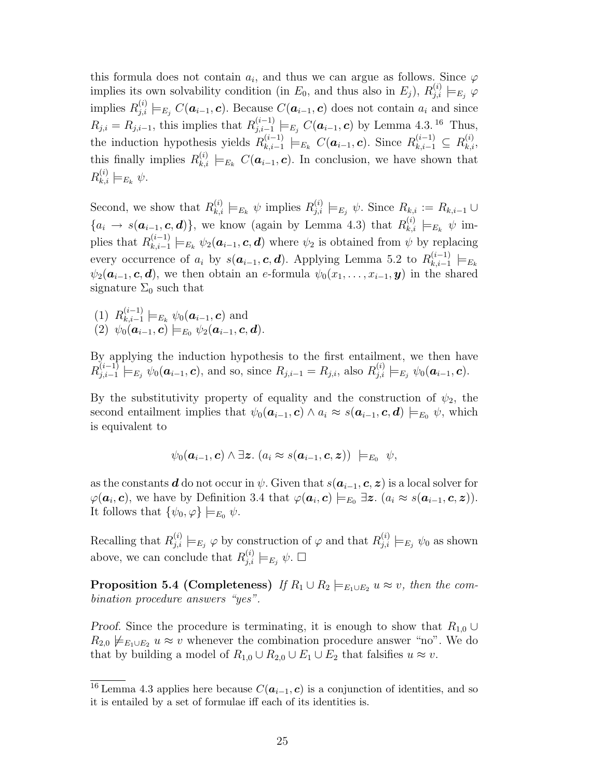this formula does not contain  $a_i$ , and thus we can argue as follows. Since  $\varphi$ implies its own solvability condition (in  $E_0$ , and thus also in  $E_j$ ),  $R_{j,i}^{(i)} \models_{E_j} \varphi$ implies  $R_{j,i}^{(i)} \models_{E_j} C(\boldsymbol{a}_{i-1}, \boldsymbol{c})$ . Because  $C(\boldsymbol{a}_{i-1}, \boldsymbol{c})$  does not contain  $a_i$  and since  $R_{j,i} = R_{j,i-1}$ , this implies that  $R_{j,i-1}^{(i-1)}$  $j_{j,i-1}^{(i-1)} \models_{E_j} C(\boldsymbol{a}_{i-1}, \boldsymbol{c})$  by Lemma 4.3. <sup>16</sup> Thus, the induction hypothesis yields  $R_{k,i-1}^{(i-1)}$  $\sum_{k,i=1}^{(i-1)}$   $\models_{E_k} C(\boldsymbol{a}_{i-1}, \boldsymbol{c})$ . Since  $R_{k,i-1}^{(i-1)} \subseteq R_{k,i}^{(i)}$ , this finally implies  $R_{k,i}^{(i)} \models_{E_k} C(\boldsymbol{a}_{i-1}, \boldsymbol{c})$ . In conclusion, we have shown that  $R_{k,i}^{(i)} \models_{E_k} \psi.$ 

Second, we show that  $R_{k,i}^{(i)} \models_{E_k} \psi$  implies  $R_{j,i}^{(i)} \models_{E_j} \psi$ . Since  $R_{k,i} := R_{k,i-1} \cup$  ${a_i \rightarrow s(a_{i-1}, c, d)}$ , we know (again by Lemma 4.3) that  $R_{k,i}^{(i)} \models_{E_k} \psi$  implies that  $R_{k,i-1}^{(i-1)}$  $\psi_{k,i-1}^{(i-1)} \models_{E_k} \psi_2(a_{i-1}, c, d)$  where  $\psi_2$  is obtained from  $\psi$  by replacing every occurrence of  $a_i$  by  $s(a_{i-1}, c, d)$ . Applying Lemma 5.2 to  $R_{k,i-1}^{(i-1)}$  $\frac{(i-1)}{k,i-1} \models_{E_k}$  $\psi_2(\boldsymbol{a}_{i-1}, \boldsymbol{c}, \boldsymbol{d})$ , we then obtain an e-formula  $\psi_0(\boldsymbol{x}_1, \ldots, \boldsymbol{x}_{i-1}, \boldsymbol{y})$  in the shared signature  $\Sigma_0$  such that

 $(1)$   $R_{k,i-1}^{(i-1)}$  $\chi_{k,i-1}^{(i-1)} \models_{E_k} \psi_0(a_{i-1}, c)$  and  $(2)$   $\psi_0(\bm{a}_{i-1}, \bm{c}) \models_{E_0} \psi_2(\bm{a}_{i-1}, \bm{c}, \bm{d}).$ 

By applying the induction hypothesis to the first entailment, we then have  $R_{i,i-1}^{(i-1)}$  $\overline{R}^{(i-1)}_{j,i-1} \models_{E_j} \psi_0(a_{i-1}, \mathbf{c}), \text{ and so, since } R_{j,i-1} = R_{j,i}, \text{ also } R^{(i)}_{j,i} \models_{E_j} \psi_0(a_{i-1}, \mathbf{c}).$ 

By the substitutivity property of equality and the construction of  $\psi_2$ , the second entailment implies that  $\psi_0(a_{i-1}, c) \wedge a_i \approx s(a_{i-1}, c, d) \models_{E_0} \psi$ , which is equivalent to

$$
\psi_0(\boldsymbol{a}_{i-1},\boldsymbol{c}) \wedge \exists z. (a_i \approx s(\boldsymbol{a}_{i-1},\boldsymbol{c},\boldsymbol{z})) \models_{E_0} \psi,
$$

as the constants **d** do not occur in  $\psi$ . Given that  $s(a_{i-1}, c, z)$  is a local solver for  $\varphi(\bm{a}_i, \bm{c})$ , we have by Definition 3.4 that  $\varphi(\bm{a}_i, \bm{c}) \models_{E_0} \exists \bm{z}$ .  $(a_i \approx s(\bm{a}_{i-1}, \bm{c}, \bm{z}))$ . It follows that  $\{\psi_0, \varphi\} \models_{E_0} \psi$ .

Recalling that  $R_{j,i}^{(i)} \models_{E_j} \varphi$  by construction of  $\varphi$  and that  $R_{j,i}^{(i)} \models_{E_j} \psi_0$  as shown above, we can conclude that  $R_{j,i}^{(i)} \models_{E_j} \psi$ .  $\Box$ 

**Proposition 5.4 (Completeness)** If  $R_1 \cup R_2 \models_{E_1 \cup E_2} u \approx v$ , then the combination procedure answers "yes".

Proof. Since the procedure is terminating, it is enough to show that  $R_{1,0} \cup$  $R_{2,0} \not\models_{E_1 \cup E_2} u \approx v$  whenever the combination procedure answer "no". We do that by building a model of  $R_{1,0} \cup R_{2,0} \cup E_1 \cup E_2$  that falsifies  $u \approx v$ .

 $\overline{^{16}$  Lemma 4.3 applies here because  $C(\boldsymbol{a}_{i-1}, \boldsymbol{c})$  is a conjunction of identities, and so it is entailed by a set of formulae iff each of its identities is.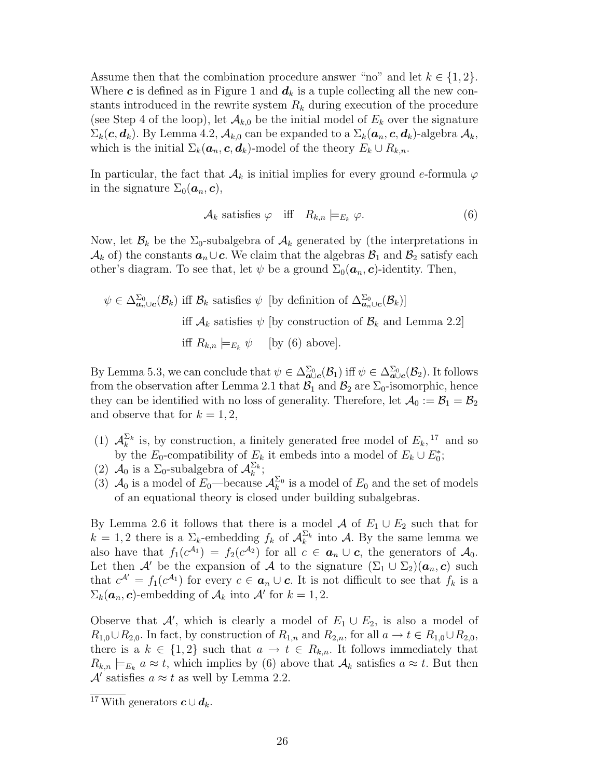Assume then that the combination procedure answer "no" and let  $k \in \{1, 2\}$ . Where c is defined as in Figure 1 and  $d_k$  is a tuple collecting all the new constants introduced in the rewrite system  $R_k$  during execution of the procedure (see Step 4 of the loop), let  $\mathcal{A}_{k,0}$  be the initial model of  $E_k$  over the signature  $\Sigma_k(c, d_k)$ . By Lemma 4.2,  $\mathcal{A}_{k,0}$  can be expanded to a  $\Sigma_k(a_n, c, d_k)$ -algebra  $\mathcal{A}_k$ , which is the initial  $\Sigma_k(\boldsymbol{a}_n, \boldsymbol{c}, \boldsymbol{d}_k)$ -model of the theory  $E_k \cup R_{k,n}$ .

In particular, the fact that  $\mathcal{A}_k$  is initial implies for every ground e-formula  $\varphi$ in the signature  $\Sigma_0(\boldsymbol{a}_n, \boldsymbol{c}),$ 

$$
\mathcal{A}_k \text{ satisfies } \varphi \quad \text{iff} \quad R_{k,n} \models_{E_k} \varphi. \tag{6}
$$

Now, let  $\mathcal{B}_k$  be the  $\Sigma_0$ -subalgebra of  $\mathcal{A}_k$  generated by (the interpretations in  $\mathcal{A}_k$  of) the constants  $a_n \cup c$ . We claim that the algebras  $\mathcal{B}_1$  and  $\mathcal{B}_2$  satisfy each other's diagram. To see that, let  $\psi$  be a ground  $\Sigma_0(\boldsymbol{a}_n, \boldsymbol{c})$ -identity. Then,

$$
\psi \in \Delta_{\mathbf{a}_n \cup \mathbf{c}}^{\Sigma_0}(\mathcal{B}_k) \text{ iff } \mathcal{B}_k \text{ satisfies } \psi \text{ [by definition of } \Delta_{\mathbf{a}_n \cup \mathbf{c}}^{\Sigma_0}(\mathcal{B}_k)]
$$
  
iff  $\mathcal{A}_k$  satisfies  $\psi$  [by construction of  $\mathcal{B}_k$  and Lemma 2.2]  
iff  $R_{k,n} \models_{E_k} \psi$  [by (6) above].

By Lemma 5.3, we can conclude that  $\psi \in \Delta_{\mathbf{a}\cup\mathbf{c}}^{\Sigma_0}(\mathcal{B}_1)$  iff  $\psi \in \Delta_{\mathbf{a}\cup\mathbf{c}}^{\Sigma_0}(\mathcal{B}_2)$ . It follows from the observation after Lemma 2.1 that  $\mathcal{B}_1$  and  $\mathcal{B}_2$  are  $\Sigma_0$ -isomorphic, hence they can be identified with no loss of generality. Therefore, let  $\mathcal{A}_0 := \mathcal{B}_1 = \mathcal{B}_2$ and observe that for  $k = 1, 2$ ,

- (1)  $\mathcal{A}_k^{\Sigma_k}$  is, by construction, a finitely generated free model of  $E_k$ , <sup>17</sup> and so by the  $E_0$ -compatibility of  $E_k$  it embeds into a model of  $E_k \cup E_0^*$ ;
- (2)  $\mathcal{A}_0$  is a  $\Sigma_0$ -subalgebra of  $\mathcal{A}_k^{\Sigma_k}$ ;
- (3)  $\mathcal{A}_0$  is a model of  $E_0$ —because  $\mathcal{A}_k^{\Sigma_0}$  is a model of  $E_0$  and the set of models of an equational theory is closed under building subalgebras.

By Lemma 2.6 it follows that there is a model A of  $E_1 \cup E_2$  such that for  $k = 1, 2$  there is a  $\Sigma_k$ -embedding  $f_k$  of  $\mathcal{A}_k^{\Sigma_k}$  into A. By the same lemma we also have that  $f_1(c^{A_1}) = f_2(c^{A_2})$  for all  $c \in \mathbf{a}_n \cup \mathbf{c}$ , the generators of  $\mathcal{A}_0$ . Let then A' be the expansion of A to the signature  $(\Sigma_1 \cup \Sigma_2)(a_n, c)$  such that  $c^{\mathcal{A}'} = f_1(c^{\mathcal{A}_1})$  for every  $c \in \mathbf{a}_n \cup \mathbf{c}$ . It is not difficult to see that  $f_k$  is a  $\Sigma_k(\boldsymbol{a}_n, \boldsymbol{c})$ -embedding of  $\mathcal{A}_k$  into  $\mathcal{A}'$  for  $k = 1, 2$ .

Observe that A', which is clearly a model of  $E_1 \cup E_2$ , is also a model of  $R_{1,0}\cup R_{2,0}$ . In fact, by construction of  $R_{1,n}$  and  $R_{2,n}$ , for all  $a\to t\in R_{1,0}\cup R_{2,0}$ , there is a  $k \in \{1,2\}$  such that  $a \to t \in R_{k,n}$ . It follows immediately that  $R_{k,n} \models_{E_k} a \approx t$ , which implies by (6) above that  $A_k$  satisfies  $a \approx t$ . But then  $\mathcal{A}'$  satisfies  $a \approx t$  as well by Lemma 2.2.

 $\overline{17 \text{ With}}$  generators  $c \cup d_k$ .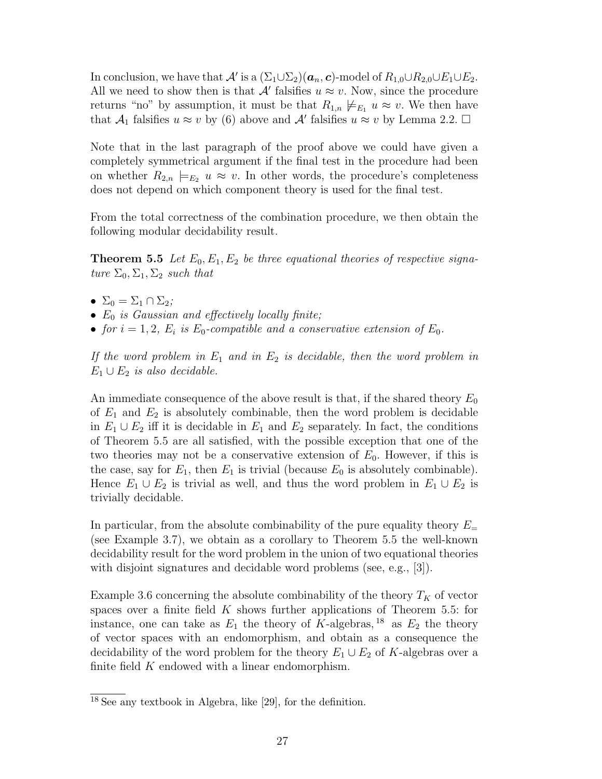In conclusion, we have that  $\mathcal{A}'$  is a  $(\Sigma_1 \cup \Sigma_2)(\boldsymbol{a}_n, \boldsymbol{c})$ -model of  $R_{1,0} \cup R_{2,0} \cup E_1 \cup E_2$ . All we need to show then is that  $\mathcal{A}'$  falsifies  $u \approx v$ . Now, since the procedure returns "no" by assumption, it must be that  $R_{1,n} \not\models_{E_1} u \approx v$ . We then have that  $\mathcal{A}_1$  falsifies  $u \approx v$  by (6) above and  $\mathcal{A}'$  falsifies  $u \approx v$  by Lemma 2.2.  $\Box$ 

Note that in the last paragraph of the proof above we could have given a completely symmetrical argument if the final test in the procedure had been on whether  $R_{2,n} \models_{E_2} u \approx v$ . In other words, the procedure's completeness does not depend on which component theory is used for the final test.

From the total correctness of the combination procedure, we then obtain the following modular decidability result.

**Theorem 5.5** Let  $E_0, E_1, E_2$  be three equational theories of respective signature  $\Sigma_0$ ,  $\Sigma_1$ ,  $\Sigma_2$  such that

- $\Sigma_0 = \Sigma_1 \cap \Sigma_2;$
- $E_0$  is Gaussian and effectively locally finite;
- for  $i = 1, 2, E_i$  is  $E_0$ -compatible and a conservative extension of  $E_0$ .

If the word problem in  $E_1$  and in  $E_2$  is decidable, then the word problem in  $E_1 \cup E_2$  is also decidable.

An immediate consequence of the above result is that, if the shared theory  $E_0$ of  $E_1$  and  $E_2$  is absolutely combinable, then the word problem is decidable in  $E_1 \cup E_2$  iff it is decidable in  $E_1$  and  $E_2$  separately. In fact, the conditions of Theorem 5.5 are all satisfied, with the possible exception that one of the two theories may not be a conservative extension of  $E_0$ . However, if this is the case, say for  $E_1$ , then  $E_1$  is trivial (because  $E_0$  is absolutely combinable). Hence  $E_1 \cup E_2$  is trivial as well, and thus the word problem in  $E_1 \cup E_2$  is trivially decidable.

In particular, from the absolute combinability of the pure equality theory  $E_{=}$ (see Example 3.7), we obtain as a corollary to Theorem 5.5 the well-known decidability result for the word problem in the union of two equational theories with disjoint signatures and decidable word problems (see, e.g., [3]).

Example 3.6 concerning the absolute combinability of the theory  $T_K$  of vector spaces over a finite field  $K$  shows further applications of Theorem 5.5: for instance, one can take as  $E_1$  the theory of K-algebras, <sup>18</sup> as  $E_2$  the theory of vector spaces with an endomorphism, and obtain as a consequence the decidability of the word problem for the theory  $E_1 \cup E_2$  of K-algebras over a finite field  $K$  endowed with a linear endomorphism.

<sup>18</sup> See any textbook in Algebra, like [29], for the definition.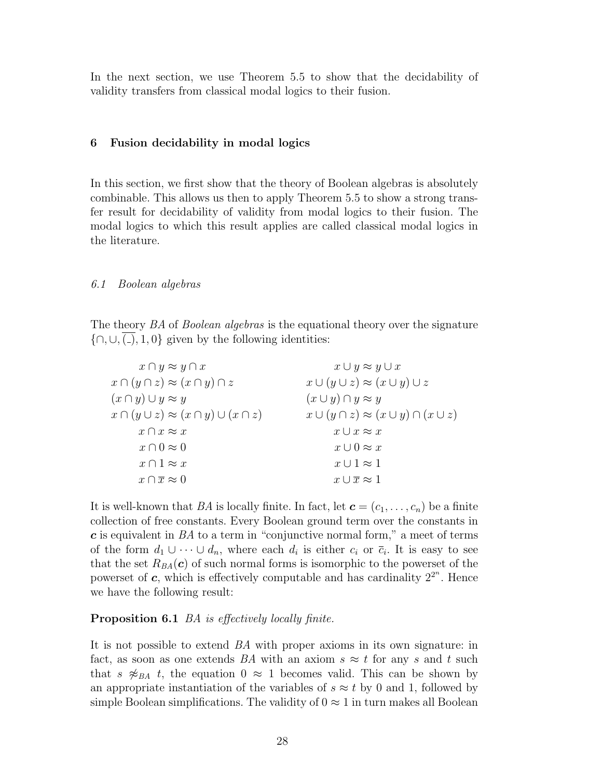In the next section, we use Theorem 5.5 to show that the decidability of validity transfers from classical modal logics to their fusion.

# 6 Fusion decidability in modal logics

In this section, we first show that the theory of Boolean algebras is absolutely combinable. This allows us then to apply Theorem 5.5 to show a strong transfer result for decidability of validity from modal logics to their fusion. The modal logics to which this result applies are called classical modal logics in the literature.

# 6.1 Boolean algebras

The theory BA of Boolean algebras is the equational theory over the signature  $\{\bigcap, \bigcup, \overline{(\bigcap}, \{1, 0\}\}\)$  given by the following identities:

| $x \cap y \approx y \cap x$                            | $x \cup y \approx y \cup x$                            |
|--------------------------------------------------------|--------------------------------------------------------|
| $x \cap (y \cap z) \approx (x \cap y) \cap z$          | $x \cup (y \cup z) \approx (x \cup y) \cup z$          |
| $(x \cap y) \cup y \approx y$                          | $(x \cup y) \cap y \approx y$                          |
| $x \cap (y \cup z) \approx (x \cap y) \cup (x \cap z)$ | $x \cup (y \cap z) \approx (x \cup y) \cap (x \cup z)$ |
| $x \cap x \approx x$                                   | $x \cup x \approx x$                                   |
| $x \cap 0 \approx 0$                                   | $x \cup 0 \approx x$                                   |
| $x \cap 1 \approx x$                                   | $x \cup 1 \approx 1$                                   |
| $x \cap \overline{x} \approx 0$                        | $x\cup \overline{x} \approx 1$                         |

It is well-known that BA is locally finite. In fact, let  $\mathbf{c} = (c_1, \ldots, c_n)$  be a finite collection of free constants. Every Boolean ground term over the constants in  $c$  is equivalent in  $BA$  to a term in "conjunctive normal form," a meet of terms of the form  $d_1 \cup \cdots \cup d_n$ , where each  $d_i$  is either  $c_i$  or  $\overline{c}_i$ . It is easy to see that the set  $R_{BA}(\boldsymbol{c})$  of such normal forms is isomorphic to the powerset of the powerset of  $c$ , which is effectively computable and has cardinality  $2^{2^n}$ . Hence we have the following result:

# Proposition 6.1 *BA* is effectively locally finite.

It is not possible to extend BA with proper axioms in its own signature: in fact, as soon as one extends BA with an axiom  $s \approx t$  for any s and t such that s  $\mathcal{Z}_{BA}$  t, the equation  $0 \approx 1$  becomes valid. This can be shown by an appropriate instantiation of the variables of  $s \approx t$  by 0 and 1, followed by simple Boolean simplifications. The validity of  $0 \approx 1$  in turn makes all Boolean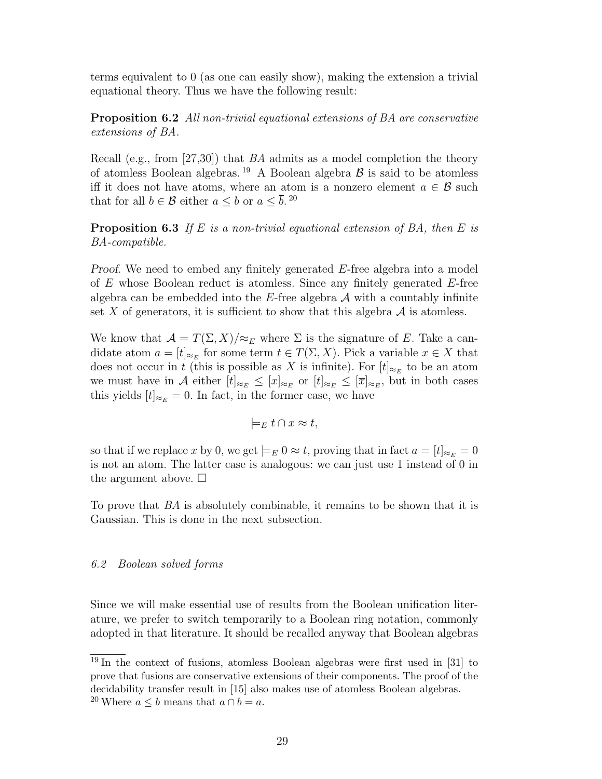terms equivalent to 0 (as one can easily show), making the extension a trivial equational theory. Thus we have the following result:

**Proposition 6.2** All non-trivial equational extensions of BA are conservative extensions of BA.

Recall (e.g., from [27,30]) that BA admits as a model completion the theory of atomless Boolean algebras.<sup>19</sup> A Boolean algebra  $\beta$  is said to be atomless iff it does not have atoms, where an atom is a nonzero element  $a \in \mathcal{B}$  such that for all  $b \in \mathcal{B}$  either  $a \leq b$  or  $a \leq \overline{b}$ . <sup>20</sup>

**Proposition 6.3** If E is a non-trivial equational extension of BA, then E is BA-compatible.

Proof. We need to embed any finitely generated E-free algebra into a model of  $E$  whose Boolean reduct is atomless. Since any finitely generated  $E$ -free algebra can be embedded into the  $E$ -free algebra  $A$  with a countably infinite set X of generators, it is sufficient to show that this algebra  $\mathcal A$  is atomless.

We know that  $\mathcal{A} = T(\Sigma, X)/\approx_E$  where  $\Sigma$  is the signature of E. Take a candidate atom  $a = [t]_{\approx_E}$  for some term  $t \in T(\Sigma, X)$ . Pick a variable  $x \in X$  that does not occur in t (this is possible as X is infinite). For  $[t]_{\approx_E}$  to be an atom we must have in A either  $[t]_{\approx_E} \leq [x]_{\approx_E}$  or  $[t]_{\approx_E} \leq [\overline{x}]_{\approx_E}$ , but in both cases this yields  $[t]_{\approx_E} = 0$ . In fact, in the former case, we have

$$
\models_E t \cap x \approx t,
$$

so that if we replace x by 0, we get  $\models_E 0 \approx t$ , proving that in fact  $a = [t]_{\approx_E} = 0$ is not an atom. The latter case is analogous: we can just use 1 instead of 0 in the argument above.  $\square$ 

To prove that BA is absolutely combinable, it remains to be shown that it is Gaussian. This is done in the next subsection.

# 6.2 Boolean solved forms

Since we will make essential use of results from the Boolean unification literature, we prefer to switch temporarily to a Boolean ring notation, commonly adopted in that literature. It should be recalled anyway that Boolean algebras

 $\frac{19}{19}$  In the context of fusions, atomless Boolean algebras were first used in [31] to prove that fusions are conservative extensions of their components. The proof of the decidability transfer result in [15] also makes use of atomless Boolean algebras. <sup>20</sup> Where  $a \leq b$  means that  $a \cap b = a$ .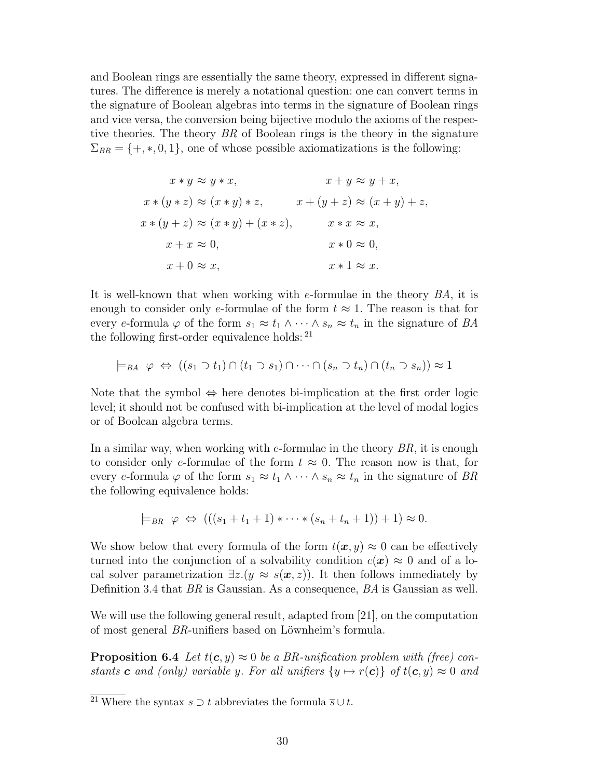and Boolean rings are essentially the same theory, expressed in different signatures. The difference is merely a notational question: one can convert terms in the signature of Boolean algebras into terms in the signature of Boolean rings and vice versa, the conversion being bijective modulo the axioms of the respective theories. The theory BR of Boolean rings is the theory in the signature  $\Sigma_{BR} = \{+, *, 0, 1\}$ , one of whose possible axiomatizations is the following:

$$
x * y \approx y * x,
$$
  
\n
$$
x + (y * z) \approx (x * y) * z,
$$
  
\n
$$
x * (y + z) \approx (x * y) + (x * z),
$$
  
\n
$$
x + x \approx 0,
$$
  
\n
$$
x + y \approx y + x,
$$
  
\n
$$
x + (y + z) \approx (x + y) + z,
$$
  
\n
$$
x * x \approx x,
$$
  
\n
$$
x * 0 \approx 0,
$$
  
\n
$$
x * 1 \approx x.
$$

It is well-known that when working with e-formulae in the theory BA, it is enough to consider only e-formulae of the form  $t \approx 1$ . The reason is that for every e-formula  $\varphi$  of the form  $s_1 \approx t_1 \wedge \cdots \wedge s_n \approx t_n$  in the signature of BA the following first-order equivalence holds: <sup>21</sup>

$$
\models_{BA} \varphi \Leftrightarrow ((s_1 \supset t_1) \cap (t_1 \supset s_1) \cap \cdots \cap (s_n \supset t_n) \cap (t_n \supset s_n)) \approx 1
$$

Note that the symbol  $\Leftrightarrow$  here denotes bi-implication at the first order logic level; it should not be confused with bi-implication at the level of modal logics or of Boolean algebra terms.

In a similar way, when working with  $e$ -formulae in the theory  $BR$ , it is enough to consider only e-formulae of the form  $t \approx 0$ . The reason now is that, for every e-formula  $\varphi$  of the form  $s_1 \approx t_1 \wedge \cdots \wedge s_n \approx t_n$  in the signature of BR the following equivalence holds:

$$
\models_{BR} \varphi \Leftrightarrow (((s_1 + t_1 + 1) * \cdots * (s_n + t_n + 1)) + 1) \approx 0.
$$

We show below that every formula of the form  $t(x, y) \approx 0$  can be effectively turned into the conjunction of a solvability condition  $c(\mathbf{x}) \approx 0$  and of a local solver parametrization  $\exists z.(y \approx s(\mathbf{x}, z))$ . It then follows immediately by Definition 3.4 that BR is Gaussian. As a consequence, BA is Gaussian as well.

We will use the following general result, adapted from [21], on the computation of most general  $BR$ -unifiers based on Löwnheim's formula.

**Proposition 6.4** Let  $t(c, y) \approx 0$  be a BR-unification problem with (free) constants **c** and (only) variable y. For all unifiers  $\{y \mapsto r(c)\}\$  of  $t(c, y) \approx 0$  and

<sup>&</sup>lt;sup>21</sup> Where the syntax  $s \supset t$  abbreviates the formula  $\overline{s} \cup t$ .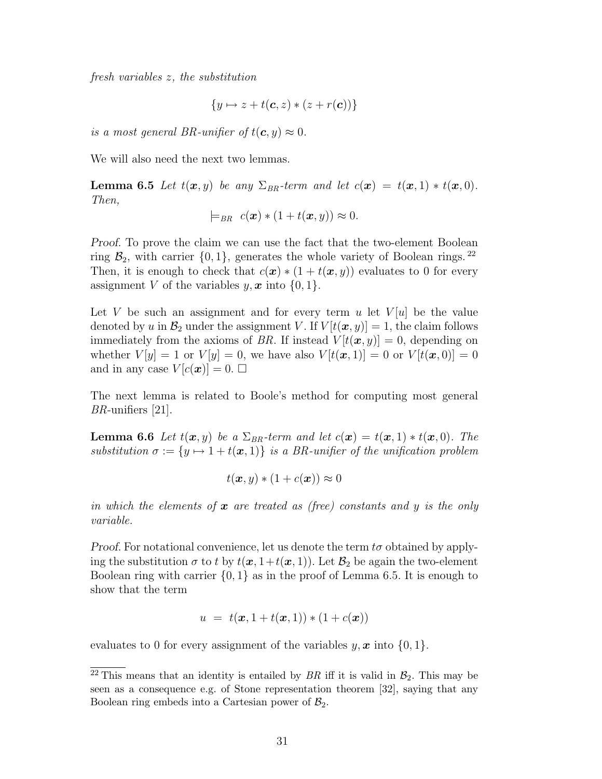fresh variables z, the substitution

$$
\{y \mapsto z + t(\mathbf{c}, z) * (z + r(\mathbf{c}))\}
$$

is a most general BR-unifier of  $t(c, y) \approx 0$ .

We will also need the next two lemmas.

**Lemma 6.5** Let  $t(x, y)$  be any  $\Sigma_{BR}$ -term and let  $c(x) = t(x, 1) * t(x, 0)$ . Then,

$$
\models_{BR} c(\boldsymbol{x}) * (1 + t(\boldsymbol{x}, y)) \approx 0.
$$

Proof. To prove the claim we can use the fact that the two-element Boolean ring  $\mathcal{B}_2$ , with carrier  $\{0, 1\}$ , generates the whole variety of Boolean rings. <sup>22</sup> Then, it is enough to check that  $c(\mathbf{x}) * (1 + t(\mathbf{x}, y))$  evaluates to 0 for every assignment V of the variables  $y, x$  into  $\{0, 1\}.$ 

Let V be such an assignment and for every term u let  $V|u|$  be the value denoted by u in  $\mathcal{B}_2$  under the assignment V. If  $V[t(\boldsymbol{x}, y)] = 1$ , the claim follows immediately from the axioms of BR. If instead  $V[t(\boldsymbol{x}, y)] = 0$ , depending on whether  $V[y] = 1$  or  $V[y] = 0$ , we have also  $V[t(\boldsymbol{x}, 1)] = 0$  or  $V[t(\boldsymbol{x}, 0)] = 0$ and in any case  $V[c(\boldsymbol{x})] = 0$ .  $\square$ 

The next lemma is related to Boole's method for computing most general BR-unifiers [21].

**Lemma 6.6** Let  $t(x, y)$  be a  $\Sigma_{BR}$ -term and let  $c(x) = t(x, 1) * t(x, 0)$ . The substitution  $\sigma := \{y \mapsto 1 + t(x, 1)\}\$ is a BR-unifier of the unification problem

$$
t(\boldsymbol{x},y) * (1 + c(\boldsymbol{x})) \approx 0
$$

in which the elements of  $x$  are treated as (free) constants and y is the only variable.

*Proof.* For notational convenience, let us denote the term  $t\sigma$  obtained by applying the substitution  $\sigma$  to t by  $t(\mathbf{x}, 1+t(\mathbf{x}, 1))$ . Let  $\mathcal{B}_2$  be again the two-element Boolean ring with carrier  $\{0, 1\}$  as in the proof of Lemma 6.5. It is enough to show that the term

$$
u = t(\bm{x}, 1 + t(\bm{x}, 1)) * (1 + c(\bm{x}))
$$

evaluates to 0 for every assignment of the variables  $y, x$  into  $\{0, 1\}.$ 

<sup>&</sup>lt;sup>22</sup> This means that an identity is entailed by  $BR$  iff it is valid in  $\mathcal{B}_2$ . This may be seen as a consequence e.g. of Stone representation theorem [32], saying that any Boolean ring embeds into a Cartesian power of  $\mathcal{B}_2$ .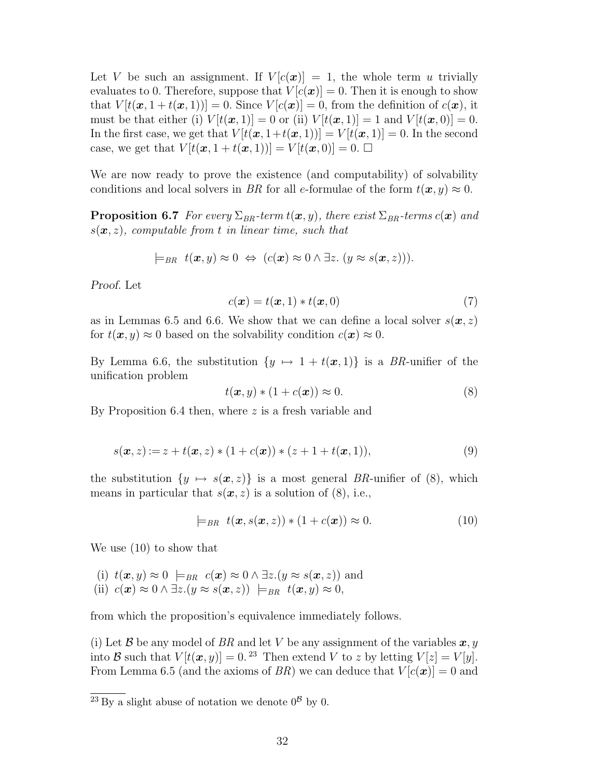Let V be such an assignment. If  $V[c(\mathbf{x})] = 1$ , the whole term u trivially evaluates to 0. Therefore, suppose that  $V[c(\boldsymbol{x})] = 0$ . Then it is enough to show that  $V[t(\mathbf{x}, 1+t(\mathbf{x}, 1))] = 0$ . Since  $V[c(\mathbf{x})] = 0$ , from the definition of  $c(\mathbf{x})$ , it must be that either (i)  $V[t(\boldsymbol{x}, 1)] = 0$  or (ii)  $V[t(\boldsymbol{x}, 1)] = 1$  and  $V[t(\boldsymbol{x}, 0)] = 0$ . In the first case, we get that  $V[t(\mathbf{x}, 1+t(\mathbf{x}, 1))] = V[t(\mathbf{x}, 1)] = 0$ . In the second case, we get that  $V[t(\boldsymbol{x}, 1 + t(\boldsymbol{x}, 1))] = V[t(\boldsymbol{x}, 0)] = 0$ .  $\Box$ 

We are now ready to prove the existence (and computability) of solvability conditions and local solvers in BR for all e-formulae of the form  $t(x, y) \approx 0$ .

**Proposition 6.7** For every  $\Sigma_{BR}$ -term  $t(x, y)$ , there exist  $\Sigma_{BR}$ -terms  $c(x)$  and  $s(x, z)$ , computable from t in linear time, such that

$$
\models_{BR} t(\boldsymbol{x},y) \approx 0 \Leftrightarrow (c(\boldsymbol{x}) \approx 0 \land \exists z. (y \approx s(\boldsymbol{x},z))).
$$

Proof. Let

$$
c(\boldsymbol{x}) = t(\boldsymbol{x}, 1) * t(\boldsymbol{x}, 0) \tag{7}
$$

as in Lemmas 6.5 and 6.6. We show that we can define a local solver  $s(\mathbf{x}, z)$ for  $t(x, y) \approx 0$  based on the solvability condition  $c(x) \approx 0$ .

By Lemma 6.6, the substitution  $\{y \mapsto 1 + t(x, 1)\}\$ is a BR-unifier of the unification problem

$$
t(\boldsymbol{x}, y) * (1 + c(\boldsymbol{x})) \approx 0.
$$
 (8)

By Proposition 6.4 then, where  $z$  is a fresh variable and

$$
s(\mathbf{x}, z) := z + t(\mathbf{x}, z) * (1 + c(\mathbf{x})) * (z + 1 + t(\mathbf{x}, 1)),
$$
\n(9)

the substitution  $\{y \mapsto s(x, z)\}\$ is a most general BR-unifier of (8), which means in particular that  $s(x, z)$  is a solution of (8), i.e.,

$$
\models_{BR} t(\boldsymbol{x}, s(\boldsymbol{x}, z)) * (1 + c(\boldsymbol{x})) \approx 0. \tag{10}
$$

We use (10) to show that

(i) 
$$
t(\mathbf{x}, y) \approx 0 \models_{BR} c(\mathbf{x}) \approx 0 \land \exists z.(y \approx s(\mathbf{x}, z))
$$
 and  
(ii)  $c(\mathbf{x}) \approx 0 \land \exists z.(y \approx s(\mathbf{x}, z)) \models_{BR} t(\mathbf{x}, y) \approx 0$ ,

from which the proposition's equivalence immediately follows.

(i) Let B be any model of BR and let V be any assignment of the variables  $x, y$ into B such that  $V[t(\boldsymbol{x}, y)] = 0$ . <sup>23</sup> Then extend V to z by letting  $V[z] = V[y]$ . From Lemma 6.5 (and the axioms of BR) we can deduce that  $V[c(\boldsymbol{x})] = 0$  and

 $\sqrt[23]{23}$  By a slight abuse of notation we denote  $0^8$  by 0.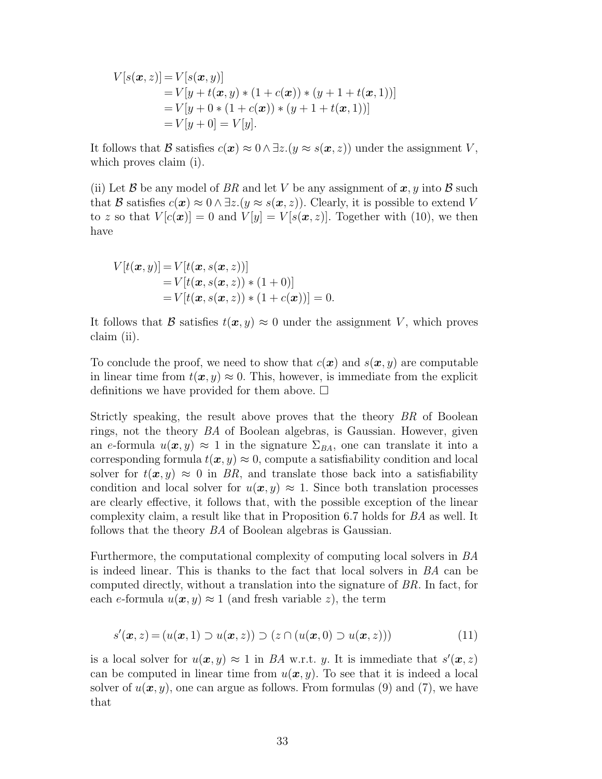$$
V[s(\mathbf{x}, z)] = V[s(\mathbf{x}, y)]
$$
  
=  $V[y + t(\mathbf{x}, y) * (1 + c(\mathbf{x})) * (y + 1 + t(\mathbf{x}, 1))]$   
=  $V[y + 0 * (1 + c(\mathbf{x})) * (y + 1 + t(\mathbf{x}, 1))]$   
=  $V[y + 0] = V[y].$ 

It follows that B satisfies  $c(\mathbf{x}) \approx 0 \wedge \exists z.(y \approx s(\mathbf{x}, z))$  under the assignment V, which proves claim (i).

(ii) Let B be any model of BR and let V be any assignment of  $x, y$  into B such that B satisfies  $c(\mathbf{x}) \approx 0 \wedge \exists z \ (y \approx s(\mathbf{x}, z))$ . Clearly, it is possible to extend V to z so that  $V[c(\boldsymbol{x})] = 0$  and  $V[y] = V[s(\boldsymbol{x}, z)]$ . Together with (10), we then have

$$
V[t(\boldsymbol{x}, y)] = V[t(\boldsymbol{x}, s(\boldsymbol{x}, z))]
$$
  
=  $V[t(\boldsymbol{x}, s(\boldsymbol{x}, z)) * (1 + 0)]$   
=  $V[t(\boldsymbol{x}, s(\boldsymbol{x}, z)) * (1 + c(\boldsymbol{x}))] = 0.$ 

It follows that B satisfies  $t(x, y) \approx 0$  under the assignment V, which proves claim (ii).

To conclude the proof, we need to show that  $c(\mathbf{x})$  and  $s(\mathbf{x}, y)$  are computable in linear time from  $t(x, y) \approx 0$ . This, however, is immediate from the explicit definitions we have provided for them above.  $\Box$ 

Strictly speaking, the result above proves that the theory BR of Boolean rings, not the theory BA of Boolean algebras, is Gaussian. However, given an e-formula  $u(x, y) \approx 1$  in the signature  $\Sigma_{BA}$ , one can translate it into a corresponding formula  $t(x, y) \approx 0$ , compute a satisfiability condition and local solver for  $t(x, y) \approx 0$  in BR, and translate those back into a satisfiability condition and local solver for  $u(x, y) \approx 1$ . Since both translation processes are clearly effective, it follows that, with the possible exception of the linear complexity claim, a result like that in Proposition 6.7 holds for BA as well. It follows that the theory BA of Boolean algebras is Gaussian.

Furthermore, the computational complexity of computing local solvers in BA is indeed linear. This is thanks to the fact that local solvers in BA can be computed directly, without a translation into the signature of BR. In fact, for each e-formula  $u(x, y) \approx 1$  (and fresh variable z), the term

$$
s'(\boldsymbol{x}, z) = (u(\boldsymbol{x}, 1) \supset u(\boldsymbol{x}, z)) \supset (z \cap (u(\boldsymbol{x}, 0) \supset u(\boldsymbol{x}, z))) \tag{11}
$$

is a local solver for  $u(x, y) \approx 1$  in BA w.r.t. y. It is immediate that  $s'(x, z)$ can be computed in linear time from  $u(x, y)$ . To see that it is indeed a local solver of  $u(x, y)$ , one can argue as follows. From formulas (9) and (7), we have that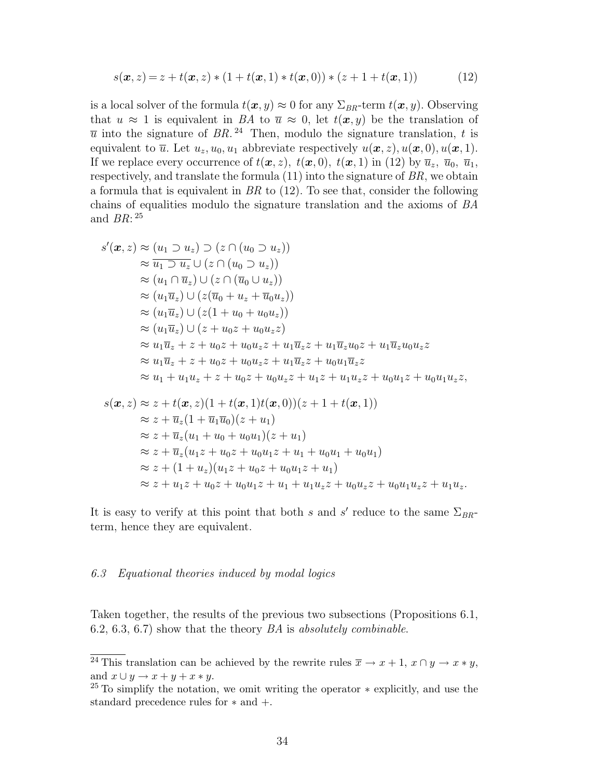$$
s(\mathbf{x}, z) = z + t(\mathbf{x}, z) * (1 + t(\mathbf{x}, 1) * t(\mathbf{x}, 0)) * (z + 1 + t(\mathbf{x}, 1))
$$
(12)

is a local solver of the formula  $t(x, y) \approx 0$  for any  $\Sigma_{BR}$ -term  $t(x, y)$ . Observing that  $u \approx 1$  is equivalent in BA to  $\overline{u} \approx 0$ , let  $t(x, y)$  be the translation of  $\overline{u}$  into the signature of BR.<sup>24</sup> Then, modulo the signature translation, t is equivalent to  $\overline{u}$ . Let  $u_z, u_0, u_1$  abbreviate respectively  $u(\boldsymbol{x}, z), u(\boldsymbol{x}, 0), u(\boldsymbol{x}, 1)$ . If we replace every occurrence of  $t(x, z)$ ,  $t(x, 0)$ ,  $t(x, 1)$  in (12) by  $\overline{u}_z$ ,  $\overline{u}_0$ ,  $\overline{u}_1$ , respectively, and translate the formula  $(11)$  into the signature of  $BR$ , we obtain a formula that is equivalent in  $BR$  to (12). To see that, consider the following chains of equalities modulo the signature translation and the axioms of BA and  $BR:^{25}$ 

$$
s'(\mathbf{x}, z) \approx (u_1 \supset u_z) \supset (z \cap (u_0 \supset u_z))
$$
  
\n
$$
\approx \overline{u_1 \supset u_z} \cup (z \cap (u_0 \supset u_z))
$$
  
\n
$$
\approx (u_1 \cap \overline{u}_z) \cup (z \cap (\overline{u}_0 \cup u_z))
$$
  
\n
$$
\approx (u_1 \overline{u}_z) \cup (z(\overline{u}_0 + u_z + \overline{u}_0 u_z))
$$
  
\n
$$
\approx (u_1 \overline{u}_z) \cup (z(1 + u_0 + u_0 u_z))
$$
  
\n
$$
\approx (u_1 \overline{u}_z) \cup (z + u_0 z + u_0 u_z z)
$$
  
\n
$$
\approx u_1 \overline{u}_z + z + u_0 z + u_0 u_z z + u_1 \overline{u}_z z + u_1 \overline{u}_z u_0 z + u_1 \overline{u}_z u_0 u_z z
$$
  
\n
$$
\approx u_1 \overline{u}_z + z + u_0 z + u_0 u_z z + u_1 \overline{u}_z z + u_0 u_1 \overline{u}_z z
$$
  
\n
$$
\approx u_1 + u_1 u_z + z + u_0 z + u_0 u_z z + u_1 z + u_1 u_z z + u_0 u_1 z + u_0 u_1 u_z z,
$$
  
\n
$$
s(\mathbf{x}, z) \approx z + t(\mathbf{x}, z)(1 + t(\mathbf{x}, 1)t(\mathbf{x}, 0))(z + 1 + t(\mathbf{x}, 1))
$$
  
\n
$$
\approx z + \overline{u}_z(1 + \overline{u}_1 \overline{u}_0)(z + u_1)
$$
  
\n
$$
\approx z + \overline{u}_z(u_1 + u_0 + u_0 u_1)(z + u_1)
$$
  
\n
$$
\approx z + \overline{u}_z(u_1 z + u_0 z + u_0 u_1 z + u_1 + u_0 u_1 + u_0 u_1)
$$
  
\n
$$
\approx z + (1 + u_z)(u_1 z + u_0 z + u_0 u_1 z + u_1)
$$
  
\n
$$
\approx z + u_1 z + u_0 z + u_0 u_1 z + u_1 + u_
$$

It is easy to verify at this point that both s and s' reduce to the same  $\Sigma_{BR}$ term, hence they are equivalent.

#### 6.3 Equational theories induced by modal logics

Taken together, the results of the previous two subsections (Propositions 6.1, 6.2, 6.3, 6.7) show that the theory  $BA$  is absolutely combinable.

<sup>&</sup>lt;sup>24</sup> This translation can be achieved by the rewrite rules  $\overline{x} \to x + 1$ ,  $x \cap y \to x * y$ , and  $x \cup y \rightarrow x + y + x * y$ .

<sup>&</sup>lt;sup>25</sup> To simplify the notation, we omit writing the operator  $*$  explicitly, and use the standard precedence rules for ∗ and +.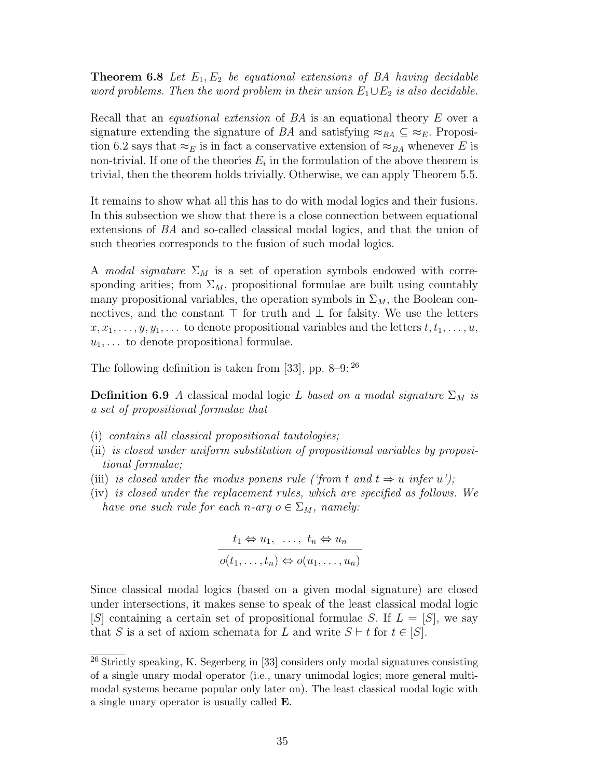**Theorem 6.8** Let  $E_1, E_2$  be equational extensions of BA having decidable word problems. Then the word problem in their union  $E_1 \cup E_2$  is also decidable.

Recall that an *equational extension* of BA is an equational theory E over a signature extending the signature of BA and satisfying  $\approx_{BA} \subseteq \approx_E$ . Proposition 6.2 says that  $\approx_E$  is in fact a conservative extension of  $\approx_{BA}$  whenever E is non-trivial. If one of the theories  $E_i$  in the formulation of the above theorem is trivial, then the theorem holds trivially. Otherwise, we can apply Theorem 5.5.

It remains to show what all this has to do with modal logics and their fusions. In this subsection we show that there is a close connection between equational extensions of BA and so-called classical modal logics, and that the union of such theories corresponds to the fusion of such modal logics.

A modal signature  $\Sigma_M$  is a set of operation symbols endowed with corresponding arities; from  $\Sigma_M$ , propositional formulae are built using countably many propositional variables, the operation symbols in  $\Sigma_M$ , the Boolean connectives, and the constant  $\top$  for truth and  $\bot$  for falsity. We use the letters  $x, x_1, \ldots, y, y_1, \ldots$  to denote propositional variables and the letters  $t, t_1, \ldots, u$ ,  $u_1, \ldots$  to denote propositional formulae.

The following definition is taken from [33], pp. 8–9:  $^{26}$ 

**Definition 6.9** A classical modal logic L based on a modal signature  $\Sigma_M$  is a set of propositional formulae that

- (i) contains all classical propositional tautologies;
- (ii) is closed under uniform substitution of propositional variables by propositional formulae;
- (iii) is closed under the modus ponens rule ('from t and  $t \Rightarrow u$  infer u');
- (iv) is closed under the replacement rules, which are specified as follows. We have one such rule for each n-ary  $o \in \Sigma_M$ , namely:

$$
t_1 \Leftrightarrow u_1, \ldots, t_n \Leftrightarrow u_n
$$

$$
o(t_1, \ldots, t_n) \Leftrightarrow o(u_1, \ldots, u_n)
$$

Since classical modal logics (based on a given modal signature) are closed under intersections, it makes sense to speak of the least classical modal logic  $[S]$  containing a certain set of propositional formulae S. If  $L = [S]$ , we say that S is a set of axiom schemata for L and write  $S \vdash t$  for  $t \in [S]$ .

<sup>26</sup> Strictly speaking, K. Segerberg in [33] considers only modal signatures consisting of a single unary modal operator (i.e., unary unimodal logics; more general multimodal systems became popular only later on). The least classical modal logic with a single unary operator is usually called E.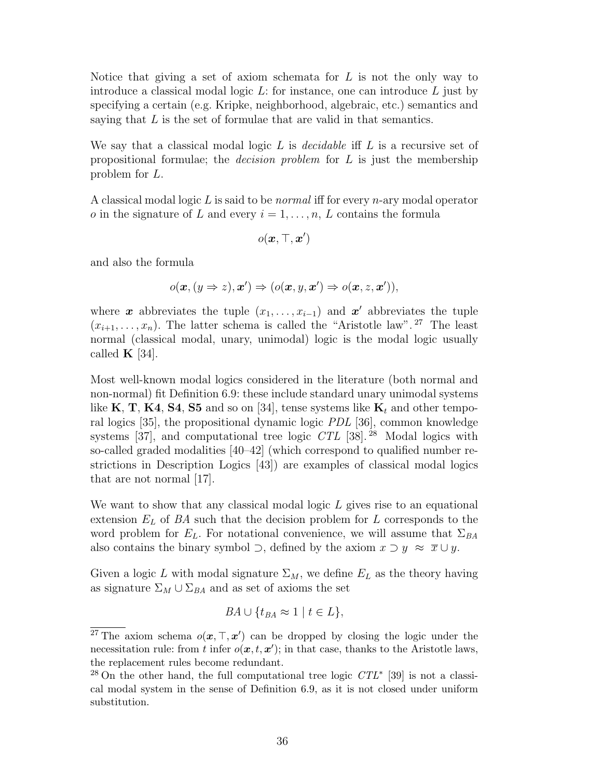Notice that giving a set of axiom schemata for  $L$  is not the only way to introduce a classical modal logic  $L$ : for instance, one can introduce  $L$  just by specifying a certain (e.g. Kripke, neighborhood, algebraic, etc.) semantics and saying that  $L$  is the set of formulae that are valid in that semantics.

We say that a classical modal logic  $L$  is *decidable* iff  $L$  is a recursive set of propositional formulae; the *decision problem* for  $L$  is just the membership problem for L.

A classical modal logic  $L$  is said to be *normal* iff for every *n*-ary modal operator o in the signature of L and every  $i = 1, \ldots, n, L$  contains the formula

$$
o(\bm{x},\top,\bm{x}')
$$

and also the formula

$$
o(\boldsymbol{x},(y\Rightarrow z),\boldsymbol{x}')\Rightarrow (o(\boldsymbol{x},y,\boldsymbol{x}')\Rightarrow o(\boldsymbol{x},z,\boldsymbol{x}')),
$$

where x abbreviates the tuple  $(x_1, \ldots, x_{i-1})$  and x' abbreviates the tuple  $(x_{i+1}, \ldots, x_n)$ . The latter schema is called the "Aristotle law". <sup>27</sup> The least normal (classical modal, unary, unimodal) logic is the modal logic usually called  $\mathbf{K}$  [34].

Most well-known modal logics considered in the literature (both normal and non-normal) fit Definition 6.9: these include standard unary unimodal systems like K, T, K4, S4, S5 and so on [34], tense systems like  $K_t$  and other temporal logics [35], the propositional dynamic logic PDL [36], common knowledge systems [37], and computational tree logic  $CTL$  [38]. <sup>28</sup> Modal logics with so-called graded modalities [40–42] (which correspond to qualified number restrictions in Description Logics [43]) are examples of classical modal logics that are not normal [17].

We want to show that any classical modal logic  $L$  gives rise to an equational extension  $E<sub>L</sub>$  of BA such that the decision problem for L corresponds to the word problem for  $E_L$ . For notational convenience, we will assume that  $\Sigma_{BA}$ also contains the binary symbol  $\supset$ , defined by the axiom  $x \supset y \approx \overline{x} \cup y$ .

Given a logic L with modal signature  $\Sigma_M$ , we define  $E_L$  as the theory having as signature  $\Sigma_M \cup \Sigma_{BA}$  and as set of axioms the set

$$
BA \cup \{t_{BA} \approx 1 \mid t \in L\},\
$$

<sup>&</sup>lt;sup>27</sup> The axiom schema  $o(x, \top, x')$  can be dropped by closing the logic under the necessitation rule: from t infer  $o(\mathbf{x}, t, \mathbf{x}')$ ; in that case, thanks to the Aristotle laws, the replacement rules become redundant.

<sup>&</sup>lt;sup>28</sup> On the other hand, the full computational tree logic  $CTL^*$  [39] is not a classical modal system in the sense of Definition 6.9, as it is not closed under uniform substitution.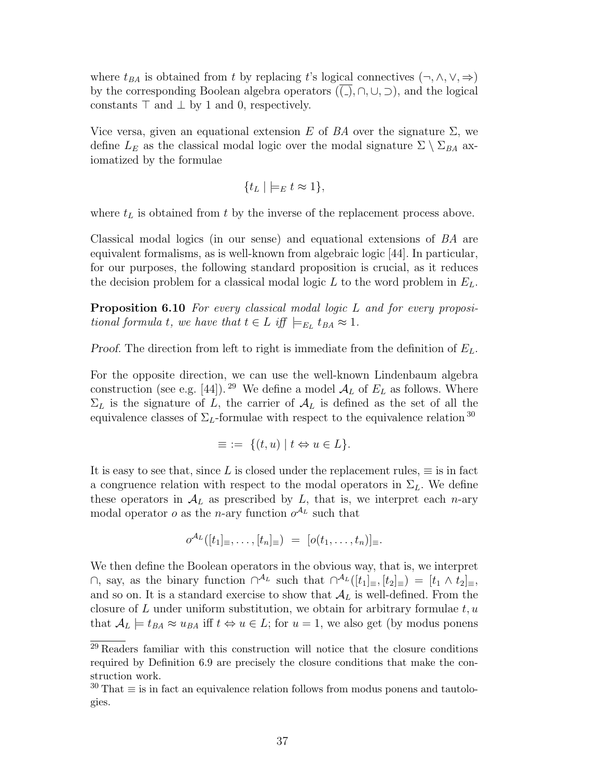where  $t_{BA}$  is obtained from t by replacing t's logical connectives  $(\neg, \wedge, \vee, \Rightarrow)$ by the corresponding Boolean algebra operators  $((\_), \cap, \cup, \supset)$ , and the logical constants  $\top$  and  $\bot$  by 1 and 0, respectively.

Vice versa, given an equational extension E of BA over the signature  $\Sigma$ , we define  $L_E$  as the classical modal logic over the modal signature  $\Sigma \setminus \Sigma_{BA}$  axiomatized by the formulae

$$
\{t_L \mid \bigmodels_E t \approx 1\},\
$$

where  $t<sub>L</sub>$  is obtained from t by the inverse of the replacement process above.

Classical modal logics (in our sense) and equational extensions of BA are equivalent formalisms, as is well-known from algebraic logic [44]. In particular, for our purposes, the following standard proposition is crucial, as it reduces the decision problem for a classical modal logic  $L$  to the word problem in  $E_L$ .

**Proposition 6.10** For every classical modal logic L and for every propositional formula t, we have that  $t \in L$  iff  $\models_{E_L} t_{BA} \approx 1$ .

Proof. The direction from left to right is immediate from the definition of  $E_L$ .

For the opposite direction, we can use the well-known Lindenbaum algebra construction (see e.g. [44]).<sup>29</sup> We define a model  $A_L$  of  $E_L$  as follows. Where  $\Sigma_L$  is the signature of L, the carrier of  $\mathcal{A}_L$  is defined as the set of all the equivalence classes of  $\Sigma_L$ -formulae with respect to the equivalence relation <sup>30</sup>

$$
\equiv \; := \; \{ (t, u) \mid t \Leftrightarrow u \in L \}.
$$

It is easy to see that, since L is closed under the replacement rules,  $\equiv$  is in fact a congruence relation with respect to the modal operators in  $\Sigma_L$ . We define these operators in  $\mathcal{A}_L$  as prescribed by  $L$ , that is, we interpret each *n*-ary modal operator *o* as the *n*-ary function  $o^{A_L}$  such that

$$
o^{\mathcal{A}_L}([t_1]_{\equiv},\ldots,[t_n]_{\equiv}) = [o(t_1,\ldots,t_n)]_{\equiv}.
$$

We then define the Boolean operators in the obvious way, that is, we interpret ∩, say, as the binary function  $\bigcap^{\mathcal{A}_L}$  such that  $\bigcap^{\mathcal{A}_L}([t_1]_\equiv,[t_2]_\equiv) = [t_1 \wedge t_2]_\equiv$ , and so on. It is a standard exercise to show that  $\mathcal{A}_L$  is well-defined. From the closure of  $L$  under uniform substitution, we obtain for arbitrary formulae  $t, u$ that  $\mathcal{A}_L \models t_{BA} \approx u_{BA}$  iff  $t \Leftrightarrow u \in L$ ; for  $u = 1$ , we also get (by modus ponens

<sup>29</sup> Readers familiar with this construction will notice that the closure conditions required by Definition 6.9 are precisely the closure conditions that make the construction work.

 $30$  That  $\equiv$  is in fact an equivalence relation follows from modus ponens and tautologies.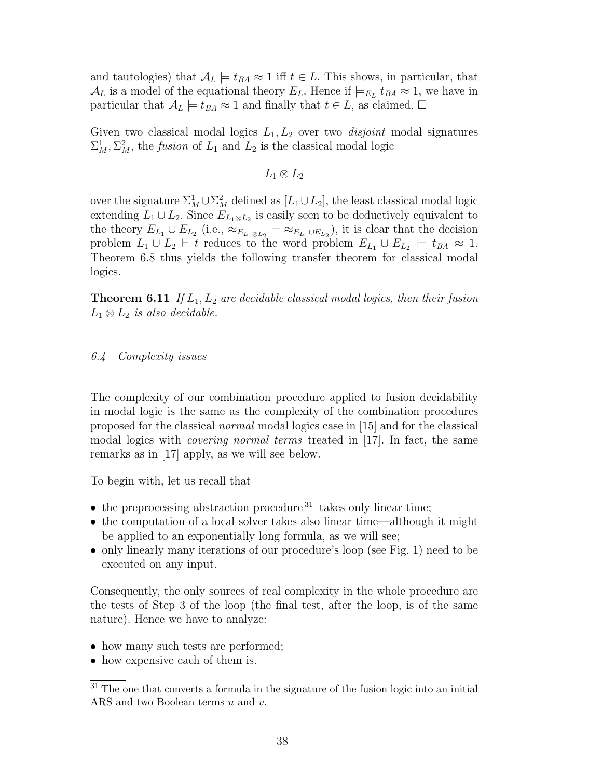and tautologies) that  $A_L \models t_{BA} \approx 1$  iff  $t \in L$ . This shows, in particular, that  $\mathcal{A}_L$  is a model of the equational theory  $E_L$ . Hence if  $\models_{E_L} t_{BA} \approx 1$ , we have in particular that  $A_L \models t_{BA} \approx 1$  and finally that  $t \in L$ , as claimed.  $\Box$ 

Given two classical modal logics  $L_1, L_2$  over two *disjoint* modal signatures  $\Sigma_M^1$ ,  $\Sigma_M^2$ , the *fusion* of  $L_1$  and  $L_2$  is the classical modal logic

$$
L_1\otimes L_2
$$

over the signature  $\Sigma_M^1 \cup \Sigma_M^2$  defined as  $[L_1 \cup L_2]$ , the least classical modal logic extending  $L_1 \cup L_2$ . Since  $E_{L_1 \otimes L_2}$  is easily seen to be deductively equivalent to the theory  $E_{L_1} \cup E_{L_2}$  (i.e.,  $\approx_{E_{L_1} \otimes L_2} = \approx_{E_{L_1} \cup E_{L_2}}$ ), it is clear that the decision problem  $L_1 \cup L_2 \vdash t$  reduces to the word problem  $E_{L_1} \cup E_{L_2} \models t_{BA} \approx 1$ . Theorem 6.8 thus yields the following transfer theorem for classical modal logics.

**Theorem 6.11** If  $L_1, L_2$  are decidable classical modal logics, then their fusion  $L_1 \otimes L_2$  is also decidable.

# 6.4 Complexity issues

The complexity of our combination procedure applied to fusion decidability in modal logic is the same as the complexity of the combination procedures proposed for the classical normal modal logics case in [15] and for the classical modal logics with *covering normal terms* treated in [17]. In fact, the same remarks as in [17] apply, as we will see below.

To begin with, let us recall that

- $\bullet$  the preprocessing abstraction procedure  $31$  takes only linear time;
- the computation of a local solver takes also linear time—although it might be applied to an exponentially long formula, as we will see;
- only linearly many iterations of our procedure's loop (see Fig. 1) need to be executed on any input.

Consequently, the only sources of real complexity in the whole procedure are the tests of Step 3 of the loop (the final test, after the loop, is of the same nature). Hence we have to analyze:

- how many such tests are performed;
- how expensive each of them is.

 $\overline{31}$  The one that converts a formula in the signature of the fusion logic into an initial ARS and two Boolean terms  $u$  and  $v$ .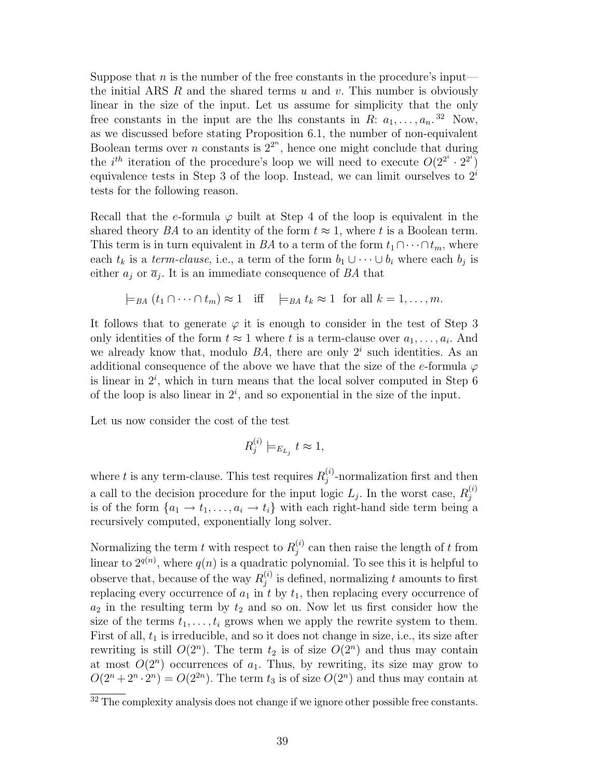Suppose that n is the number of the free constants in the procedure's input the initial ARS  $R$  and the shared terms  $u$  and  $v$ . This number is obviously linear in the size of the input. Let us assume for simplicity that the only free constants in the input are the lhs constants in R:  $a_1, \ldots, a_n$ .<sup>32</sup> Now, as we discussed before stating Proposition 6.1, the number of non-equivalent Boolean terms over *n* constants is  $2^{2^n}$ , hence one might conclude that during the *i*<sup>th</sup> iteration of the procedure's loop we will need to execute  $O(2^{2^i} \cdot 2^{2^i})$ equivalence tests in Step 3 of the loop. Instead, we can limit ourselves to  $2^i$ tests for the following reason.

Recall that the e-formula  $\varphi$  built at Step 4 of the loop is equivalent in the shared theory BA to an identity of the form  $t \approx 1$ , where t is a Boolean term. This term is in turn equivalent in BA to a term of the form  $t_1 \cap \cdots \cap t_m$ , where each  $t_k$  is a term-clause, i.e., a term of the form  $b_1 \cup \cdots \cup b_i$  where each  $b_j$  is either  $a_j$  or  $\overline{a}_j$ . It is an immediate consequence of BA that

$$
\models_{BA} (t_1 \cap \cdots \cap t_m) \approx 1
$$
 iff  $\models_{BA} t_k \approx 1$  for all  $k = 1, ..., m$ .

It follows that to generate  $\varphi$  it is enough to consider in the test of Step 3 only identities of the form  $t \approx 1$  where t is a term-clause over  $a_1, \ldots, a_i$ . And we already know that, modulo  $BA$ , there are only  $2<sup>i</sup>$  such identities. As an additional consequence of the above we have that the size of the e-formula  $\varphi$ is linear in  $2^i$ , which in turn means that the local solver computed in Step 6 of the loop is also linear in  $2^i$ , and so exponential in the size of the input.

Let us now consider the cost of the test

$$
R_j^{(i)} \models_{E_{L_j}} t \approx 1,
$$

where t is any term-clause. This test requires  $R_i^{(i)}$  $j^{(i)}_j$ -normalization first and then a call to the decision procedure for the input logic  $L_j$ . In the worst case,  $R_j^{(i)}$ j is of the form  $\{a_1 \rightarrow t_1, \ldots, a_i \rightarrow t_i\}$  with each right-hand side term being a recursively computed, exponentially long solver.

Normalizing the term t with respect to  $R_i^{(i)}$  $j^{(i)}$  can then raise the length of t from linear to  $2^{q(n)}$ , where  $q(n)$  is a quadratic polynomial. To see this it is helpful to observe that, because of the way  $R_i^{(i)}$  $j^{(i)}_j$  is defined, normalizing t amounts to first replacing every occurrence of  $a_1$  in t by  $t_1$ , then replacing every occurrence of  $a_2$  in the resulting term by  $t_2$  and so on. Now let us first consider how the size of the terms  $t_1, \ldots, t_i$  grows when we apply the rewrite system to them. First of all,  $t_1$  is irreducible, and so it does not change in size, i.e., its size after rewriting is still  $O(2^n)$ . The term  $t_2$  is of size  $O(2^n)$  and thus may contain at most  $O(2^n)$  occurrences of  $a_1$ . Thus, by rewriting, its size may grow to  $O(2^{n} + 2^{n} \cdot 2^{n}) = O(2^{2n})$ . The term  $t_3$  is of size  $O(2^{n})$  and thus may contain at

 $32$  The complexity analysis does not change if we ignore other possible free constants.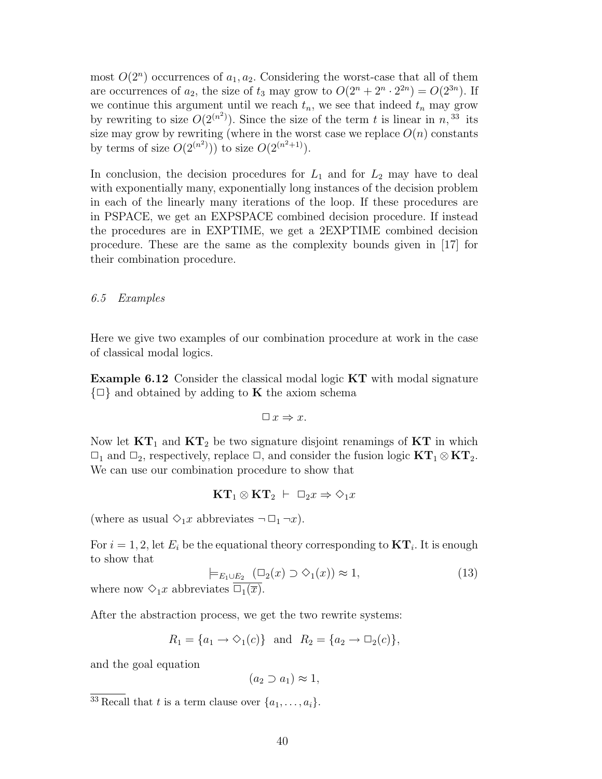most  $O(2^n)$  occurrences of  $a_1, a_2$ . Considering the worst-case that all of them are occurrences of  $a_2$ , the size of  $t_3$  may grow to  $O(2^n + 2^n \cdot 2^{2n}) = O(2^{3n})$ . If we continue this argument until we reach  $t_n$ , we see that indeed  $t_n$  may grow by rewriting to size  $O(2^{(n^2)})$ . Since the size of the term t is linear in n, <sup>33</sup> its size may grow by rewriting (where in the worst case we replace  $O(n)$  constants by terms of size  $O(2^{(n^2)}))$  to size  $O(2^{(n^2+1)})$ .

In conclusion, the decision procedures for  $L_1$  and for  $L_2$  may have to deal with exponentially many, exponentially long instances of the decision problem in each of the linearly many iterations of the loop. If these procedures are in PSPACE, we get an EXPSPACE combined decision procedure. If instead the procedures are in EXPTIME, we get a 2EXPTIME combined decision procedure. These are the same as the complexity bounds given in [17] for their combination procedure.

# 6.5 Examples

Here we give two examples of our combination procedure at work in the case of classical modal logics.

Example 6.12 Consider the classical modal logic KT with modal signature  $\{\Box\}$  and obtained by adding to **K** the axiom schema

$$
\Box\ x \Rightarrow x.
$$

Now let  $KT_1$  and  $KT_2$  be two signature disjoint renamings of  $KT$  in which  $\Box_1$  and  $\Box_2$ , respectively, replace  $\Box$ , and consider the fusion logic  $KT_1 \otimes KT_2$ . We can use our combination procedure to show that

$$
KT_1\otimes KT_2 \ \vdash \ \Box_2 x \Rightarrow \Diamond_1 x
$$

(where as usual  $\Diamond_1 x$  abbreviates  $\neg \Box_1 \neg x$ ).

For  $i = 1, 2$ , let  $E_i$  be the equational theory corresponding to  $KT_i$ . It is enough to show that

$$
\models_{E_1 \cup E_2} (\Box_2(x) \supset \Diamond_1(x)) \approx 1,
$$
\n(13)

where now  $\Diamond_1 x$  abbreviates  $\Box_1(\overline{x})$ .

After the abstraction process, we get the two rewrite systems:

$$
R_1 = \{a_1 \to \Diamond_1(c)\}\
$$
 and  $R_2 = \{a_2 \to \Box_2(c)\}\$ ,

and the goal equation

 $(a_2 \supset a_1) \approx 1$ ,

<sup>&</sup>lt;sup>33</sup> Recall that t is a term clause over  $\{a_1, \ldots, a_i\}$ .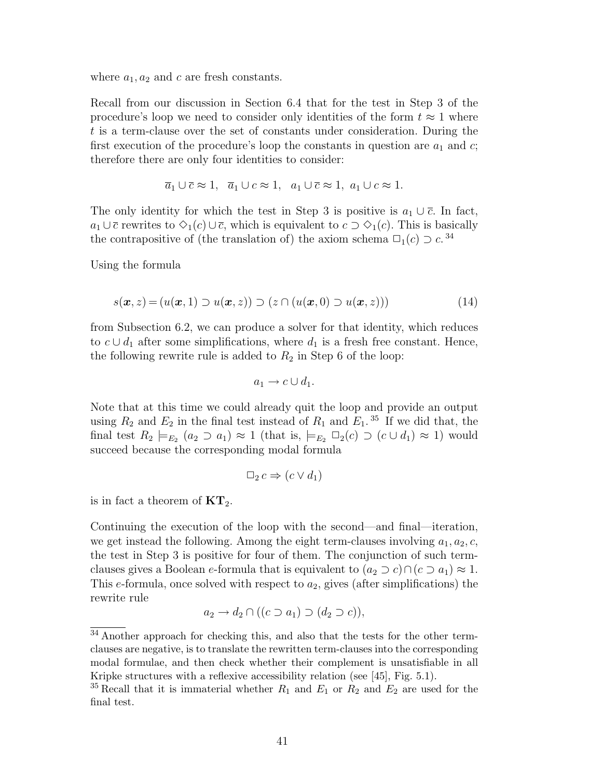where  $a_1, a_2$  and c are fresh constants.

Recall from our discussion in Section 6.4 that for the test in Step 3 of the procedure's loop we need to consider only identities of the form  $t \approx 1$  where t is a term-clause over the set of constants under consideration. During the first execution of the procedure's loop the constants in question are  $a_1$  and c; therefore there are only four identities to consider:

$$
\overline{a}_1 \cup \overline{c} \approx 1
$$
,  $\overline{a}_1 \cup c \approx 1$ ,  $a_1 \cup \overline{c} \approx 1$ ,  $a_1 \cup c \approx 1$ .

The only identity for which the test in Step 3 is positive is  $a_1 \cup \overline{c}$ . In fact,  $a_1 \cup \overline{c}$  rewrites to  $\diamondsuit_1(c) \cup \overline{c}$ , which is equivalent to  $c \supset \diamondsuit_1(c)$ . This is basically the contrapositive of (the translation of) the axiom schema  $\Box_1(c) \supset c$ .<sup>34</sup>

Using the formula

$$
s(\boldsymbol{x}, z) = (u(\boldsymbol{x}, 1) \supset u(\boldsymbol{x}, z)) \supset (z \cap (u(\boldsymbol{x}, 0) \supset u(\boldsymbol{x}, z))) \tag{14}
$$

from Subsection 6.2, we can produce a solver for that identity, which reduces to  $c \cup d_1$  after some simplifications, where  $d_1$  is a fresh free constant. Hence, the following rewrite rule is added to  $R_2$  in Step 6 of the loop:

$$
a_1 \to c \cup d_1.
$$

Note that at this time we could already quit the loop and provide an output using  $R_2$  and  $E_2$  in the final test instead of  $R_1$  and  $E_1$ .<sup>35</sup> If we did that, the final test  $R_2 \models_{E_2} (a_2 \supset a_1) \approx 1$  (that is,  $\models_{E_2} \Box_2(c) \supset (c \cup d_1) \approx 1$ ) would succeed because the corresponding modal formula

$$
\Box_2 c \Rightarrow (c \lor d_1)
$$

is in fact a theorem of  $KT_2$ .

Continuing the execution of the loop with the second—and final—iteration, we get instead the following. Among the eight term-clauses involving  $a_1, a_2, c$ , the test in Step 3 is positive for four of them. The conjunction of such termclauses gives a Boolean e-formula that is equivalent to  $(a_2 \supset c) \cap (c \supset a_1) \approx 1$ . This e-formula, once solved with respect to  $a_2$ , gives (after simplifications) the rewrite rule

$$
a_2 \to d_2 \cap ((c \supset a_1) \supset (d_2 \supset c)),
$$

<sup>&</sup>lt;sup>34</sup> Another approach for checking this, and also that the tests for the other termclauses are negative, is to translate the rewritten term-clauses into the corresponding modal formulae, and then check whether their complement is unsatisfiable in all Kripke structures with a reflexive accessibility relation (see [45], Fig. 5.1).

<sup>&</sup>lt;sup>35</sup> Recall that it is immaterial whether  $R_1$  and  $E_1$  or  $R_2$  and  $E_2$  are used for the final test.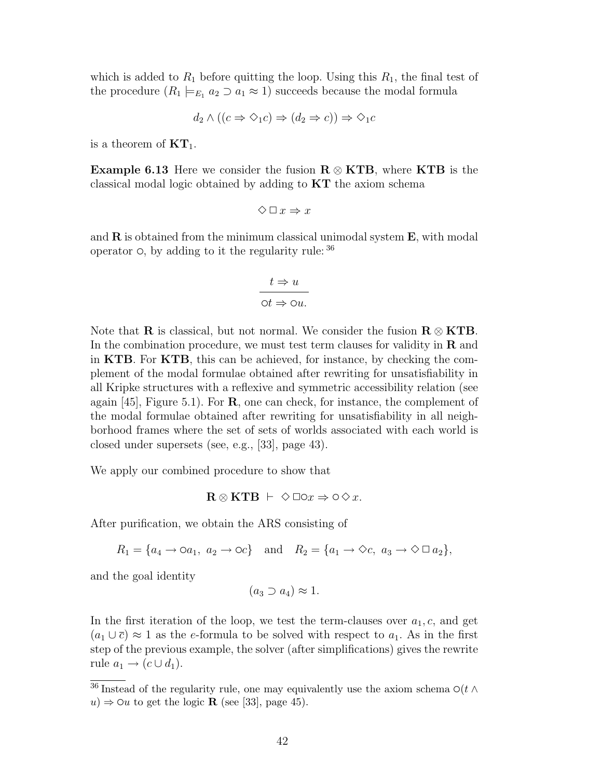which is added to  $R_1$  before quitting the loop. Using this  $R_1$ , the final test of the procedure  $(R_1 \models_{E_1} a_2 \supset a_1 \approx 1)$  succeeds because the modal formula

$$
d_2 \wedge ((c \Rightarrow \Diamond_1 c) \Rightarrow (d_2 \Rightarrow c)) \Rightarrow \Diamond_1 c
$$

is a theorem of  $KT_1$ .

**Example 6.13** Here we consider the fusion  $R \otimes KTB$ , where KTB is the classical modal logic obtained by adding to KT the axiom schema

$$
\diamondsuit \mathbin{\square} x \Rightarrow x
$$

and  $\bf{R}$  is obtained from the minimum classical unimodal system  $\bf{E}$ , with modal operator  $\circ$ , by adding to it the regularity rule:  $36$ 

$$
t \Rightarrow u
$$

$$
\text{or } \Rightarrow \text{ou.}
$$

Note that **R** is classical, but not normal. We consider the fusion  $\mathbf{R} \otimes \mathbf{K} \mathbf{T} \mathbf{B}$ . In the combination procedure, we must test term clauses for validity in  **and** in KTB. For KTB, this can be achieved, for instance, by checking the complement of the modal formulae obtained after rewriting for unsatisfiability in all Kripke structures with a reflexive and symmetric accessibility relation (see again  $[45]$ , Figure 5.1). For **R**, one can check, for instance, the complement of the modal formulae obtained after rewriting for unsatisfiability in all neighborhood frames where the set of sets of worlds associated with each world is closed under supersets (see, e.g., [33], page 43).

We apply our combined procedure to show that

$$
\mathbf{R} \otimes \mathbf{K} \mathbf{T} \mathbf{B} \ \vdash \ \Diamond \Box \odot x \Rightarrow \Diamond \Diamond x.
$$

After purification, we obtain the ARS consisting of

 $R_1 = \{a_4 \rightarrow \infty a_1, a_2 \rightarrow \infty c\}$  and  $R_2 = \{a_1 \rightarrow \infty c, a_3 \rightarrow \infty \square a_2\},\$ 

and the goal identity

$$
(a_3 \supset a_4) \approx 1.
$$

In the first iteration of the loop, we test the term-clauses over  $a_1, c$ , and get  $(a_1 \cup \overline{c}) \approx 1$  as the e-formula to be solved with respect to  $a_1$ . As in the first step of the previous example, the solver (after simplifications) gives the rewrite rule  $a_1 \rightarrow (c \cup d_1).$ 

<sup>&</sup>lt;sup>36</sup> Instead of the regularity rule, one may equivalently use the axiom schema  $\mathcal{O}(t \wedge$  $u) \Rightarrow$   $\Diamond u$  to get the logic **R** (see [33], page 45).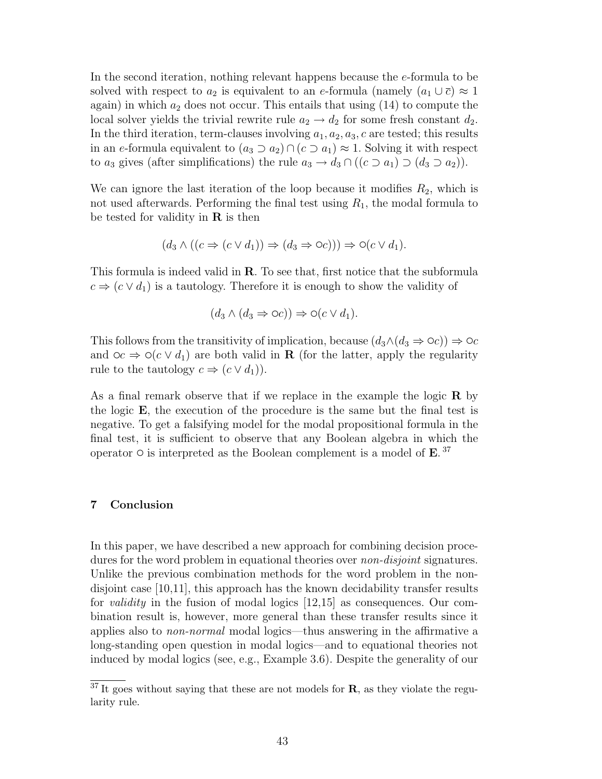In the second iteration, nothing relevant happens because the e-formula to be solved with respect to  $a_2$  is equivalent to an e-formula (namely  $(a_1 \cup \overline{c}) \approx 1$ again) in which  $a_2$  does not occur. This entails that using  $(14)$  to compute the local solver yields the trivial rewrite rule  $a_2 \rightarrow d_2$  for some fresh constant  $d_2$ . In the third iteration, term-clauses involving  $a_1, a_2, a_3, c$  are tested; this results in an e-formula equivalent to  $(a_3 \supset a_2) \cap (c \supset a_1) \approx 1$ . Solving it with respect to  $a_3$  gives (after simplifications) the rule  $a_3 \to d_3 \cap ((c \supset a_1) \supset (d_3 \supset a_2)).$ 

We can ignore the last iteration of the loop because it modifies  $R_2$ , which is not used afterwards. Performing the final test using  $R_1$ , the modal formula to be tested for validity in  $\bf{R}$  is then

$$
(d_3 \wedge ((c \Rightarrow (c \vee d_1)) \Rightarrow (d_3 \Rightarrow \bigcirc c))) \Rightarrow \bigcirc (c \vee d_1).
$$

This formula is indeed valid in R. To see that, first notice that the subformula  $c \Rightarrow (c \vee d_1)$  is a tautology. Therefore it is enough to show the validity of

$$
(d_3 \wedge (d_3 \Rightarrow \circ c)) \Rightarrow \circ (c \vee d_1).
$$

This follows from the transitivity of implication, because  $(d_3 \wedge (d_3 \Rightarrow \circ c)) \Rightarrow \circ c$ and  $\varphi c \Rightarrow \varphi(c \vee d_1)$  are both valid in **R** (for the latter, apply the regularity rule to the tautology  $c \Rightarrow (c \vee d_1)$ .

As a final remark observe that if we replace in the example the logic  $\bf{R}$  by the logic E, the execution of the procedure is the same but the final test is negative. To get a falsifying model for the modal propositional formula in the final test, it is sufficient to observe that any Boolean algebra in which the operator  $\circ$  is interpreted as the Boolean complement is a model of **E**.<sup>37</sup>

# 7 Conclusion

In this paper, we have described a new approach for combining decision procedures for the word problem in equational theories over *non-disjoint* signatures. Unlike the previous combination methods for the word problem in the nondisjoint case [10,11], this approach has the known decidability transfer results for validity in the fusion of modal logics [12,15] as consequences. Our combination result is, however, more general than these transfer results since it applies also to non-normal modal logics—thus answering in the affirmative a long-standing open question in modal logics—and to equational theories not induced by modal logics (see, e.g., Example 3.6). Despite the generality of our

 $37$  It goes without saying that these are not models for **R**, as they violate the regularity rule.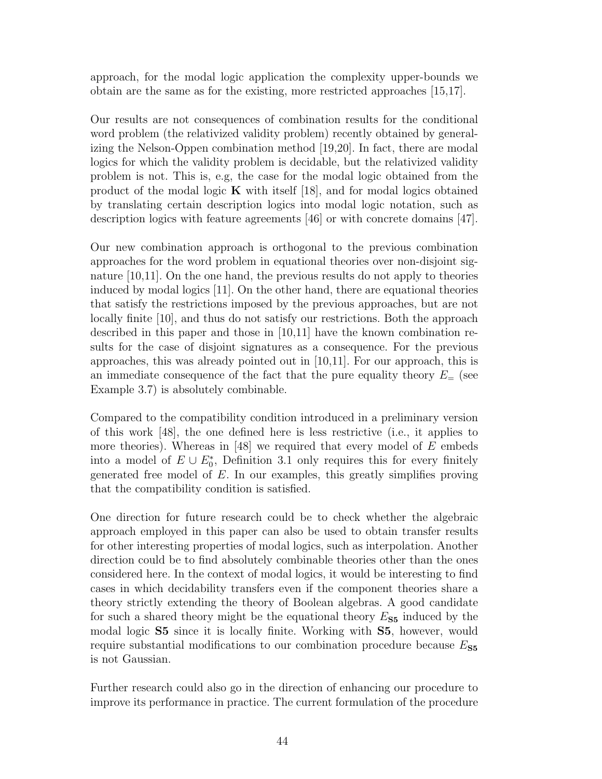approach, for the modal logic application the complexity upper-bounds we obtain are the same as for the existing, more restricted approaches [15,17].

Our results are not consequences of combination results for the conditional word problem (the relativized validity problem) recently obtained by generalizing the Nelson-Oppen combination method [19,20]. In fact, there are modal logics for which the validity problem is decidable, but the relativized validity problem is not. This is, e.g, the case for the modal logic obtained from the product of the modal logic  $\bf{K}$  with itself [18], and for modal logics obtained by translating certain description logics into modal logic notation, such as description logics with feature agreements [46] or with concrete domains [47].

Our new combination approach is orthogonal to the previous combination approaches for the word problem in equational theories over non-disjoint signature [10,11]. On the one hand, the previous results do not apply to theories induced by modal logics [11]. On the other hand, there are equational theories that satisfy the restrictions imposed by the previous approaches, but are not locally finite [10], and thus do not satisfy our restrictions. Both the approach described in this paper and those in [10,11] have the known combination results for the case of disjoint signatures as a consequence. For the previous approaches, this was already pointed out in [10,11]. For our approach, this is an immediate consequence of the fact that the pure equality theory  $E=$  (see Example 3.7) is absolutely combinable.

Compared to the compatibility condition introduced in a preliminary version of this work [48], the one defined here is less restrictive (i.e., it applies to more theories). Whereas in  $|48|$  we required that every model of E embeds into a model of  $E \cup E_0^*$ , Definition 3.1 only requires this for every finitely generated free model of E. In our examples, this greatly simplifies proving that the compatibility condition is satisfied.

One direction for future research could be to check whether the algebraic approach employed in this paper can also be used to obtain transfer results for other interesting properties of modal logics, such as interpolation. Another direction could be to find absolutely combinable theories other than the ones considered here. In the context of modal logics, it would be interesting to find cases in which decidability transfers even if the component theories share a theory strictly extending the theory of Boolean algebras. A good candidate for such a shared theory might be the equational theory  $E_{\mathbf{S5}}$  induced by the modal logic S5 since it is locally finite. Working with S5, however, would require substantial modifications to our combination procedure because  $E_{\text{S5}}$ is not Gaussian.

Further research could also go in the direction of enhancing our procedure to improve its performance in practice. The current formulation of the procedure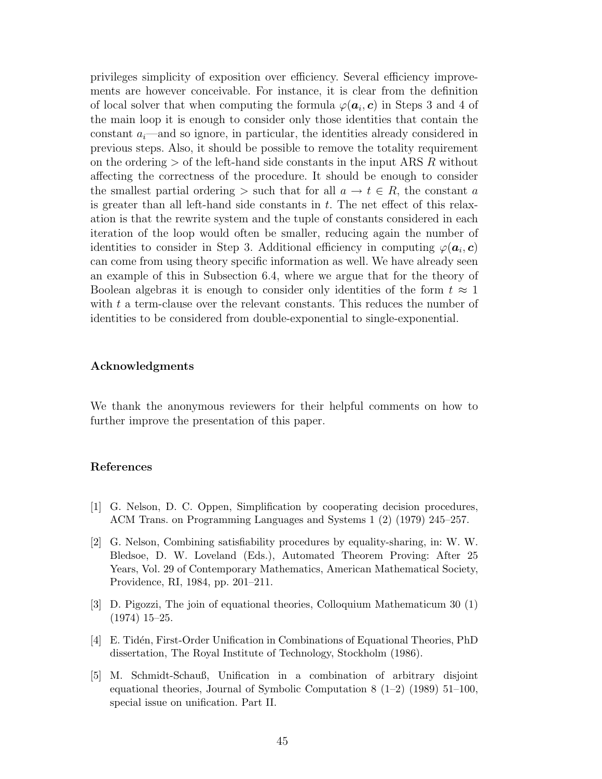privileges simplicity of exposition over efficiency. Several efficiency improvements are however conceivable. For instance, it is clear from the definition of local solver that when computing the formula  $\varphi(\boldsymbol{a}_i,\boldsymbol{c})$  in Steps 3 and 4 of the main loop it is enough to consider only those identities that contain the constant  $a_i$ —and so ignore, in particular, the identities already considered in previous steps. Also, it should be possible to remove the totality requirement on the ordering  $>$  of the left-hand side constants in the input ARS R without affecting the correctness of the procedure. It should be enough to consider the smallest partial ordering > such that for all  $a \to t \in R$ , the constant a is greater than all left-hand side constants in  $t$ . The net effect of this relaxation is that the rewrite system and the tuple of constants considered in each iteration of the loop would often be smaller, reducing again the number of identities to consider in Step 3. Additional efficiency in computing  $\varphi(\boldsymbol{a}_i, \boldsymbol{c})$ can come from using theory specific information as well. We have already seen an example of this in Subsection 6.4, where we argue that for the theory of Boolean algebras it is enough to consider only identities of the form  $t \approx 1$ with t a term-clause over the relevant constants. This reduces the number of identities to be considered from double-exponential to single-exponential.

# Acknowledgments

We thank the anonymous reviewers for their helpful comments on how to further improve the presentation of this paper.

#### References

- [1] G. Nelson, D. C. Oppen, Simplification by cooperating decision procedures, ACM Trans. on Programming Languages and Systems 1 (2) (1979) 245–257.
- [2] G. Nelson, Combining satisfiability procedures by equality-sharing, in: W. W. Bledsoe, D. W. Loveland (Eds.), Automated Theorem Proving: After 25 Years, Vol. 29 of Contemporary Mathematics, American Mathematical Society, Providence, RI, 1984, pp. 201–211.
- [3] D. Pigozzi, The join of equational theories, Colloquium Mathematicum 30 (1) (1974) 15–25.
- [4] E. Tidén, First-Order Unification in Combinations of Equational Theories, PhD dissertation, The Royal Institute of Technology, Stockholm (1986).
- [5] M. Schmidt-Schauß, Unification in a combination of arbitrary disjoint equational theories, Journal of Symbolic Computation 8 (1–2) (1989) 51–100, special issue on unification. Part II.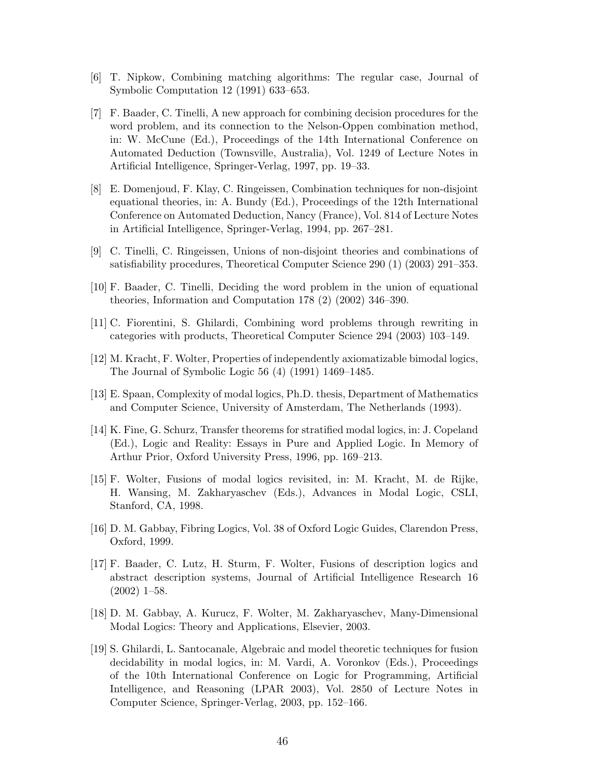- [6] T. Nipkow, Combining matching algorithms: The regular case, Journal of Symbolic Computation 12 (1991) 633–653.
- [7] F. Baader, C. Tinelli, A new approach for combining decision procedures for the word problem, and its connection to the Nelson-Oppen combination method, in: W. McCune (Ed.), Proceedings of the 14th International Conference on Automated Deduction (Townsville, Australia), Vol. 1249 of Lecture Notes in Artificial Intelligence, Springer-Verlag, 1997, pp. 19–33.
- [8] E. Domenjoud, F. Klay, C. Ringeissen, Combination techniques for non-disjoint equational theories, in: A. Bundy (Ed.), Proceedings of the 12th International Conference on Automated Deduction, Nancy (France), Vol. 814 of Lecture Notes in Artificial Intelligence, Springer-Verlag, 1994, pp. 267–281.
- [9] C. Tinelli, C. Ringeissen, Unions of non-disjoint theories and combinations of satisfiability procedures, Theoretical Computer Science 290 (1) (2003) 291–353.
- [10] F. Baader, C. Tinelli, Deciding the word problem in the union of equational theories, Information and Computation 178 (2) (2002) 346–390.
- [11] C. Fiorentini, S. Ghilardi, Combining word problems through rewriting in categories with products, Theoretical Computer Science 294 (2003) 103–149.
- [12] M. Kracht, F. Wolter, Properties of independently axiomatizable bimodal logics, The Journal of Symbolic Logic 56 (4) (1991) 1469–1485.
- [13] E. Spaan, Complexity of modal logics, Ph.D. thesis, Department of Mathematics and Computer Science, University of Amsterdam, The Netherlands (1993).
- [14] K. Fine, G. Schurz, Transfer theorems for stratified modal logics, in: J. Copeland (Ed.), Logic and Reality: Essays in Pure and Applied Logic. In Memory of Arthur Prior, Oxford University Press, 1996, pp. 169–213.
- [15] F. Wolter, Fusions of modal logics revisited, in: M. Kracht, M. de Rijke, H. Wansing, M. Zakharyaschev (Eds.), Advances in Modal Logic, CSLI, Stanford, CA, 1998.
- [16] D. M. Gabbay, Fibring Logics, Vol. 38 of Oxford Logic Guides, Clarendon Press, Oxford, 1999.
- [17] F. Baader, C. Lutz, H. Sturm, F. Wolter, Fusions of description logics and abstract description systems, Journal of Artificial Intelligence Research 16 (2002) 1–58.
- [18] D. M. Gabbay, A. Kurucz, F. Wolter, M. Zakharyaschev, Many-Dimensional Modal Logics: Theory and Applications, Elsevier, 2003.
- [19] S. Ghilardi, L. Santocanale, Algebraic and model theoretic techniques for fusion decidability in modal logics, in: M. Vardi, A. Voronkov (Eds.), Proceedings of the 10th International Conference on Logic for Programming, Artificial Intelligence, and Reasoning (LPAR 2003), Vol. 2850 of Lecture Notes in Computer Science, Springer-Verlag, 2003, pp. 152–166.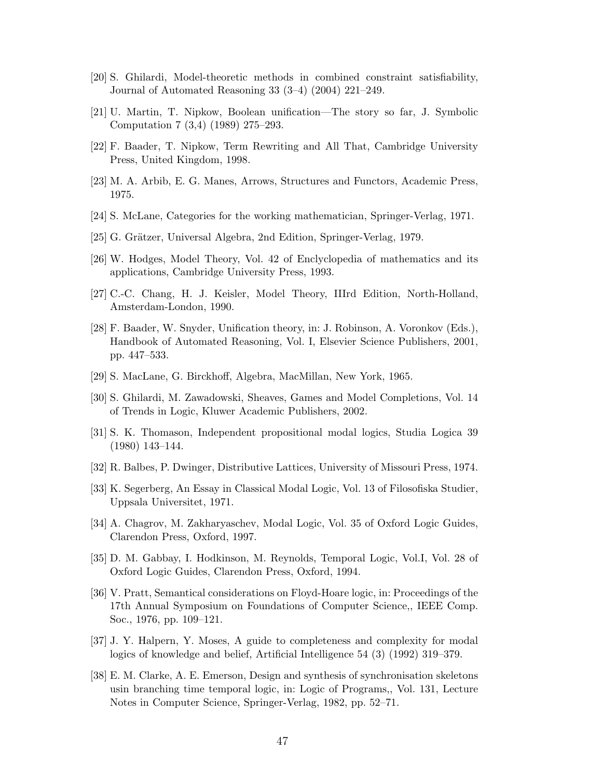- [20] S. Ghilardi, Model-theoretic methods in combined constraint satisfiability, Journal of Automated Reasoning 33 (3–4) (2004) 221–249.
- [21] U. Martin, T. Nipkow, Boolean unification—The story so far, J. Symbolic Computation 7 (3,4) (1989) 275–293.
- [22] F. Baader, T. Nipkow, Term Rewriting and All That, Cambridge University Press, United Kingdom, 1998.
- [23] M. A. Arbib, E. G. Manes, Arrows, Structures and Functors, Academic Press, 1975.
- [24] S. McLane, Categories for the working mathematician, Springer-Verlag, 1971.
- [25] G. Grätzer, Universal Algebra, 2nd Edition, Springer-Verlag, 1979.
- [26] W. Hodges, Model Theory, Vol. 42 of Enclyclopedia of mathematics and its applications, Cambridge University Press, 1993.
- [27] C.-C. Chang, H. J. Keisler, Model Theory, IIIrd Edition, North-Holland, Amsterdam-London, 1990.
- [28] F. Baader, W. Snyder, Unification theory, in: J. Robinson, A. Voronkov (Eds.), Handbook of Automated Reasoning, Vol. I, Elsevier Science Publishers, 2001, pp. 447–533.
- [29] S. MacLane, G. Birckhoff, Algebra, MacMillan, New York, 1965.
- [30] S. Ghilardi, M. Zawadowski, Sheaves, Games and Model Completions, Vol. 14 of Trends in Logic, Kluwer Academic Publishers, 2002.
- [31] S. K. Thomason, Independent propositional modal logics, Studia Logica 39 (1980) 143–144.
- [32] R. Balbes, P. Dwinger, Distributive Lattices, University of Missouri Press, 1974.
- [33] K. Segerberg, An Essay in Classical Modal Logic, Vol. 13 of Filosofiska Studier, Uppsala Universitet, 1971.
- [34] A. Chagrov, M. Zakharyaschev, Modal Logic, Vol. 35 of Oxford Logic Guides, Clarendon Press, Oxford, 1997.
- [35] D. M. Gabbay, I. Hodkinson, M. Reynolds, Temporal Logic, Vol.I, Vol. 28 of Oxford Logic Guides, Clarendon Press, Oxford, 1994.
- [36] V. Pratt, Semantical considerations on Floyd-Hoare logic, in: Proceedings of the 17th Annual Symposium on Foundations of Computer Science,, IEEE Comp. Soc., 1976, pp. 109–121.
- [37] J. Y. Halpern, Y. Moses, A guide to completeness and complexity for modal logics of knowledge and belief, Artificial Intelligence 54 (3) (1992) 319–379.
- [38] E. M. Clarke, A. E. Emerson, Design and synthesis of synchronisation skeletons usin branching time temporal logic, in: Logic of Programs,, Vol. 131, Lecture Notes in Computer Science, Springer-Verlag, 1982, pp. 52–71.